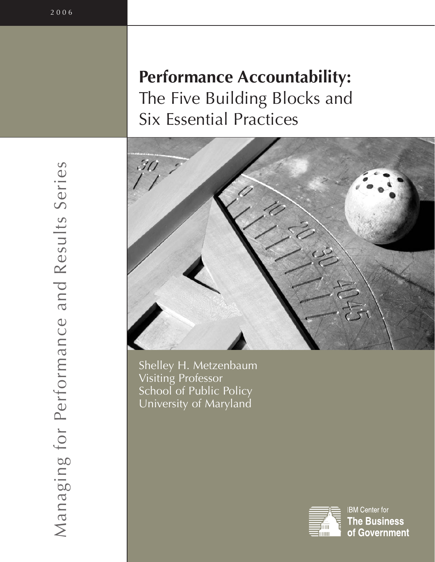## **Performance Accountability:**  The Five Building Blocks and Six Essential Practices



Shelley H. Metzenbaum Visiting Professor School of Public Policy University of Maryland



**IBM Center for The Business** of Government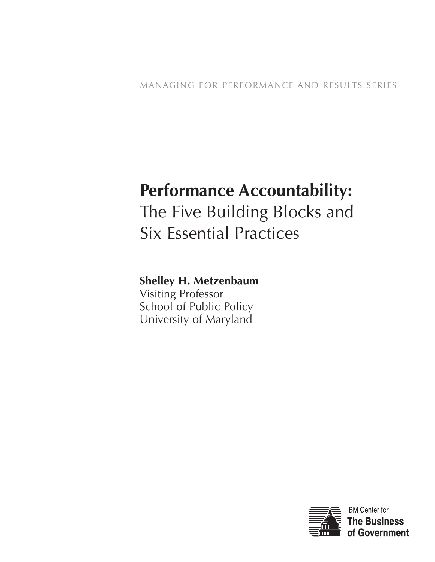|  | MANAGING FOR PERFORMANCE AND RESULTS SERIES |  |
|--|---------------------------------------------|--|

## **Performance Accountability:** The Five Building Blocks and Six Essential Practices

## **Shelley H. Metzenbaum**

Visiting Professor School of Public Policy University of Maryland



IBM Center for **The Business** of Government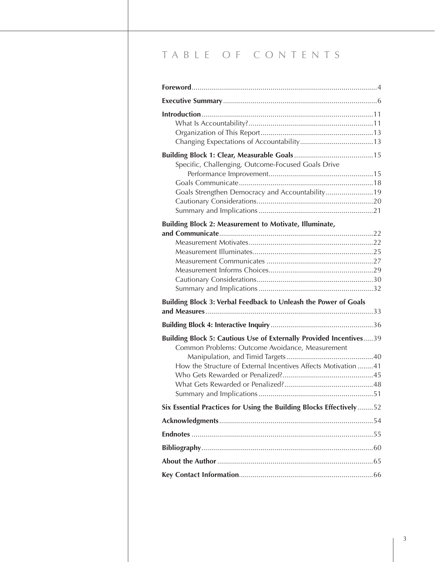## T A B L E O F CON T E N T S

| Specific, Challenging, Outcome-Focused Goals Drive<br>Goals Strengthen Democracy and Accountability19                                                                                   |  |  |  |  |
|-----------------------------------------------------------------------------------------------------------------------------------------------------------------------------------------|--|--|--|--|
| Building Block 2: Measurement to Motivate, Illuminate,                                                                                                                                  |  |  |  |  |
| Building Block 3: Verbal Feedback to Unleash the Power of Goals                                                                                                                         |  |  |  |  |
|                                                                                                                                                                                         |  |  |  |  |
| Building Block 5: Cautious Use of Externally Provided Incentives39<br>Common Problems: Outcome Avoidance, Measurement<br>How the Structure of External Incentives Affects Motivation 41 |  |  |  |  |
| Six Essential Practices for Using the Building Blocks Effectively52                                                                                                                     |  |  |  |  |
|                                                                                                                                                                                         |  |  |  |  |
|                                                                                                                                                                                         |  |  |  |  |
|                                                                                                                                                                                         |  |  |  |  |
|                                                                                                                                                                                         |  |  |  |  |
|                                                                                                                                                                                         |  |  |  |  |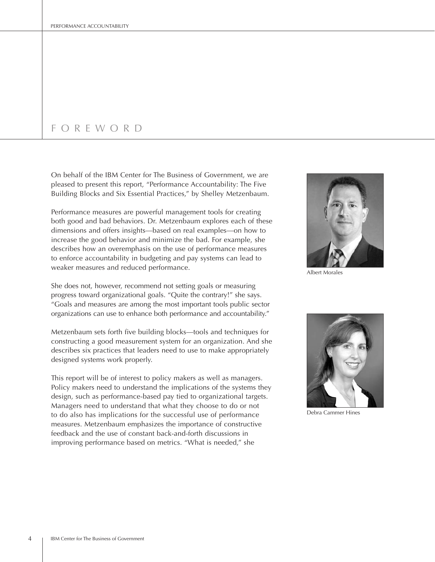## F o r ew o r d

On behalf of the IBM Center for The Business of Government, we are pleased to present this report, "Performance Accountability: The Five Building Blocks and Six Essential Practices," by Shelley Metzenbaum.

Performance measures are powerful management tools for creating both good and bad behaviors. Dr. Metzenbaum explores each of these dimensions and offers insights—based on real examples—on how to increase the good behavior and minimize the bad. For example, she describes how an overemphasis on the use of performance measures to enforce accountability in budgeting and pay systems can lead to weaker measures and reduced performance.

She does not, however, recommend not setting goals or measuring progress toward organizational goals. "Quite the contrary!" she says. "Goals and measures are among the most important tools public sector organizations can use to enhance both performance and accountability."

Metzenbaum sets forth five building blocks—tools and techniques for constructing a good measurement system for an organization. And she describes six practices that leaders need to use to make appropriately designed systems work properly.

This report will be of interest to policy makers as well as managers. Policy makers need to understand the implications of the systems they design, such as performance-based pay tied to organizational targets. Managers need to understand that what they choose to do or not to do also has implications for the successful use of performance measures. Metzenbaum emphasizes the importance of constructive feedback and the use of constant back-and-forth discussions in improving performance based on metrics. "What is needed," she



Albert Morales



Debra Cammer Hines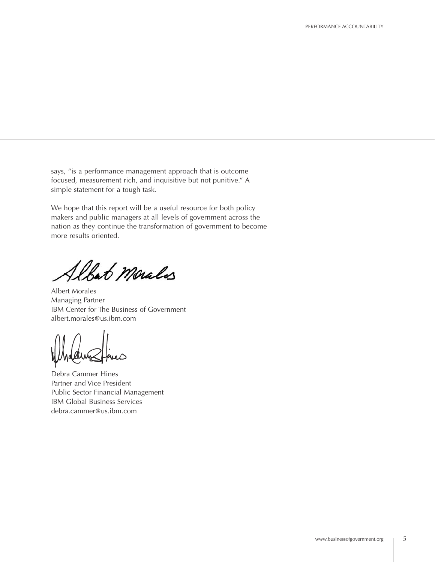says, "is a performance management approach that is outcome focused, measurement rich, and inquisitive but not punitive." A simple statement for a tough task.

We hope that this report will be a useful resource for both policy makers and public managers at all levels of government across the nation as they continue the transformation of government to become more results oriented.

Clat Merales

Albert Morales Managing Partner IBM Center for The Business of Government albert.morales@us.ibm.com

Debra Cammer Hines Partner and Vice President Public Sector Financial Management IBM Global Business Services debra.cammer@us.ibm.com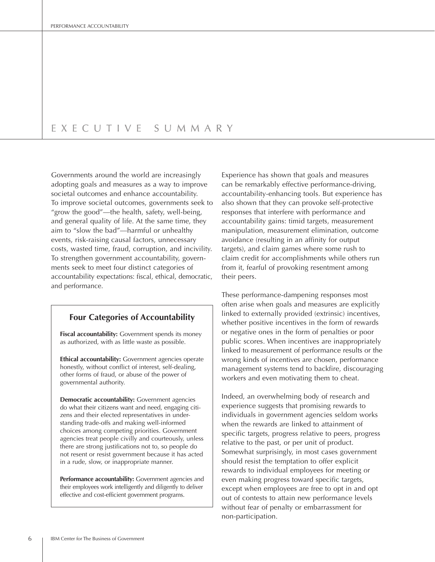## E X E C U T I V E S U M M A R Y

Governments around the world are increasingly adopting goals and measures as a way to improve societal outcomes and enhance accountability. To improve societal outcomes, governments seek to "grow the good"—the health, safety, well-being, and general quality of life. At the same time, they aim to "slow the bad"—harmful or unhealthy events, risk-raising causal factors, unnecessary costs, wasted time, fraud, corruption, and incivility. To strengthen government accountability, governments seek to meet four distinct categories of accountability expectations: fiscal, ethical, democratic, and performance.

#### **Four Categories of Accountability**

**Fiscal accountability:** Government spends its money as authorized, with as little waste as possible.

**Ethical accountability:** Government agencies operate honestly, without conflict of interest, self-dealing, other forms of fraud, or abuse of the power of governmental authority.

**Democratic accountability:** Government agencies do what their citizens want and need, engaging citizens and their elected representatives in understanding trade-offs and making well-informed choices among competing priorities. Government agencies treat people civilly and courteously, unless there are strong justifications not to, so people do not resent or resist government because it has acted in a rude, slow, or inappropriate manner.

**Performance accountability:** Government agencies and their employees work intelligently and diligently to deliver effective and cost-efficient government programs.

Experience has shown that goals and measures can be remarkably effective performance-driving, accountability-enhancing tools. But experience has also shown that they can provoke self-protective responses that interfere with performance and accountability gains: timid targets, measurement manipulation, measurement elimination, outcome avoidance (resulting in an affinity for output targets), and claim games where some rush to claim credit for accomplishments while others run from it, fearful of provoking resentment among their peers.

These performance-dampening responses most often arise when goals and measures are explicitly linked to externally provided (extrinsic) incentives, whether positive incentives in the form of rewards or negative ones in the form of penalties or poor public scores. When incentives are inappropriately linked to measurement of performance results or the wrong kinds of incentives are chosen, performance management systems tend to backfire, discouraging workers and even motivating them to cheat.

Indeed, an overwhelming body of research and experience suggests that promising rewards to individuals in government agencies seldom works when the rewards are linked to attainment of specific targets, progress relative to peers, progress relative to the past, or per unit of product. Somewhat surprisingly, in most cases government should resist the temptation to offer explicit rewards to individual employees for meeting or even making progress toward specific targets, except when employees are free to opt in and opt out of contests to attain new performance levels without fear of penalty or embarrassment for non-participation.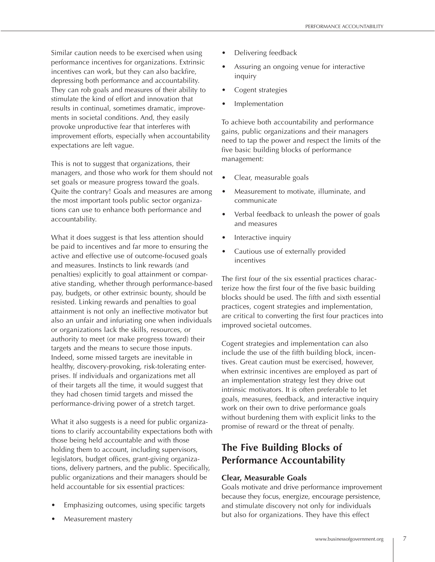Similar caution needs to be exercised when using performance incentives for organizations. Extrinsic incentives can work, but they can also backfire, depressing both performance and accountability. They can rob goals and measures of their ability to stimulate the kind of effort and innovation that results in continual, sometimes dramatic, improvements in societal conditions. And, they easily provoke unproductive fear that interferes with improvement efforts, especially when accountability expectations are left vague.

This is not to suggest that organizations, their managers, and those who work for them should not set goals or measure progress toward the goals. Quite the contrary! Goals and measures are among the most important tools public sector organizations can use to enhance both performance and accountability.

What it does suggest is that less attention should be paid to incentives and far more to ensuring the active and effective use of outcome-focused goals and measures. Instincts to link rewards (and penalties) explicitly to goal attainment or comparative standing, whether through performance-based pay, budgets, or other extrinsic bounty, should be resisted. Linking rewards and penalties to goal attainment is not only an ineffective motivator but also an unfair and infuriating one when individuals or organizations lack the skills, resources, or authority to meet (or make progress toward) their targets and the means to secure those inputs. Indeed, some missed targets are inevitable in healthy, discovery-provoking, risk-tolerating enterprises. If individuals and organizations met all of their targets all the time, it would suggest that they had chosen timid targets and missed the performance-driving power of a stretch target.

What it also suggests is a need for public organizations to clarify accountability expectations both with those being held accountable and with those holding them to account, including supervisors, legislators, budget offices, grant-giving organizations, delivery partners, and the public. Specifically, public organizations and their managers should be held accountable for six essential practices:

- Emphasizing outcomes, using specific targets
- Measurement mastery
- Delivering feedback
- Assuring an ongoing venue for interactive inquiry
- Cogent strategies
- **Implementation**

To achieve both accountability and performance gains, public organizations and their managers need to tap the power and respect the limits of the five basic building blocks of performance management:

- Clear, measurable goals
- Measurement to motivate, illuminate, and communicate
- Verbal feedback to unleash the power of goals and measures
- Interactive inquiry
- Cautious use of externally provided incentives

The first four of the six essential practices characterize how the first four of the five basic building blocks should be used. The fifth and sixth essential practices, cogent strategies and implementation, are critical to converting the first four practices into improved societal outcomes.

Cogent strategies and implementation can also include the use of the fifth building block, incentives. Great caution must be exercised, however, when extrinsic incentives are employed as part of an implementation strategy lest they drive out intrinsic motivators. It is often preferable to let goals, measures, feedback, and interactive inquiry work on their own to drive performance goals without burdening them with explicit links to the promise of reward or the threat of penalty.

## **The Five Building Blocks of Performance Accountability**

#### **Clear, Measurable Goals**

Goals motivate and drive performance improvement because they focus, energize, encourage persistence, and stimulate discovery not only for individuals but also for organizations. They have this effect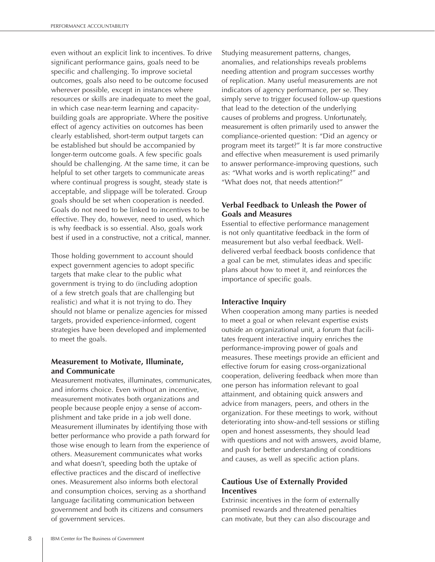even without an explicit link to incentives. To drive significant performance gains, goals need to be specific and challenging. To improve societal outcomes, goals also need to be outcome focused wherever possible, except in instances where resources or skills are inadequate to meet the goal, in which case near-term learning and capacitybuilding goals are appropriate. Where the positive effect of agency activities on outcomes has been clearly established, short-term output targets can be established but should be accompanied by longer-term outcome goals. A few specific goals should be challenging. At the same time, it can be helpful to set other targets to communicate areas where continual progress is sought, steady state is acceptable, and slippage will be tolerated. Group goals should be set when cooperation is needed. Goals do not need to be linked to incentives to be effective. They do, however, need to used, which is why feedback is so essential. Also, goals work best if used in a constructive, not a critical, manner.

Those holding government to account should expect government agencies to adopt specific targets that make clear to the public what government is trying to do (including adoption of a few stretch goals that are challenging but realistic) and what it is not trying to do. They should not blame or penalize agencies for missed targets, provided experience-informed, cogent strategies have been developed and implemented to meet the goals.

#### **Measurement to Motivate, Illuminate, and Communicate**

Measurement motivates, illuminates, communicates, and informs choice. Even without an incentive, measurement motivates both organizations and people because people enjoy a sense of accomplishment and take pride in a job well done. Measurement illuminates by identifying those with better performance who provide a path forward for those wise enough to learn from the experience of others. Measurement communicates what works and what doesn't, speeding both the uptake of effective practices and the discard of ineffective ones. Measurement also informs both electoral and consumption choices, serving as a shorthand language facilitating communication between government and both its citizens and consumers of government services.

Studying measurement patterns, changes, anomalies, and relationships reveals problems needing attention and program successes worthy of replication. Many useful measurements are not indicators of agency performance, per se. They simply serve to trigger focused follow-up questions that lead to the detection of the underlying causes of problems and progress. Unfortunately, measurement is often primarily used to answer the compliance-oriented question: "Did an agency or program meet its target?" It is far more constructive and effective when measurement is used primarily to answer performance-improving questions, such as: "What works and is worth replicating?" and "What does not, that needs attention?"

#### **Verbal Feedback to Unleash the Power of Goals and Measures**

Essential to effective performance management is not only quantitative feedback in the form of measurement but also verbal feedback. Welldelivered verbal feedback boosts confidence that a goal can be met, stimulates ideas and specific plans about how to meet it, and reinforces the importance of specific goals.

#### **Interactive Inquiry**

When cooperation among many parties is needed to meet a goal or when relevant expertise exists outside an organizational unit, a forum that facilitates frequent interactive inquiry enriches the performance-improving power of goals and measures. These meetings provide an efficient and effective forum for easing cross-organizational cooperation, delivering feedback when more than one person has information relevant to goal attainment, and obtaining quick answers and advice from managers, peers, and others in the organization. For these meetings to work, without deteriorating into show-and-tell sessions or stifling open and honest assessments, they should lead with questions and not with answers, avoid blame, and push for better understanding of conditions and causes, as well as specific action plans.

#### **Cautious Use of Externally Provided Incentives**

Extrinsic incentives in the form of externally promised rewards and threatened penalties can motivate, but they can also discourage and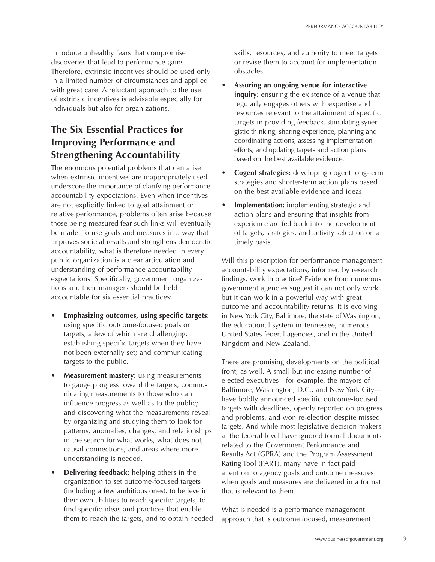introduce unhealthy fears that compromise discoveries that lead to performance gains. Therefore, extrinsic incentives should be used only in a limited number of circumstances and applied with great care. A reluctant approach to the use of extrinsic incentives is advisable especially for individuals but also for organizations.

## **The Six Essential Practices for Improving Performance and Strengthening Accountability**

The enormous potential problems that can arise when extrinsic incentives are inappropriately used underscore the importance of clarifying performance accountability expectations. Even when incentives are not explicitly linked to goal attainment or relative performance, problems often arise because those being measured fear such links will eventually be made. To use goals and measures in a way that improves societal results and strengthens democratic accountability, what is therefore needed in every public organization is a clear articulation and understanding of performance accountability expectations. Specifically, government organizations and their managers should be held accountable for six essential practices:

- **Emphasizing outcomes, using specific targets:** using specific outcome-focused goals or targets, a few of which are challenging; establishing specific targets when they have not been externally set; and communicating targets to the public.
- **Measurement mastery:** using measurements to gauge progress toward the targets; communicating measurements to those who can influence progress as well as to the public; and discovering what the measurements reveal by organizing and studying them to look for patterns, anomalies, changes, and relationships in the search for what works, what does not, causal connections, and areas where more understanding is needed.
- **Delivering feedback:** helping others in the organization to set outcome-focused targets (including a few ambitious ones), to believe in their own abilities to reach specific targets, to find specific ideas and practices that enable them to reach the targets, and to obtain needed

skills, resources, and authority to meet targets or revise them to account for implementation obstacles.

- **Assuring an ongoing venue for interactive inquiry:** ensuring the existence of a venue that regularly engages others with expertise and resources relevant to the attainment of specific targets in providing feedback, stimulating synergistic thinking, sharing experience, planning and coordinating actions, assessing implementation efforts, and updating targets and action plans based on the best available evidence.
- **Cogent strategies:** developing cogent long-term strategies and shorter-term action plans based on the best available evidence and ideas.
- **Implementation:** implementing strategic and action plans and ensuring that insights from experience are fed back into the development of targets, strategies, and activity selection on a timely basis.

Will this prescription for performance management accountability expectations, informed by research findings, work in practice? Evidence from numerous government agencies suggest it can not only work, but it can work in a powerful way with great outcome and accountability returns. It is evolving in New York City, Baltimore, the state of Washington, the educational system in Tennessee, numerous United States federal agencies, and in the United Kingdom and New Zealand.

There are promising developments on the political front, as well. A small but increasing number of elected executives—for example, the mayors of Baltimore, Washington, D.C., and New York City have boldly announced specific outcome-focused targets with deadlines, openly reported on progress and problems, and won re-election despite missed targets. And while most legislative decision makers at the federal level have ignored formal documents related to the Government Performance and Results Act (GPRA) and the Program Assessment Rating Tool (PART), many have in fact paid attention to agency goals and outcome measures when goals and measures are delivered in a format that is relevant to them.

What is needed is a performance management approach that is outcome focused, measurement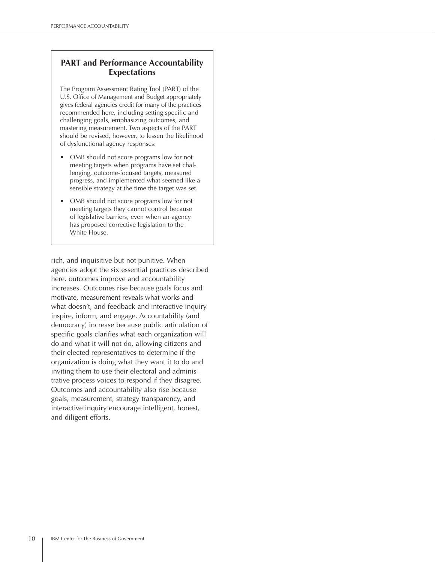## **PART and Performance Accountability Expectations**

The Program Assessment Rating Tool (PART) of the U.S. Office of Management and Budget appropriately gives federal agencies credit for many of the practices recommended here, including setting specific and challenging goals, emphasizing outcomes, and mastering measurement. Two aspects of the PART should be revised, however, to lessen the likelihood of dysfunctional agency responses:

- OMB should not score programs low for not meeting targets when programs have set challenging, outcome-focused targets, measured progress, and implemented what seemed like a sensible strategy at the time the target was set.
- OMB should not score programs low for not meeting targets they cannot control because of legislative barriers, even when an agency has proposed corrective legislation to the White House.

rich, and inquisitive but not punitive. When agencies adopt the six essential practices described here, outcomes improve and accountability increases. Outcomes rise because goals focus and motivate, measurement reveals what works and what doesn't, and feedback and interactive inquiry inspire, inform, and engage. Accountability (and democracy) increase because public articulation of specific goals clarifies what each organization will do and what it will not do, allowing citizens and their elected representatives to determine if the organization is doing what they want it to do and inviting them to use their electoral and administrative process voices to respond if they disagree. Outcomes and accountability also rise because goals, measurement, strategy transparency, and interactive inquiry encourage intelligent, honest, and diligent efforts.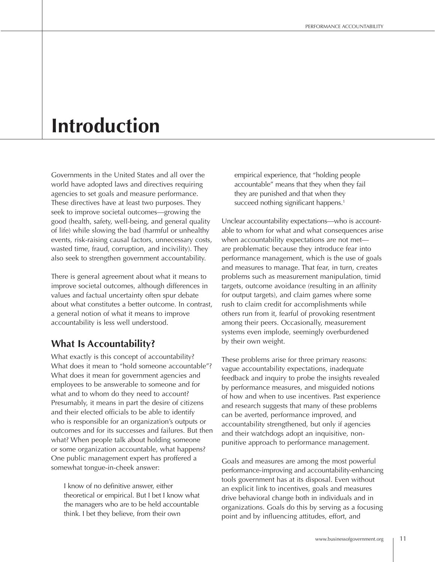## **Introduction**

Governments in the United States and all over the world have adopted laws and directives requiring agencies to set goals and measure performance. These directives have at least two purposes. They seek to improve societal outcomes—growing the good (health, safety, well-being, and general quality of life) while slowing the bad (harmful or unhealthy events, risk-raising causal factors, unnecessary costs, wasted time, fraud, corruption, and incivility). They also seek to strengthen government accountability.

There is general agreement about what it means to improve societal outcomes, although differences in values and factual uncertainty often spur debate about what constitutes a better outcome. In contrast, a general notion of what it means to improve accountability is less well understood.

## **What Is Accountability?**

What exactly is this concept of accountability? What does it mean to "hold someone accountable"? What does it mean for government agencies and employees to be answerable to someone and for what and to whom do they need to account? Presumably, it means in part the desire of citizens and their elected officials to be able to identify who is responsible for an organization's outputs or outcomes and for its successes and failures. But then what? When people talk about holding someone or some organization accountable, what happens? One public management expert has proffered a somewhat tongue-in-cheek answer:

I know of no definitive answer, either theoretical or empirical. But I bet I know what the managers who are to be held accountable think. I bet they believe, from their own

empirical experience, that "holding people accountable" means that they when they fail they are punished and that when they succeed nothing significant happens.<sup>1</sup>

Unclear accountability expectations—who is accountable to whom for what and what consequences arise when accountability expectations are not met are problematic because they introduce fear into performance management, which is the use of goals and measures to manage. That fear, in turn, creates problems such as measurement manipulation, timid targets, outcome avoidance (resulting in an affinity for output targets), and claim games where some rush to claim credit for accomplishments while others run from it, fearful of provoking resentment among their peers. Occasionally, measurement systems even implode, seemingly overburdened by their own weight.

These problems arise for three primary reasons: vague accountability expectations, inadequate feedback and inquiry to probe the insights revealed by performance measures, and misguided notions of how and when to use incentives. Past experience and research suggests that many of these problems can be averted, performance improved, and accountability strengthened, but only if agencies and their watchdogs adopt an inquisitive, nonpunitive approach to performance management.

Goals and measures are among the most powerful performance-improving and accountability-enhancing tools government has at its disposal. Even without an explicit link to incentives, goals and measures drive behavioral change both in individuals and in organizations. Goals do this by serving as a focusing point and by influencing attitudes, effort, and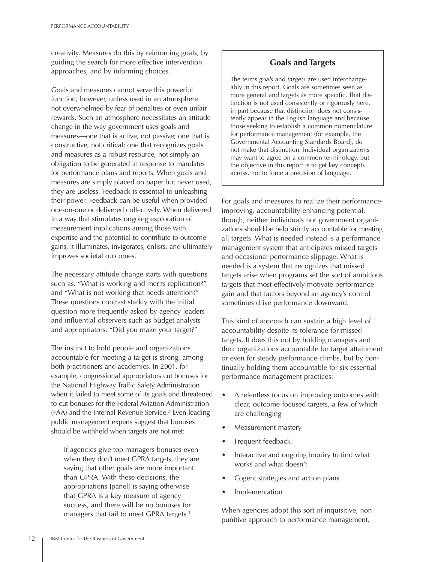creativity. Measures do this by reinforcing goals, by guiding the search for more effective intervention approaches, and by informing choices.

Goals and measures cannot serve this powerful function, however, unless used in an atmosphere not overwhelmed by fear of penalties or even unfair rewards. Such an atmosphere necessitates an attitude change in the way government uses goals and measures—one that is active, not passive; one that is constructive, not critical; one that recognizes goals and measures as a robust resource, not simply an obligation to be generated in response to mandates for performance plans and reports. When goals and measures are simply placed on paper but never used, they are useless. Feedback is essential to unleashing their power. Feedback can be useful when provided one-on-one or delivered collectively. When delivered in a way that stimulates ongoing exploration of measurement implications among those with expertise and the potential to contribute to outcome gains, it illuminates, invigorates, enlists, and ultimately improves societal outcomes.

The necessary attitude change starts with questions such as: "What is working and merits replication?" and "What is not working that needs attention?" These questions contrast starkly with the initial question more frequently asked by agency leaders and influential observers such as budget analysts and appropriators: "Did you make your target?"

The instinct to hold people and organizations accountable for meeting a target is strong, among both practitioners and academics. In 2001, for example, congressional appropriators cut bonuses for the National Highway Traffic Safety Administration when it failed to meet some of its goals and threatened to cut bonuses for the Federal Aviation Administration (FAA) and the Internal Revenue Service.<sup>2</sup> Even leading public management experts suggest that bonuses should be withheld when targets are not met:

If agencies give top managers bonuses even when they don't meet GPRA targets, they are saying that other goals are more important than GPRA. With these decisions, the appropriations [panel] is saying otherwise that GPRA is a key measure of agency success, and there will be no bonuses for managers that fail to meet GPRA targets.<sup>3</sup>

#### **Goals and Targets**

The terms *goals* and *targets* are used interchangeably in this report. Goals are sometimes seen as more general and targets as more specific. That distinction is not used consistently or rigorously here, in part because that distinction does not consistently appear in the English language and because those seeking to establish a common nomenclature for performance management (for example, the Governmental Accounting Standards Board), do not make that distinction. Individual organizations may want to agree on a common terminology, but the objective in this report is to get key concepts across, not to force a precision of language.

For goals and measures to realize their performanceimproving, accountability-enhancing potential, though, neither individuals nor government organizations should be help strictly accountable for meeting all targets. What is needed instead is a performance management system that anticipates missed targets and occasional performance slippage. What is needed is a system that recognizes that missed targets arise when programs set the sort of ambitious targets that most effectively motivate performance gain and that factors beyond an agency's control sometimes drive performance downward.

This kind of approach can sustain a high level of accountability despite its tolerance for missed targets. It does this not by holding managers and their organizations accountable for target attainment or even for steady performance climbs, but by continually holding them accountable for six essential performance management practices:

- A relentless focus on improving outcomes with clear, outcome-focused targets, a few of which are challenging
- Measurement mastery
- Frequent feedback
- Interactive and ongoing inquiry to find what works and what doesn't
- Cogent strategies and action plans
- **Implementation**

When agencies adopt this sort of inquisitive, nonpunitive approach to performance management,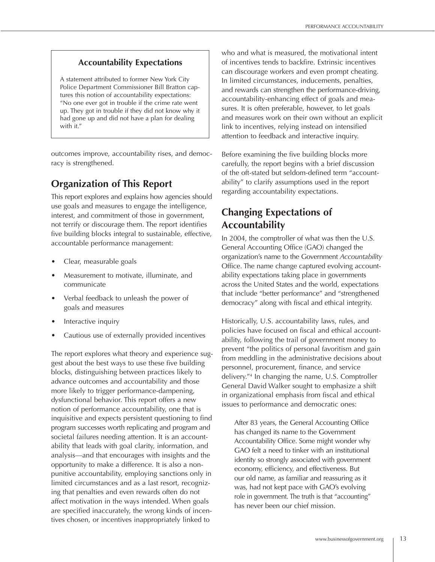## **Accountability Expectations**

A statement attributed to former New York City Police Department Commissioner Bill Bratton captures this notion of accountability expectations: "No one ever got in trouble if the crime rate went up. They got in trouble if they did not know why it had gone up and did not have a plan for dealing with it."

outcomes improve, accountability rises, and democracy is strengthened.

## **Organization of This Report**

This report explores and explains how agencies should use goals and measures to engage the intelligence, interest, and commitment of those in government, not terrify or discourage them. The report identifies five building blocks integral to sustainable, effective, accountable performance management:

- Clear, measurable goals
- Measurement to motivate, illuminate, and communicate
- Verbal feedback to unleash the power of goals and measures
- Interactive inquiry
- Cautious use of externally provided incentives

The report explores what theory and experience suggest about the best ways to use these five building blocks, distinguishing between practices likely to advance outcomes and accountability and those more likely to trigger performance-dampening, dysfunctional behavior. This report offers a new notion of performance accountability, one that is inquisitive and expects persistent questioning to find program successes worth replicating and program and societal failures needing attention. It is an accountability that leads with goal clarity, information, and analysis—and that encourages with insights and the opportunity to make a difference. It is also a nonpunitive accountability, employing sanctions only in limited circumstances and as a last resort, recognizing that penalties and even rewards often do not affect motivation in the ways intended. When goals are specified inaccurately, the wrong kinds of incentives chosen, or incentives inappropriately linked to

who and what is measured, the motivational intent of incentives tends to backfire. Extrinsic incentives can discourage workers and even prompt cheating. In limited circumstances, inducements, penalties, and rewards can strengthen the performance-driving, accountability-enhancing effect of goals and measures. It is often preferable, however, to let goals and measures work on their own without an explicit link to incentives, relying instead on intensified attention to feedback and interactive inquiry.

Before examining the five building blocks more carefully, the report begins with a brief discussion of the oft-stated but seldom-defined term "accountability" to clarify assumptions used in the report regarding accountability expectations.

## **Changing Expectations of Accountability**

In 2004, the comptroller of what was then the U.S. General Accounting Office (GAO) changed the organization's name to the Government *Accountability* Office. The name change captured evolving accountability expectations taking place in governments across the United States and the world, expectations that include "better performance" and "strengthened democracy" along with fiscal and ethical integrity.

Historically, U.S. accountability laws, rules, and policies have focused on fiscal and ethical accountability, following the trail of government money to prevent "the politics of personal favoritism and gain from meddling in the administrative decisions about personnel, procurement, finance, and service delivery."4 In changing the name, U.S. Comptroller General David Walker sought to emphasize a shift in organizational emphasis from fiscal and ethical issues to performance and democratic ones:

After 83 years, the General Accounting Office has changed its name to the Government Accountability Office. Some might wonder why GAO felt a need to tinker with an institutional identity so strongly associated with government economy, efficiency, and effectiveness. But our old name, as familiar and reassuring as it was, had not kept pace with GAO's evolving role in government. The truth is that "accounting" has never been our chief mission.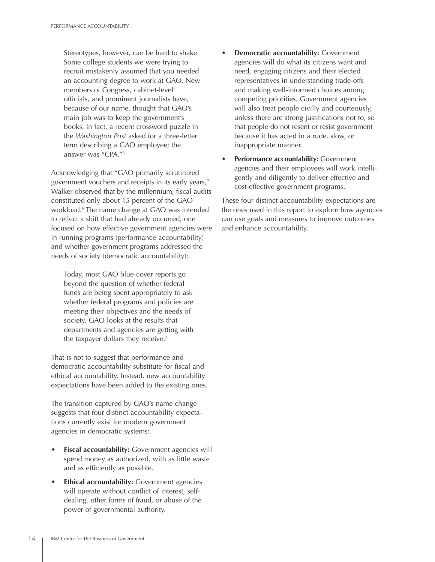Stereotypes, however, can be hard to shake. Some college students we were trying to recruit mistakenly assumed that you needed an accounting degree to work at GAO. New members of Congress, cabinet-level officials, and prominent journalists have, because of our name, thought that GAO's main job was to keep the government's books. In fact, a recent crossword puzzle in the *Washington Post* asked for a three-letter term describing a GAO employee; the answer was "CPA."5

Acknowledging that "GAO primarily scrutinized government vouchers and receipts in its early years," Walker observed that by the millennium, fiscal audits constituted only about 15 percent of the GAO workload.6 The name change at GAO was intended to reflect a shift that had already occurred, one focused on how effective government agencies were in running programs (performance accountability) and whether government programs addressed the needs of society (democratic accountability):

Today, most GAO blue-cover reports go beyond the question of whether federal funds are being spent appropriately to ask whether federal programs and policies are meeting their objectives and the needs of society. GAO looks at the results that departments and agencies are getting with the taxpayer dollars they receive.<sup>7</sup>

That is not to suggest that performance and democratic accountability substitute for fiscal and ethical accountability. Instead, new accountability expectations have been added to the existing ones.

The transition captured by GAO's name change suggests that four distinct accountability expectations currently exist for modern government agencies in democratic systems:

- **Fiscal accountability:** Government agencies will spend money as authorized, with as little waste and as efficiently as possible.
- **Ethical accountability:** Government agencies will operate without conflict of interest, selfdealing, other forms of fraud, or abuse of the power of governmental authority.
- **Democratic accountability:** Government agencies will do what its citizens want and need, engaging citizens and their elected representatives in understanding trade-offs and making well-informed choices among competing priorities. Government agencies will also treat people civilly and courteously, unless there are strong justifications not to, so that people do not resent or resist government because it has acted in a rude, slow, or inappropriate manner.
- **Performance accountability:** Government agencies and their employees will work intelligently and diligently to deliver effective and cost-effective government programs.

These four distinct accountability expectations are the ones used in this report to explore how agencies can use goals and measures to improve outcomes and enhance accountability.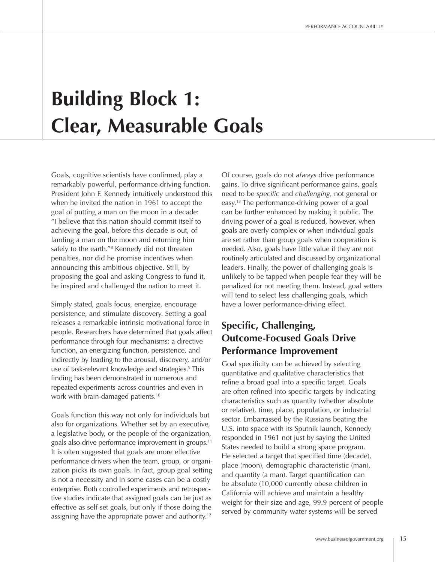# **Building Block 1: Clear, Measurable Goals**

Goals, cognitive scientists have confirmed, play a remarkably powerful, performance-driving function. President John F. Kennedy intuitively understood this when he invited the nation in 1961 to accept the goal of putting a man on the moon in a decade: "I believe that this nation should commit itself to achieving the goal, before this decade is out, of landing a man on the moon and returning him safely to the earth."<sup>8</sup> Kennedy did not threaten penalties, nor did he promise incentives when announcing this ambitious objective. Still, by proposing the goal and asking Congress to fund it, he inspired and challenged the nation to meet it.

Simply stated, goals focus, energize, encourage persistence, and stimulate discovery. Setting a goal releases a remarkable intrinsic motivational force in people. Researchers have determined that goals affect performance through four mechanisms: a directive function, an energizing function, persistence, and indirectly by leading to the arousal, discovery, and/or use of task-relevant knowledge and strategies.<sup>9</sup> This finding has been demonstrated in numerous and repeated experiments across countries and even in work with brain-damaged patients.<sup>10</sup>

Goals function this way not only for individuals but also for organizations. Whether set by an executive, a legislative body, or the people of the organization, goals also drive performance improvement in groups.<sup>11</sup> It is often suggested that goals are more effective performance drivers when the team, group, or organization picks its own goals. In fact, group goal setting is not a necessity and in some cases can be a costly enterprise. Both controlled experiments and retrospective studies indicate that assigned goals can be just as effective as self-set goals, but only if those doing the assigning have the appropriate power and authority.<sup>12</sup>

Of course, goals do not *always* drive performance gains. To drive significant performance gains, goals need to be *specific* and *challenging,* not general or easy.13 The performance-driving power of a goal can be further enhanced by making it public. The driving power of a goal is reduced, however, when goals are overly complex or when individual goals are set rather than group goals when cooperation is needed. Also, goals have little value if they are not routinely articulated and discussed by organizational leaders. Finally, the power of challenging goals is unlikely to be tapped when people fear they will be penalized for not meeting them. Instead, goal setters will tend to select less challenging goals, which have a lower performance-driving effect.

## **Specific, Challenging, Outcome-Focused Goals Drive Performance Improvement**

Goal specificity can be achieved by selecting quantitative and qualitative characteristics that refine a broad goal into a specific target. Goals are often refined into specific targets by indicating characteristics such as quantity (whether absolute or relative), time, place, population, or industrial sector. Embarrassed by the Russians beating the U.S. into space with its Sputnik launch, Kennedy responded in 1961 not just by saying the United States needed to build a strong space program. He selected a target that specified time (decade), place (moon), demographic characteristic (man), and quantity (a man). Target quantification can be absolute (10,000 currently obese children in California will achieve and maintain a healthy weight for their size and age, 99.9 percent of people served by community water systems will be served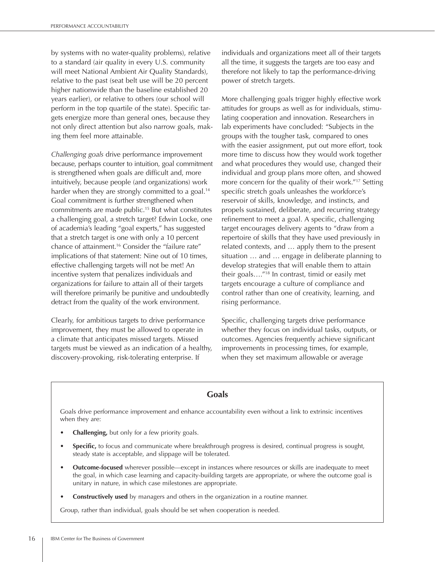by systems with no water-quality problems), relative to a standard (air quality in every U.S. community will meet National Ambient Air Quality Standards), relative to the past (seat belt use will be 20 percent higher nationwide than the baseline established 20 years earlier), or relative to others (our school will perform in the top quartile of the state). Specific targets energize more than general ones, because they not only direct attention but also narrow goals, making them feel more attainable.

*Challenging goals* drive performance improvement because, perhaps counter to intuition, goal commitment is strengthened when goals are difficult and, more intuitively, because people (and organizations) work harder when they are strongly committed to a goal.<sup>14</sup> Goal commitment is further strengthened when commitments are made public.15 But what constitutes a challenging goal, a stretch target? Edwin Locke, one of academia's leading "goal experts," has suggested that a stretch target is one with only a 10 percent chance of attainment.16 Consider the "failure rate" implications of that statement: Nine out of 10 times, effective challenging targets will not be met! An incentive system that penalizes individuals and organizations for failure to attain all of their targets will therefore primarily be punitive and undoubtedly detract from the quality of the work environment.

Clearly, for ambitious targets to drive performance improvement, they must be allowed to operate in a climate that anticipates missed targets. Missed targets must be viewed as an indication of a healthy, discovery-provoking, risk-tolerating enterprise. If

individuals and organizations meet all of their targets all the time, it suggests the targets are too easy and therefore not likely to tap the performance-driving power of stretch targets.

More challenging goals trigger highly effective work attitudes for groups as well as for individuals, stimulating cooperation and innovation. Researchers in lab experiments have concluded: "Subjects in the groups with the tougher task, compared to ones with the easier assignment, put out more effort, took more time to discuss how they would work together and what procedures they would use, changed their individual and group plans more often, and showed more concern for the quality of their work."17 Setting specific stretch goals unleashes the workforce's reservoir of skills, knowledge, and instincts, and propels sustained, deliberate, and recurring strategy refinement to meet a goal. A specific, challenging target encourages delivery agents to "draw from a repertoire of skills that they have used previously in related contexts, and … apply them to the present situation … and … engage in deliberate planning to develop strategies that will enable them to attain their goals…."18 In contrast, timid or easily met targets encourage a culture of compliance and control rather than one of creativity, learning, and rising performance.

Specific, challenging targets drive performance whether they focus on individual tasks, outputs, or outcomes. Agencies frequently achieve significant improvements in processing times, for example, when they set maximum allowable or average

#### **Goals**

Goals drive performance improvement and enhance accountability even without a link to extrinsic incentives when they are:

- **Challenging,** but only for a few priority goals.
- **Specific,** to focus and communicate where breakthrough progress is desired, continual progress is sought, steady state is acceptable, and slippage will be tolerated.
- **Outcome-focused** wherever possible—except in instances where resources or skills are inadequate to meet the goal, in which case learning and capacity-building targets are appropriate, or where the outcome goal is unitary in nature, in which case milestones are appropriate.
- **Constructively used** by managers and others in the organization in a routine manner.

Group, rather than individual, goals should be set when cooperation is needed.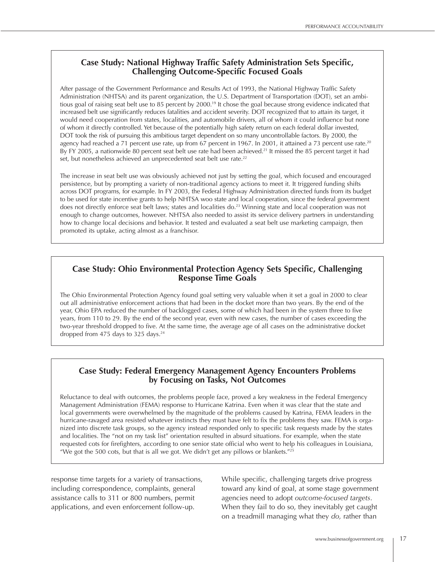## **Case Study: National Highway Traffic Safety Administration Sets Specific, Challenging Outcome-Specific Focused Goals**

After passage of the Government Performance and Results Act of 1993, the National Highway Traffic Safety Administration (NHTSA) and its parent organization, the U.S. Department of Transportation (DOT), set an ambitious goal of raising seat belt use to 85 percent by 2000.19 It chose the goal because strong evidence indicated that increased belt use significantly reduces fatalities and accident severity. DOT recognized that to attain its target, it would need cooperation from states, localities, and automobile drivers, all of whom it could influence but none of whom it directly controlled. Yet because of the potentially high safety return on each federal dollar invested, DOT took the risk of pursuing this ambitious target dependent on so many uncontrollable factors. By 2000, the agency had reached a 71 percent use rate, up from 67 percent in 1967. In 2001, it attained a 73 percent use rate.<sup>20</sup> By FY 2005, a nationwide 80 percent seat belt use rate had been achieved.<sup>21</sup> It missed the 85 percent target it had set, but nonetheless achieved an unprecedented seat belt use rate.<sup>22</sup>

The increase in seat belt use was obviously achieved not just by setting the goal, which focused and encouraged persistence, but by prompting a variety of non-traditional agency actions to meet it. It triggered funding shifts across DOT programs, for example. In FY 2003, the Federal Highway Administration directed funds from its budget to be used for state incentive grants to help NHTSA woo state and local cooperation, since the federal government does not directly enforce seat belt laws; states and localities do.<sup>23</sup> Winning state and local cooperation was not enough to change outcomes, however. NHTSA also needed to assist its service delivery partners in understanding how to change local decisions and behavior. It tested and evaluated a seat belt use marketing campaign, then promoted its uptake, acting almost as a franchisor.

#### **Case Study: Ohio Environmental Protection Agency Sets Specific, Challenging Response Time Goals**

The Ohio Environmental Protection Agency found goal setting very valuable when it set a goal in 2000 to clear out all administrative enforcement actions that had been in the docket more than two years. By the end of the year, Ohio EPA reduced the number of backlogged cases, some of which had been in the system three to five years, from 110 to 29. By the end of the second year, even with new cases, the number of cases exceeding the two-year threshold dropped to five. At the same time, the average age of all cases on the administrative docket dropped from 475 days to 325 days.<sup>24</sup>

#### **Case Study: Federal Emergency Management Agency Encounters Problems by Focusing on Tasks, Not Outcomes**

Reluctance to deal with outcomes, the problems people face, proved a key weakness in the Federal Emergency Management Administration (FEMA) response to Hurricane Katrina. Even when it was clear that the state and local governments were overwhelmed by the magnitude of the problems caused by Katrina, FEMA leaders in the hurricane-ravaged area resisted whatever instincts they must have felt to fix the problems they saw. FEMA is organized into discrete task groups, so the agency instead responded only to specific task requests made by the states and localities. The "not on my task list" orientation resulted in absurd situations. For example, when the state requested cots for firefighters, according to one senior state official who went to help his colleagues in Louisiana, "We got the 500 cots, but that is all we got. We didn't get any pillows or blankets."<sup>25</sup>

response time targets for a variety of transactions, including correspondence, complaints, general assistance calls to 311 or 800 numbers, permit applications, and even enforcement follow-up.

While specific, challenging targets drive progress toward any kind of goal, at some stage government agencies need to adopt *outcome-focused targets*. When they fail to do so, they inevitably get caught on a treadmill managing what they *do,* rather than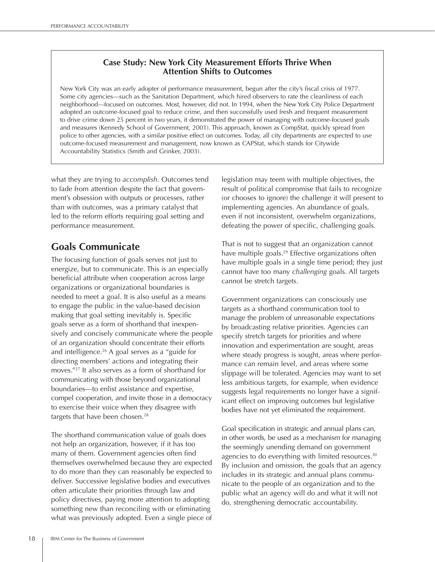## **Case Study: New York City Measurement Efforts Thrive When Attention Shifts to Outcomes**

New York City was an early adopter of performance measurement, begun after the city's fiscal crisis of 1977. Some city agencies—such as the Sanitation Department, which hired observers to rate the cleanliness of each neighborhood—focused on outcomes. Most, however, did not. In 1994, when the New York City Police Department adopted an outcome-focused goal to reduce crime, and then successfully used fresh and frequent measurement to drive crime down 25 percent in two years, it demonstrated the power of managing with outcome-focused goals and measures (Kennedy School of Government, 2001). This approach, known as CompStat, quickly spread from police to other agencies, with a similar positive effect on outcomes. Today, all city departments are expected to use outcome-focused measurement and management, now known as CAPStat, which stands for Citywide Accountability Statistics (Smith and Grinker, 2003).

what they are trying to *accomplish.* Outcomes tend to fade from attention despite the fact that government's obsession with outputs or processes, rather than with outcomes, was a primary catalyst that led to the reform efforts requiring goal setting and performance measurement.

## **Goals Communicate**

The focusing function of goals serves not just to energize, but to communicate. This is an especially beneficial attribute when cooperation across large organizations or organizational boundaries is needed to meet a goal. It is also useful as a means to engage the public in the value-based decision making that goal setting inevitably is. Specific goals serve as a form of shorthand that inexpensively and concisely communicate where the people of an organization should concentrate their efforts and intelligence.<sup>26</sup> A goal serves as a "guide for directing members' actions and integrating their moves."27 It also serves as a form of shorthand for communicating with those beyond organizational boundaries—to enlist assistance and expertise, compel cooperation, and invite those in a democracy to exercise their voice when they disagree with targets that have been chosen.<sup>28</sup>

The shorthand communication value of goals does not help an organization, however, if it has too many of them. Government agencies often find themselves overwhelmed because they are expected to do more than they can reasonably be expected to deliver. Successive legislative bodies and executives often articulate their priorities through law and policy directives, paying more attention to adopting something new than reconciling with or eliminating what was previously adopted. Even a single piece of

legislation may teem with multiple objectives, the result of political compromise that fails to recognize (or chooses to ignore) the challenge it will present to implementing agencies. An abundance of goals, even if not inconsistent, overwhelm organizations, defeating the power of specific, challenging goals.

That is not to suggest that an organization cannot have multiple goals.<sup>29</sup> Effective organizations often have multiple goals in a single time period; they just cannot have too many *challenging* goals. All targets cannot be stretch targets.

Government organizations can consciously use targets as a shorthand communication tool to manage the problem of unreasonable expectations by broadcasting relative priorities. Agencies can specify stretch targets for priorities and where innovation and experimentation are sought, areas where steady progress is sought, areas where performance can remain level, and areas where some slippage will be tolerated. Agencies may want to set less ambitious targets, for example, when evidence suggests legal requirements no longer have a significant effect on improving outcomes but legislative bodies have not yet eliminated the requirement.

Goal specification in strategic and annual plans can, in other words, be used as a mechanism for managing the seemingly unending demand on government agencies to do everything with limited resources.<sup>30</sup> By inclusion and omission, the goals that an agency includes in its strategic and annual plans communicate to the people of an organization and to the public what an agency will do and what it will not do, strengthening democratic accountability.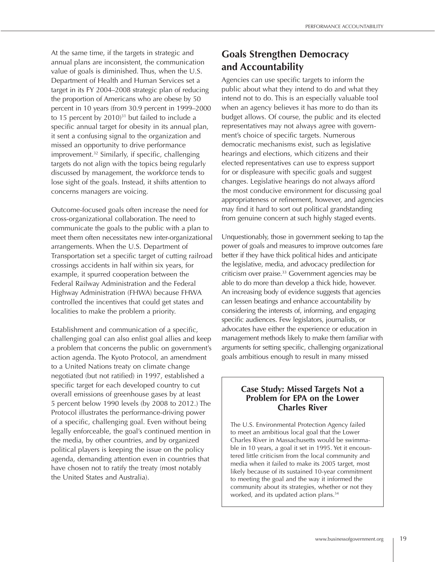At the same time, if the targets in strategic and annual plans are inconsistent, the communication value of goals is diminished. Thus, when the U.S. Department of Health and Human Services set a target in its FY 2004–2008 strategic plan of reducing the proportion of Americans who are obese by 50 percent in 10 years (from 30.9 percent in 1999–2000 to 15 percent by  $2010$ <sup>31</sup> but failed to include a specific annual target for obesity in its annual plan, it sent a confusing signal to the organization and missed an opportunity to drive performance improvement.32 Similarly, if specific, challenging targets do not align with the topics being regularly discussed by management, the workforce tends to lose sight of the goals. Instead, it shifts attention to concerns managers are voicing.

Outcome-focused goals often increase the need for cross-organizational collaboration. The need to communicate the goals to the public with a plan to meet them often necessitates new inter-organizational arrangements. When the U.S. Department of Transportation set a specific target of cutting railroad crossings accidents in half within six years, for example, it spurred cooperation between the Federal Railway Administration and the Federal Highway Administration (FHWA) because FHWA controlled the incentives that could get states and localities to make the problem a priority.

Establishment and communication of a specific, challenging goal can also enlist goal allies and keep a problem that concerns the public on government's action agenda. The Kyoto Protocol, an amendment to a United Nations treaty on climate change negotiated (but not ratified) in 1997, established a specific target for each developed country to cut overall emissions of greenhouse gases by at least 5 percent below 1990 levels (by 2008 to 2012.) The Protocol illustrates the performance-driving power of a specific, challenging goal. Even without being legally enforceable, the goal's continued mention in the media, by other countries, and by organized political players is keeping the issue on the policy agenda, demanding attention even in countries that have chosen not to ratify the treaty (most notably the United States and Australia).

## **Goals Strengthen Democracy and Accountability**

Agencies can use specific targets to inform the public about what they intend to do and what they intend not to do. This is an especially valuable tool when an agency believes it has more to do than its budget allows. Of course, the public and its elected representatives may not always agree with government's choice of specific targets. Numerous democratic mechanisms exist, such as legislative hearings and elections, which citizens and their elected representatives can use to express support for or displeasure with specific goals and suggest changes. Legislative hearings do not always afford the most conducive environment for discussing goal appropriateness or refinement, however, and agencies may find it hard to sort out political grandstanding from genuine concern at such highly staged events.

Unquestionably, those in government seeking to tap the power of goals and measures to improve outcomes fare better if they have thick political hides and anticipate the legislative, media, and advocacy predilection for criticism over praise.<sup>33</sup> Government agencies may be able to do more than develop a thick hide, however. An increasing body of evidence suggests that agencies can lessen beatings and enhance accountability by considering the interests of, informing, and engaging specific audiences. Few legislators, journalists, or advocates have either the experience or education in management methods likely to make them familiar with arguments for setting specific, challenging organizational goals ambitious enough to result in many missed

#### **Case Study: Missed Targets Not a Problem for EPA on the Lower Charles River**

The U.S. Environmental Protection Agency failed to meet an ambitious local goal that the Lower Charles River in Massachusetts would be swimmable in 10 years, a goal it set in 1995. Yet it encountered little criticism from the local community and media when it failed to make its 2005 target, most likely because of its sustained 10-year commitment to meeting the goal and the way it informed the community about its strategies, whether or not they worked, and its updated action plans.<sup>34</sup>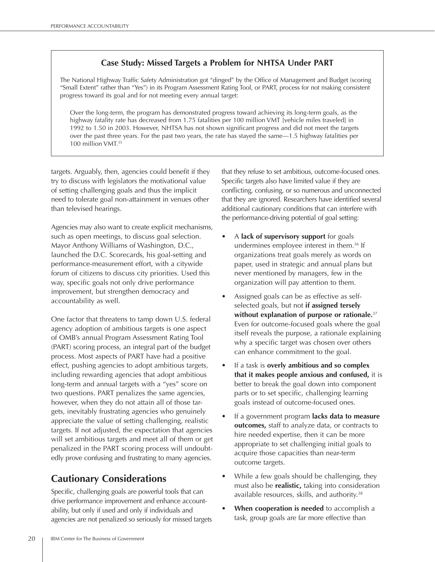## **Case Study: Missed Targets a Problem for NHTSA Under PART**

The National Highway Traffic Safety Administration got "dinged" by the Office of Management and Budget (scoring "Small Extent" rather than "Yes") in its Program Assessment Rating Tool, or PART, process for not making consistent progress toward its goal and for not meeting every annual target:

 Over the long-term, the program has demonstrated progress toward achieving its long-term goals, as the highway fatality rate has decreased from 1.75 fatalities per 100 million VMT [vehicle miles traveled] in 1992 to 1.50 in 2003. However, NHTSA has not shown significant progress and did not meet the targets over the past three years. For the past two years, the rate has stayed the same—1.5 highway fatalities per 100 million VMT.35

targets. Arguably, then, agencies could benefit if they try to discuss with legislators the motivational value of setting challenging goals and thus the implicit need to tolerate goal non-attainment in venues other than televised hearings.

Agencies may also want to create explicit mechanisms, such as open meetings, to discuss goal selection. Mayor Anthony Williams of Washington, D.C., launched the D.C. Scorecards, his goal-setting and performance-measurement effort, with a citywide forum of citizens to discuss city priorities. Used this way, specific goals not only drive performance improvement, but strengthen democracy and accountability as well.

One factor that threatens to tamp down U.S. federal agency adoption of ambitious targets is one aspect of OMB's annual Program Assessment Rating Tool (PART) scoring process, an integral part of the budget process. Most aspects of PART have had a positive effect, pushing agencies to adopt ambitious targets, including rewarding agencies that adopt ambitious long-term and annual targets with a "yes" score on two questions. PART penalizes the same agencies, however, when they do not attain all of those targets, inevitably frustrating agencies who genuinely appreciate the value of setting challenging, realistic targets. If not adjusted, the expectation that agencies will set ambitious targets and meet all of them or get penalized in the PART scoring process will undoubtedly prove confusing and frustrating to many agencies.

## **Cautionary Considerations**

Specific, challenging goals are powerful tools that can drive performance improvement and enhance accountability, but only if used and only if individuals and agencies are not penalized so seriously for missed targets that they refuse to set ambitious, outcome-focused ones. Specific targets also have limited value if they are conflicting, confusing, or so numerous and unconnected that they are ignored. Researchers have identified several additional cautionary conditions that can interfere with the performance-driving potential of goal setting:

- A **lack of supervisory support** for goals undermines employee interest in them.<sup>36</sup> If organizations treat goals merely as words on paper, used in strategic and annual plans but never mentioned by managers, few in the organization will pay attention to them.
- Assigned goals can be as effective as selfselected goals, but not **if assigned tersely without explanation of purpose or rationale.**<sup>37</sup> Even for outcome-focused goals where the goal itself reveals the purpose, a rationale explaining why a specific target was chosen over others can enhance commitment to the goal.
- If a task is **overly ambitious and so complex that it makes people anxious and confused,** it is better to break the goal down into component parts or to set specific, challenging learning goals instead of outcome-focused ones.
- If a government program **lacks data to measure outcomes,** staff to analyze data, or contracts to hire needed expertise, then it can be more appropriate to set challenging initial goals to acquire those capacities than near-term outcome targets.
- While a few goals should be challenging, they must also be **realistic,** taking into consideration available resources, skills, and authority.38
- **When cooperation is needed** to accomplish a task, group goals are far more effective than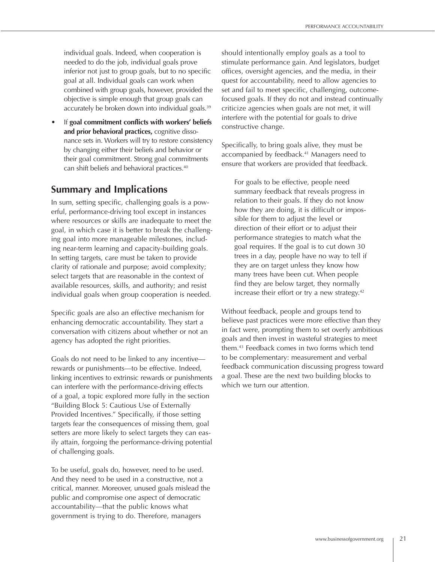individual goals. Indeed, when cooperation is needed to do the job, individual goals prove inferior not just to group goals, but to no specific goal at all. Individual goals can work when combined with group goals, however, provided the objective is simple enough that group goals can accurately be broken down into individual goals.<sup>39</sup>

• If **goal commitment conflicts with workers' beliefs and prior behavioral practices,** cognitive dissonance sets in. Workers will try to restore consistency by changing either their beliefs and behavior or their goal commitment. Strong goal commitments can shift beliefs and behavioral practices.40

## **Summary and Implications**

In sum, setting specific, challenging goals is a powerful, performance-driving tool except in instances where resources or skills are inadequate to meet the goal, in which case it is better to break the challenging goal into more manageable milestones, including near-term learning and capacity-building goals. In setting targets, care must be taken to provide clarity of rationale and purpose; avoid complexity; select targets that are reasonable in the context of available resources, skills, and authority; and resist individual goals when group cooperation is needed.

Specific goals are also an effective mechanism for enhancing democratic accountability. They start a conversation with citizens about whether or not an agency has adopted the right priorities.

Goals do not need to be linked to any incentive rewards or punishments—to be effective. Indeed, linking incentives to extrinsic rewards or punishments can interfere with the performance-driving effects of a goal, a topic explored more fully in the section "Building Block 5: Cautious Use of Externally Provided Incentives." Specifically, if those setting targets fear the consequences of missing them, goal setters are more likely to select targets they can easily attain, forgoing the performance-driving potential of challenging goals.

To be useful, goals do, however, need to be used. And they need to be used in a constructive, not a critical, manner. Moreover, unused goals mislead the public and compromise one aspect of democratic accountability—that the public knows what government is trying to do. Therefore, managers

should intentionally employ goals as a tool to stimulate performance gain. And legislators, budget offices, oversight agencies, and the media, in their quest for accountability, need to allow agencies to set and fail to meet specific, challenging, outcomefocused goals. If they do not and instead continually criticize agencies when goals are not met, it will interfere with the potential for goals to drive constructive change.

Specifically, to bring goals alive, they must be accompanied by feedback.<sup>41</sup> Managers need to ensure that workers are provided that feedback.

For goals to be effective, people need summary feedback that reveals progress in relation to their goals. If they do not know how they are doing, it is difficult or impossible for them to adjust the level or direction of their effort or to adjust their performance strategies to match what the goal requires. If the goal is to cut down 30 trees in a day, people have no way to tell if they are on target unless they know how many trees have been cut. When people find they are below target, they normally increase their effort or try a new strategy.<sup>42</sup>

Without feedback, people and groups tend to believe past practices were more effective than they in fact were, prompting them to set overly ambitious goals and then invest in wasteful strategies to meet them.43 Feedback comes in two forms which tend to be complementary: measurement and verbal feedback communication discussing progress toward a goal. These are the next two building blocks to which we turn our attention.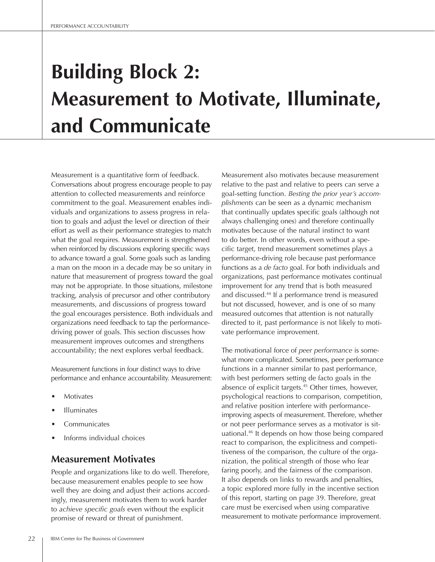# **Building Block 2: Measurement to Motivate, Illuminate, and Communicate**

Measurement is a quantitative form of feedback. Conversations about progress encourage people to pay attention to collected measurements and reinforce commitment to the goal. Measurement enables individuals and organizations to assess progress in relation to goals and adjust the level or direction of their effort as well as their performance strategies to match what the goal requires. Measurement is strengthened when reinforced by discussions exploring specific ways to advance toward a goal. Some goals such as landing a man on the moon in a decade may be so unitary in nature that measurement of progress toward the goal may not be appropriate. In those situations, milestone tracking, analysis of precursor and other contributory measurements, and discussions of progress toward the goal encourages persistence. Both individuals and organizations need feedback to tap the performancedriving power of goals. This section discusses how measurement improves outcomes and strengthens accountability; the next explores verbal feedback.

Measurement functions in four distinct ways to drive performance and enhance accountability. Measurement:

- **Motivates**
- Illuminates
- **Communicates**
- Informs individual choices

#### **Measurement Motivates**

People and organizations like to do well. Therefore, because measurement enables people to see how well they are doing and adjust their actions accordingly, measurement motivates them to work harder to *achieve specific goals* even without the explicit promise of reward or threat of punishment.

Measurement also motivates because measurement relative to the past and relative to peers can serve a goal-setting function. *Besting the prior year's accomplishments* can be seen as a dynamic mechanism that continually updates specific goals (although not always challenging ones) and therefore continually motivates because of the natural instinct to want to do better. In other words, even without a specific target, trend measurement sometimes plays a performance-driving role because past performance functions as a *de facto* goal. For both individuals and organizations, past performance motivates continual improvement for any trend that is both measured and discussed.<sup>44</sup> If a performance trend is measured but not discussed, however, and is one of so many measured outcomes that attention is not naturally directed to it, past performance is not likely to motivate performance improvement.

The motivational force of *peer performance* is somewhat more complicated. Sometimes, peer performance functions in a manner similar to past performance, with best performers setting de facto goals in the absence of explicit targets.<sup>45</sup> Other times, however, psychological reactions to comparison, competition, and relative position interfere with performanceimproving aspects of measurement. Therefore, whether or not peer performance serves as a motivator is situational.46 It depends on how those being compared react to comparison, the explicitness and competitiveness of the comparison, the culture of the organization, the political strength of those who fear faring poorly, and the fairness of the comparison. It also depends on links to rewards and penalties, a topic explored more fully in the incentive section of this report, starting on page 39. Therefore, great care must be exercised when using comparative measurement to motivate performance improvement.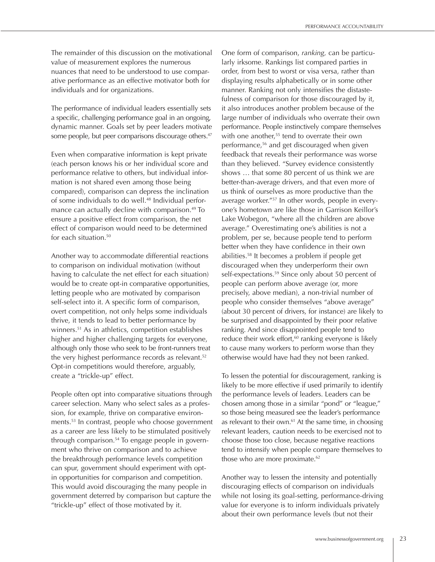The remainder of this discussion on the motivational value of measurement explores the numerous nuances that need to be understood to use comparative performance as an effective motivator both for individuals and for organizations.

The performance of individual leaders essentially sets a specific, challenging performance goal in an ongoing, dynamic manner. Goals set by peer leaders motivate some people, but peer comparisons discourage others.<sup>47</sup>

Even when comparative information is kept private (each person knows his or her individual score and performance relative to others, but individual information is not shared even among those being compared), comparison can depress the inclination of some individuals to do well.48 Individual performance can actually decline with comparison.49 To ensure a positive effect from comparison, the net effect of comparison would need to be determined for each situation.<sup>50</sup>

Another way to accommodate differential reactions to comparison on individual motivation (without having to calculate the net effect for each situation) would be to create opt-in comparative opportunities, letting people who are motivated by comparison self-select into it. A specific form of comparison, overt competition, not only helps some individuals thrive, it tends to lead to better performance by winners.<sup>51</sup> As in athletics, competition establishes higher and higher challenging targets for everyone, although only those who seek to be front-runners treat the very highest performance records as relevant.52 Opt-in competitions would therefore, arguably, create a "trickle-up" effect.

People often opt into comparative situations through career selection. Many who select sales as a profession, for example, thrive on comparative environments.53 In contrast, people who choose government as a career are less likely to be stimulated positively through comparison.<sup>54</sup> To engage people in government who thrive on comparison and to achieve the breakthrough performance levels competition can spur, government should experiment with optin opportunities for comparison and competition. This would avoid discouraging the many people in government deterred by comparison but capture the "trickle-up" effect of those motivated by it.

One form of comparison, *ranking,* can be particularly irksome. Rankings list compared parties in order, from best to worst or visa versa, rather than displaying results alphabetically or in some other manner. Ranking not only intensifies the distastefulness of comparison for those discouraged by it, it also introduces another problem because of the large number of individuals who overrate their own performance. People instinctively compare themselves with one another,<sup>55</sup> tend to overrate their own performance,56 and get discouraged when given feedback that reveals their performance was worse than they believed. "Survey evidence consistently shows … that some 80 percent of us think we are better-than-average drivers, and that even more of us think of ourselves as more productive than the average worker."57 In other words, people in everyone's hometown are like those in Garrison Keillor's Lake Wobegon, "where all the children are above average." Overestimating one's abilities is not a problem, per se, because people tend to perform better when they have confidence in their own abilities.58 It becomes a problem if people get discouraged when they underperform their own self-expectations.<sup>59</sup> Since only about 50 percent of people can perform above average (or, more precisely, above median), a non-trivial number of people who consider themselves "above average" (about 30 percent of drivers, for instance) are likely to be surprised and disappointed by their poor relative ranking. And since disappointed people tend to reduce their work effort, $60$  ranking everyone is likely to cause many workers to perform worse than they otherwise would have had they not been ranked.

To lessen the potential for discouragement, ranking is likely to be more effective if used primarily to identify the performance levels of leaders. Leaders can be chosen among those in a similar "pond" or "league," so those being measured see the leader's performance as relevant to their own. $61$  At the same time, in choosing relevant leaders, caution needs to be exercised not to choose those too close, because negative reactions tend to intensify when people compare themselves to those who are more proximate. $62$ 

Another way to lessen the intensity and potentially discouraging effects of comparison on individuals while not losing its goal-setting, performance-driving value for everyone is to inform individuals privately about their own performance levels (but not their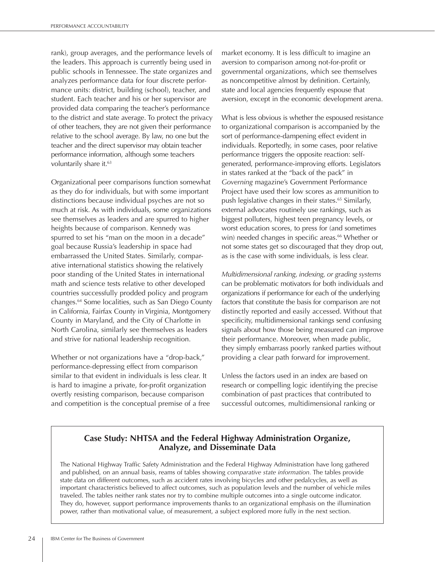rank), group averages, and the performance levels of the leaders. This approach is currently being used in public schools in Tennessee. The state organizes and analyzes performance data for four discrete performance units: district, building (school), teacher, and student. Each teacher and his or her supervisor are provided data comparing the teacher's performance to the district and state average. To protect the privacy of other teachers, they are not given their performance relative to the school average. By law, no one but the teacher and the direct supervisor may obtain teacher performance information, although some teachers voluntarily share it.<sup>63</sup>

Organizational peer comparisons function somewhat as they do for individuals, but with some important distinctions because individual psyches are not so much at risk. As with individuals, some organizations see themselves as leaders and are spurred to higher heights because of comparison. Kennedy was spurred to set his "man on the moon in a decade" goal because Russia's leadership in space had embarrassed the United States. Similarly, comparative international statistics showing the relatively poor standing of the United States in international math and science tests relative to other developed countries successfully prodded policy and program changes.64 Some localities, such as San Diego County in California, Fairfax County in Virginia, Montgomery County in Maryland, and the City of Charlotte in North Carolina, similarly see themselves as leaders and strive for national leadership recognition.

Whether or not organizations have a "drop-back," performance-depressing effect from comparison similar to that evident in individuals is less clear. It is hard to imagine a private, for-profit organization overtly resisting comparison, because comparison and competition is the conceptual premise of a free market economy. It is less difficult to imagine an aversion to comparison among not-for-profit or governmental organizations, which see themselves as noncompetitive almost by definition. Certainly, state and local agencies frequently espouse that aversion, except in the economic development arena.

What is less obvious is whether the espoused resistance to organizational comparison is accompanied by the sort of performance-dampening effect evident in individuals. Reportedly, in some cases, poor relative performance triggers the opposite reaction: selfgenerated, performance-improving efforts. Legislators in states ranked at the "back of the pack" in *Governing* magazine's Government Performance Project have used their low scores as ammunition to push legislative changes in their states.<sup>65</sup> Similarly, external advocates routinely use rankings, such as biggest polluters, highest teen pregnancy levels, or worst education scores, to press for (and sometimes win) needed changes in specific areas.<sup>66</sup> Whether or not some states get so discouraged that they drop out, as is the case with some individuals, is less clear.

*Multidimensional ranking, indexing, or grading systems* can be problematic motivators for both individuals and organizations if performance for each of the underlying factors that constitute the basis for comparison are not distinctly reported and easily accessed. Without that specificity, multidimensional rankings send confusing signals about how those being measured can improve their performance. Moreover, when made public, they simply embarrass poorly ranked parties without providing a clear path forward for improvement.

Unless the factors used in an index are based on research or compelling logic identifying the precise combination of past practices that contributed to successful outcomes, multidimensional ranking or

## **Case Study: NHTSA and the Federal Highway Administration Organize, Analyze, and Disseminate Data**

The National Highway Traffic Safety Administration and the Federal Highway Administration have long gathered and published, on an annual basis, reams of tables showing *comparative state information.* The tables provide state data on different outcomes, such as accident rates involving bicycles and other pedalcycles, as well as important characteristics believed to affect outcomes, such as population levels and the number of vehicle miles traveled. The tables neither rank states nor try to combine multiple outcomes into a single outcome indicator. They do, however, support performance improvements thanks to an organizational emphasis on the illumination power, rather than motivational value, of measurement, a subject explored more fully in the next section.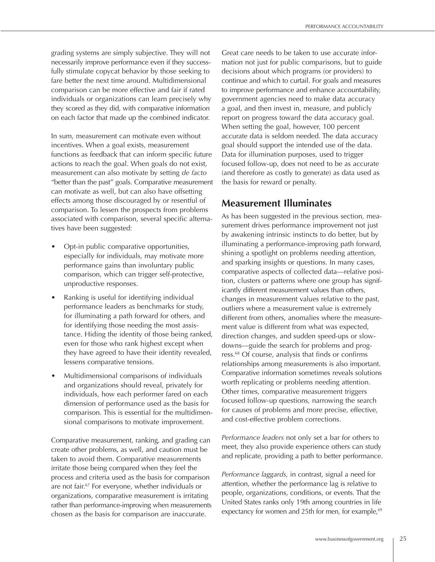grading systems are simply subjective. They will not necessarily improve performance even if they successfully stimulate copycat behavior by those seeking to fare better the next time around. Multidimensional comparison can be more effective and fair if rated individuals or organizations can learn precisely why they scored as they did, with comparative information on each factor that made up the combined indicator.

In sum, measurement can motivate even without incentives. When a goal exists, measurement functions as feedback that can inform specific future actions to reach the goal. When goals do not exist, measurement can also motivate by setting *de facto* "better than the past" goals. Comparative measurement can motivate as well, but can also have offsetting effects among those discouraged by or resentful of comparison. To lessen the prospects from problems associated with comparison, several specific alternatives have been suggested:

- Opt-in public comparative opportunities, especially for individuals, may motivate more performance gains than involuntary public comparison, which can trigger self-protective, unproductive responses.
- Ranking is useful for identifying individual performance leaders as benchmarks for study, for illuminating a path forward for others, and for identifying those needing the most assistance. Hiding the identity of those being ranked, even for those who rank highest except when they have agreed to have their identity revealed, lessens comparative tensions.
- Multidimensional comparisons of individuals and organizations should reveal, privately for individuals, how each performer fared on each dimension of performance used as the basis for comparison. This is essential for the multidimensional comparisons to motivate improvement.

Comparative measurement, ranking, and grading can create other problems, as well, and caution must be taken to avoid them. Comparative measurements irritate those being compared when they feel the process and criteria used as the basis for comparison are not fair.67 For everyone, whether individuals or organizations, comparative measurement is irritating rather than performance-improving when measurements chosen as the basis for comparison are inaccurate.

Great care needs to be taken to use accurate information not just for public comparisons, but to guide decisions about which programs (or providers) to continue and which to curtail. For goals and measures to improve performance and enhance accountability, government agencies need to make data accuracy a goal, and then invest in, measure, and publicly report on progress toward the data accuracy goal. When setting the goal, however, 100 percent accurate data is seldom needed. The data accuracy goal should support the intended use of the data. Data for illumination purposes, used to trigger focused follow-up, does not need to be as accurate (and therefore as costly to generate) as data used as the basis for reward or penalty.

## **Measurement Illuminates**

As has been suggested in the previous section, measurement drives performance improvement not just by awakening intrinsic instincts to do better, but by illuminating a performance-improving path forward, shining a spotlight on problems needing attention, and sparking insights or questions. In many cases, comparative aspects of collected data—relative position, clusters or patterns where one group has significantly different measurement values than others, changes in measurement values relative to the past, outliers where a measurement value is extremely different from others, anomalies where the measurement value is different from what was expected, direction changes, and sudden speed-ups or slowdowns—guide the search for problems and progress.68 Of course, analysis that finds or confirms relationships among measurements is also important. Comparative information sometimes reveals solutions worth replicating or problems needing attention. Other times, comparative measurement triggers focused follow-up questions, narrowing the search for causes of problems and more precise, effective, and cost-effective problem corrections.

*Performance leaders* not only set a bar for others to meet, they also provide experience others can study and replicate, providing a path to better performance.

*Performance laggards,* in contrast, signal a need for attention, whether the performance lag is relative to people, organizations, conditions, or events. That the United States ranks only 19th among countries in life expectancy for women and 25th for men, for example,<sup>69</sup>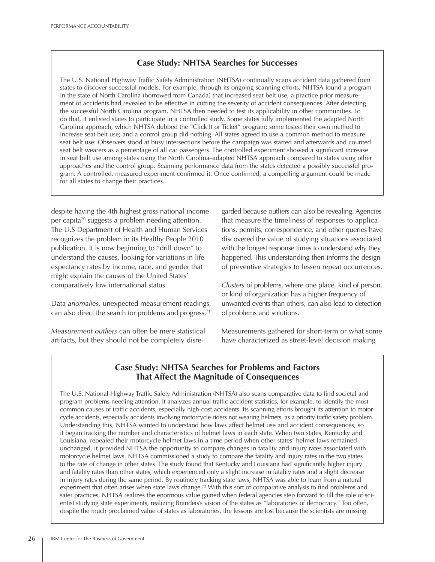## **Case Study: NHTSA Searches for Successes**

The U.S. National Highway Traffic Safety Administration (NHTSA) continually scans accident data gathered from states to discover successful models. For example, through its ongoing scanning efforts, NHTSA found a program in the state of North Carolina (borrowed from Canada) that increased seat belt use, a practice prior measurement of accidents had revealed to be effective in cutting the severity of accident consequences. After detecting the successful North Carolina program, NHTSA then needed to test its applicability in other communities. To do that, it enlisted states to participate in a controlled study. Some states fully implemented the adapted North Carolina approach, which NHTSA dubbed the "Click It or Ticket" program; some tested their own method to increase seat belt use; and a control group did nothing. All states agreed to use a common method to measure seat belt use: Observers stood at busy intersections before the campaign was started and afterwards and counted seat belt wearers as a percentage of all car passengers. The controlled experiment showed a significant increase in seat belt use among states using the North Carolina–adapted NHTSA approach compared to states using other approaches and the control group. Scanning performance data from the states detected a possibly successful program. A controlled, measured experiment confirmed it. Once confirmed, a compelling argument could be made for all states to change their practices.

despite having the 4th highest gross national income per capita70 suggests a problem needing attention. The U.S Department of Health and Human Services recognizes the problem in its Healthy People 2010 publication. It is now beginning to "drill down" to understand the causes, looking for variations in life expectancy rates by income, race, and gender that might explain the causes of the United States' comparatively low international status.

Data *anomalies,* unexpected measurement readings, can also direct the search for problems and progress.<sup>71</sup>

*Measurement outliers* can often be mere statistical artifacts, but they should not be completely disregarded because outliers can also be revealing. Agencies that measure the timeliness of responses to applications, permits, correspondence, and other queries have discovered the value of studying situations associated with the longest response times to understand why they happened. This understanding then informs the design of preventive strategies to lessen repeat occurrences.

*Clusters* of problems, where one place, kind of person, or kind of organization has a higher frequency of unwanted events than others, can also lead to detection of problems and solutions.

Measurements gathered for short-term or what some have characterized as street-level decision making

## **Case Study: NHTSA Searches for Problems and Factors That Affect the Magnitude of Consequences**

The U.S. National Highway Traffic Safety Administration (NHTSA) also scans comparative data to find societal and program problems needing attention. It analyzes annual traffic accident statistics, for example, to identify the most common causes of traffic accidents, especially high-cost accidents. Its scanning efforts brought its attention to motorcycle accidents, especially accidents involving motorcycle riders not wearing helmets, as a priority traffic safety problem. Understanding this, NHTSA wanted to understand how laws affect helmet use and accident consequences, so it began tracking the number and characteristics of helmet laws in each state. When two states, Kentucky and Louisiana, repealed their motorcycle helmet laws in a time period when other states' helmet laws remained unchanged, it provided NHTSA the opportunity to compare changes in fatality and injury rates associated with motorcycle helmet laws. NHTSA commissioned a study to compare the fatality and injury rates in the two states to the rate of change in other states. The study found that Kentucky and Louisiana had significantly higher injury and fatality rates than other states, which experienced only a slight increase in fatality rates and a slight decrease in injury rates during the same period. By routinely tracking state laws, NHTSA was able to learn from a natural experiment that often arises when state laws change.<sup>72</sup> With this sort of comparative analysis to find problems and safer practices, NHTSA realizes the enormous value gained when federal agencies step forward to fill the role of scientist studying state experiments, realizing Brandeis's vision of the states as "laboratories of democracy." Too often, despite the much proclaimed value of states as laboratories, the lessons are lost because the scientists are missing.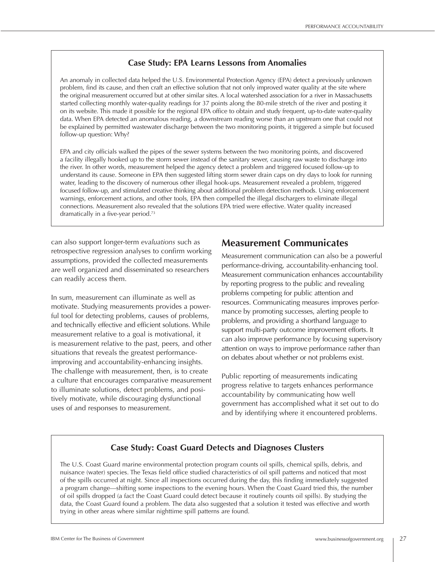## **Case Study: EPA Learns Lessons from Anomalies**

An anomaly in collected data helped the U.S. Environmental Protection Agency (EPA) detect a previously unknown problem, find its cause, and then craft an effective solution that not only improved water quality at the site where the original measurement occurred but at other similar sites. A local watershed association for a river in Massachusetts started collecting monthly water-quality readings for 37 points along the 80-mile stretch of the river and posting it on its website. This made it possible for the regional EPA office to obtain and study frequent, up-to-date water-quality data. When EPA detected an anomalous reading, a downstream reading worse than an upstream one that could not be explained by permitted wastewater discharge between the two monitoring points, it triggered a simple but focused follow-up question: Why?

EPA and city officials walked the pipes of the sewer systems between the two monitoring points, and discovered a facility illegally hooked up to the storm sewer instead of the sanitary sewer, causing raw waste to discharge into the river. In other words, measurement helped the agency detect a problem and triggered focused follow-up to understand its cause. Someone in EPA then suggested lifting storm sewer drain caps on dry days to look for running water, leading to the discovery of numerous other illegal hook-ups. Measurement revealed a problem, triggered focused follow-up, and stimulated creative thinking about additional problem detection methods. Using enforcement warnings, enforcement actions, and other tools, EPA then compelled the illegal dischargers to eliminate illegal connections. Measurement also revealed that the solutions EPA tried were effective. Water quality increased dramatically in a five-year period.<sup>73</sup>

can also support longer-term *evaluations* such as retrospective regression analyses to confirm working assumptions, provided the collected measurements are well organized and disseminated so researchers can readily access them.

In sum, measurement can illuminate as well as motivate. Studying measurements provides a powerful tool for detecting problems, causes of problems, and technically effective and efficient solutions. While measurement relative to a goal is motivational, it is measurement relative to the past, peers, and other situations that reveals the greatest performanceimproving and accountability-enhancing insights. The challenge with measurement, then, is to create a culture that encourages comparative measurement to illuminate solutions, detect problems, and positively motivate, while discouraging dysfunctional uses of and responses to measurement.

## **Measurement Communicates**

Measurement communication can also be a powerful performance-driving, accountability-enhancing tool. Measurement communication enhances accountability by reporting progress to the public and revealing problems competing for public attention and resources. Communicating measures improves performance by promoting successes, alerting people to problems, and providing a shorthand language to support multi-party outcome improvement efforts. It can also improve performance by focusing supervisory attention on ways to improve performance rather than on debates about whether or not problems exist.

Public reporting of measurements indicating progress relative to targets enhances performance accountability by communicating how well government has accomplished what it set out to do and by identifying where it encountered problems.

## **Case Study: Coast Guard Detects and Diagnoses Clusters**

The U.S. Coast Guard marine environmental protection program counts oil spills, chemical spills, debris, and nuisance (water) species. The Texas field office studied characteristics of oil spill patterns and noticed that most of the spills occurred at night. Since all inspections occurred during the day, this finding immediately suggested a program change—shifting some inspections to the evening hours. When the Coast Guard tried this, the number of oil spills dropped (a fact the Coast Guard could detect because it routinely counts oil spills). By studying the data, the Coast Guard found a problem. The data also suggested that a solution it tested was effective and worth trying in other areas where similar nighttime spill patterns are found.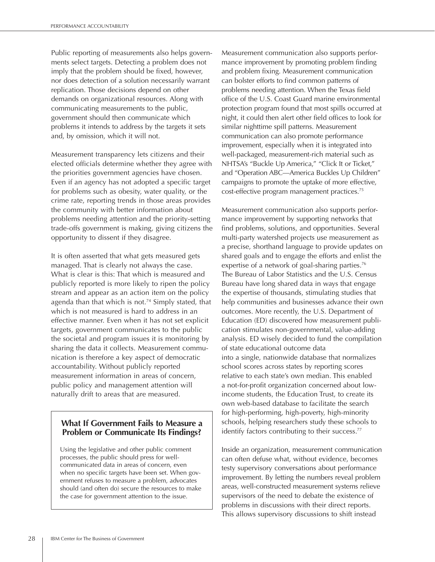Public reporting of measurements also helps governments select targets. Detecting a problem does not imply that the problem should be fixed, however, nor does detection of a solution necessarily warrant replication. Those decisions depend on other demands on organizational resources. Along with communicating measurements to the public, government should then communicate which problems it intends to address by the targets it sets and, by omission, which it will not.

Measurement transparency lets citizens and their elected officials determine whether they agree with the priorities government agencies have chosen. Even if an agency has not adopted a specific target for problems such as obesity, water quality, or the crime rate, reporting trends in those areas provides the community with better information about problems needing attention and the priority-setting trade-offs government is making, giving citizens the opportunity to dissent if they disagree.

It is often asserted that what gets measured gets managed. That is clearly not always the case. What is clear is this: That which is measured and publicly reported is more likely to ripen the policy stream and appear as an action item on the policy agenda than that which is not.<sup>74</sup> Simply stated, that which is not measured is hard to address in an effective manner. Even when it has not set explicit targets, government communicates to the public the societal and program issues it is monitoring by sharing the data it collects. Measurement communication is therefore a key aspect of democratic accountability. Without publicly reported measurement information in areas of concern, public policy and management attention will naturally drift to areas that are measured.

## **What If Government Fails to Measure a Problem or Communicate Its Findings?**

Using the legislative and other public comment processes, the public should press for wellcommunicated data in areas of concern, even when no specific targets have been set. When government refuses to measure a problem, advocates should (and often do) secure the resources to make the case for government attention to the issue.

Measurement communication also supports performance improvement by promoting problem finding and problem fixing. Measurement communication can bolster efforts to find common patterns of problems needing attention. When the Texas field office of the U.S. Coast Guard marine environmental protection program found that most spills occurred at night, it could then alert other field offices to look for similar nighttime spill patterns. Measurement communication can also promote performance improvement, especially when it is integrated into well-packaged, measurement-rich material such as NHTSA's "Buckle Up America," "Click It or Ticket," and "Operation ABC—America Buckles Up Children" campaigns to promote the uptake of more effective, cost-effective program management practices.75

Measurement communication also supports performance improvement by supporting networks that find problems, solutions, and opportunities. Several multi-party watershed projects use measurement as a precise, shorthand language to provide updates on shared goals and to engage the efforts and enlist the expertise of a network of goal-sharing parties.<sup>76</sup> The Bureau of Labor Statistics and the U.S. Census Bureau have long shared data in ways that engage the expertise of thousands, stimulating studies that help communities and businesses advance their own outcomes. More recently, the U.S. Department of Education (ED) discovered how measurement publication stimulates non-governmental, value-adding analysis. ED wisely decided to fund the compilation of state educational outcome data into a single, nationwide database that normalizes school scores across states by reporting scores relative to each state's own median. This enabled a not-for-profit organization concerned about lowincome students, the Education Trust, to create its own web-based database to facilitate the search for high-performing, high-poverty, high-minority schools, helping researchers study these schools to identify factors contributing to their success.<sup>77</sup>

Inside an organization, measurement communication can often defuse what, without evidence, becomes testy supervisory conversations about performance improvement. By letting the numbers reveal problem areas, well-constructed measurement systems relieve supervisors of the need to debate the existence of problems in discussions with their direct reports. This allows supervisory discussions to shift instead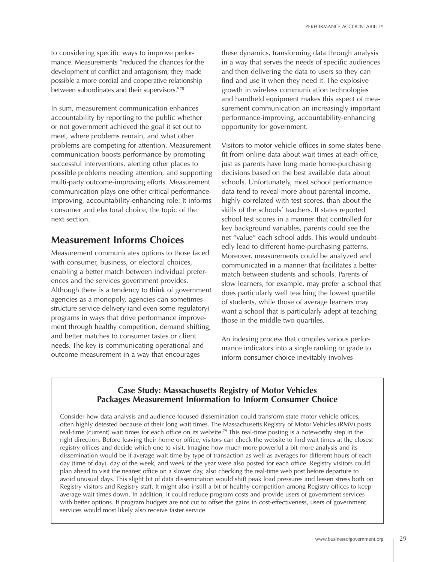to considering specific ways to improve performance. Measurements "reduced the chances for the development of conflict and antagonism; they made possible a more cordial and cooperative relationship between subordinates and their supervisors."78

In sum, measurement communication enhances accountability by reporting to the public whether or not government achieved the goal it set out to meet, where problems remain, and what other problems are competing for attention. Measurement communication boosts performance by promoting successful interventions, alerting other places to possible problems needing attention, and supporting multi-party outcome-improving efforts. Measurement communication plays one other critical performanceimproving, accountability-enhancing role: It informs consumer and electoral choice, the topic of the next section.

## **Measurement Informs Choices**

Measurement communicates options to those faced with consumer, business, or electoral choices, enabling a better match between individual preferences and the services government provides. Although there is a tendency to think of government agencies as a monopoly, agencies can sometimes structure service delivery (and even some regulatory) programs in ways that drive performance improvement through healthy competition, demand shifting, and better matches to consumer tastes or client needs. The key is communicating operational and outcome measurement in a way that encourages

these dynamics, transforming data through analysis in a way that serves the needs of specific audiences and then delivering the data to users so they can find and use it when they need it. The explosive growth in wireless communication technologies and handheld equipment makes this aspect of measurement communication an increasingly important performance-improving, accountability-enhancing opportunity for government.

Visitors to motor vehicle offices in some states benefit from online data about wait times at each office, just as parents have long made home-purchasing decisions based on the best available data about schools. Unfortunately, most school performance data tend to reveal more about parental income, highly correlated with test scores, than about the skills of the schools' teachers. If states reported school test scores in a manner that controlled for key background variables, parents could see the net "value" each school adds. This would undoubtedly lead to different home-purchasing patterns. Moreover, measurements could be analyzed and communicated in a manner that facilitates a better match between students and schools. Parents of slow learners, for example, may prefer a school that does particularly well teaching the lowest quartile of students, while those of average learners may want a school that is particularly adept at teaching those in the middle two quartiles.

An indexing process that compiles various performance indicators into a single ranking or grade to inform consumer choice inevitably involves

## **Case Study: Massachusetts Registry of Motor Vehicles Packages Measurement Information to Inform Consumer Choice**

Consider how data analysis and audience-focused dissemination could transform state motor vehicle offices, often highly detested because of their long wait times. The Massachusetts Registry of Motor Vehicles (RMV) posts real-time (current) wait times for each office on its website.79 This real-time posting is a noteworthy step in the right direction. Before leaving their home or office, visitors can check the website to find wait times at the closest registry offices and decide which one to visit. Imagine how much more powerful a bit more analysis and its dissemination would be if average wait time by type of transaction as well as averages for different hours of each day (time of day), day of the week, and week of the year were also posted for each office. Registry visitors could plan ahead to visit the nearest office on a slower day, also checking the real-time web post before departure to avoid unusual days. This slight bit of data dissemination would shift peak load pressures and lessen stress both on Registry visitors and Registry staff. It might also instill a bit of healthy competition among Registry offices to keep average wait times down. In addition, it could reduce program costs and provide users of government services with better options. If program budgets are not cut to offset the gains in cost-effectiveness, users of government services would most likely also receive faster service.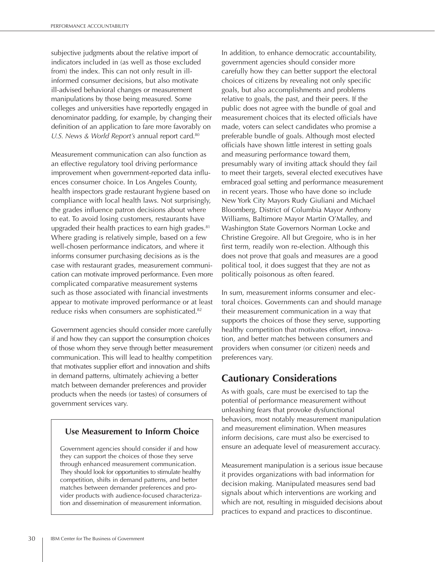subjective judgments about the relative import of indicators included in (as well as those excluded from) the index. This can not only result in illinformed consumer decisions, but also motivate ill-advised behavioral changes or measurement manipulations by those being measured. Some colleges and universities have reportedly engaged in denominator padding, for example, by changing their definition of an application to fare more favorably on *U.S. News & World Report's* annual report card.<sup>80</sup>

Measurement communication can also function as an effective regulatory tool driving performance improvement when government-reported data influences consumer choice. In Los Angeles County, health inspectors grade restaurant hygiene based on compliance with local health laws. Not surprisingly, the grades influence patron decisions about where to eat. To avoid losing customers, restaurants have upgraded their health practices to earn high grades.<sup>81</sup> Where grading is relatively simple, based on a few well-chosen performance indicators, and where it informs consumer purchasing decisions as is the case with restaurant grades, measurement communication can motivate improved performance. Even more complicated comparative measurement systems such as those associated with financial investments appear to motivate improved performance or at least reduce risks when consumers are sophisticated.82

Government agencies should consider more carefully if and how they can support the consumption choices of those whom they serve through better measurement communication. This will lead to healthy competition that motivates supplier effort and innovation and shifts in demand patterns, ultimately achieving a better match between demander preferences and provider products when the needs (or tastes) of consumers of government services vary.

#### **Use Measurement to Inform Choice**

Government agencies should consider if and how they can support the choices of those they serve through enhanced measurement communication. They should look for opportunities to stimulate healthy competition, shifts in demand patterns, and better matches between demander preferences and provider products with audience-focused characterization and dissemination of measurement information.

In addition, to enhance democratic accountability, government agencies should consider more carefully how they can better support the electoral choices of citizens by revealing not only specific goals, but also accomplishments and problems relative to goals, the past, and their peers. If the public does not agree with the bundle of goal and measurement choices that its elected officials have made, voters can select candidates who promise a preferable bundle of goals. Although most elected officials have shown little interest in setting goals and measuring performance toward them, presumably wary of inviting attack should they fail to meet their targets, several elected executives have embraced goal setting and performance measurement in recent years. Those who have done so include New York City Mayors Rudy Giuliani and Michael Bloomberg, District of Columbia Mayor Anthony Williams, Baltimore Mayor Martin O'Malley, and Washington State Governors Norman Locke and Christine Gregoire. All but Gregoire, who is in her first term, readily won re-election. Although this does not prove that goals and measures are a good political tool, it does suggest that they are not as politically poisonous as often feared.

In sum, measurement informs consumer and electoral choices. Governments can and should manage their measurement communication in a way that supports the choices of those they serve, supporting healthy competition that motivates effort, innovation, and better matches between consumers and providers when consumer (or citizen) needs and preferences vary.

## **Cautionary Considerations**

As with goals, care must be exercised to tap the potential of performance measurement without unleashing fears that provoke dysfunctional behaviors, most notably measurement manipulation and measurement elimination. When measures inform decisions, care must also be exercised to ensure an adequate level of measurement accuracy.

Measurement manipulation is a serious issue because it provides organizations with bad information for decision making. Manipulated measures send bad signals about which interventions are working and which are not, resulting in misguided decisions about practices to expand and practices to discontinue.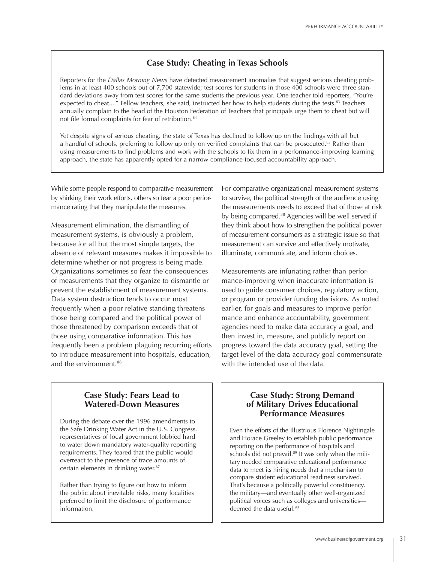## **Case Study: Cheating in Texas Schools**

Reporters for the *Dallas Morning News* have detected measurement anomalies that suggest serious cheating problems in at least 400 schools out of 7,700 statewide; test scores for students in those 400 schools were three standard deviations away from test scores for the same students the previous year. One teacher told reporters, "You're expected to cheat...." Fellow teachers, she said, instructed her how to help students during the tests.<sup>83</sup> Teachers annually complain to the head of the Houston Federation of Teachers that principals urge them to cheat but will not file formal complaints for fear of retribution.84

Yet despite signs of serious cheating, the state of Texas has declined to follow up on the findings with all but a handful of schools, preferring to follow up only on verified complaints that can be prosecuted.<sup>85</sup> Rather than using measurements to find problems and work with the schools to fix them in a performance-improving learning approach, the state has apparently opted for a narrow compliance-focused accountability approach.

While some people respond to comparative measurement by shirking their work efforts, others so fear a poor performance rating that they manipulate the measures.

Measurement elimination, the dismantling of measurement systems, is obviously a problem, because for all but the most simple targets, the absence of relevant measures makes it impossible to determine whether or not progress is being made. Organizations sometimes so fear the consequences of measurements that they organize to dismantle or prevent the establishment of measurement systems. Data system destruction tends to occur most frequently when a poor relative standing threatens those being compared and the political power of those threatened by comparison exceeds that of those using comparative information. This has frequently been a problem plaguing recurring efforts to introduce measurement into hospitals, education, and the environment.<sup>86</sup>

For comparative organizational measurement systems to survive, the political strength of the audience using the measurements needs to exceed that of those at risk by being compared.<sup>88</sup> Agencies will be well served if they think about how to strengthen the political power of measurement consumers as a strategic issue so that measurement can survive and effectively motivate, illuminate, communicate, and inform choices.

Measurements are infuriating rather than performance-improving when inaccurate information is used to guide consumer choices, regulatory action, or program or provider funding decisions. As noted earlier, for goals and measures to improve performance and enhance accountability, government agencies need to make data accuracy a goal, and then invest in, measure, and publicly report on progress toward the data accuracy goal, setting the target level of the data accuracy goal commensurate with the intended use of the data.

#### **Case Study: Fears Lead to Watered-Down Measures**

During the debate over the 1996 amendments to the Safe Drinking Water Act in the U.S. Congress, representatives of local government lobbied hard to water down mandatory water-quality reporting requirements. They feared that the public would overreact to the presence of trace amounts of certain elements in drinking water.87

Rather than trying to figure out how to inform the public about inevitable risks, many localities preferred to limit the disclosure of performance information.

#### **Case Study: Strong Demand of Military Drives Educational Performance Measures**

Even the efforts of the illustrious Florence Nightingale and Horace Greeley to establish public performance reporting on the performance of hospitals and schools did not prevail.<sup>89</sup> It was only when the military needed comparative educational performance data to meet its hiring needs that a mechanism to compare student educational readiness survived. That's because a politically powerful constituency, the military—and eventually other well-organized political voices such as colleges and universities deemed the data useful.<sup>90</sup>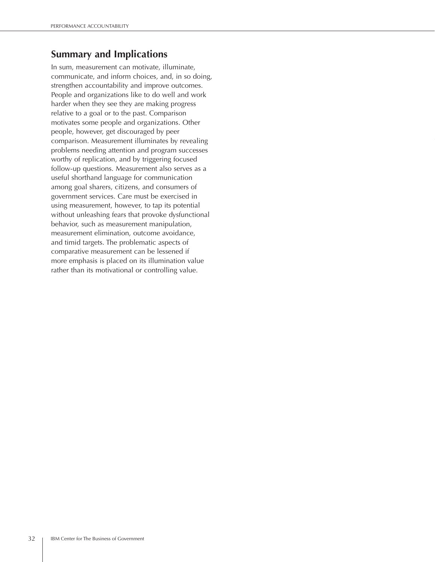## **Summary and Implications**

In sum, measurement can motivate, illuminate, communicate, and inform choices, and, in so doing, strengthen accountability and improve outcomes. People and organizations like to do well and work harder when they see they are making progress relative to a goal or to the past. Comparison motivates some people and organizations. Other people, however, get discouraged by peer comparison. Measurement illuminates by revealing problems needing attention and program successes worthy of replication, and by triggering focused follow-up questions. Measurement also serves as a useful shorthand language for communication among goal sharers, citizens, and consumers of government services. Care must be exercised in using measurement, however, to tap its potential without unleashing fears that provoke dysfunctional behavior, such as measurement manipulation, measurement elimination, outcome avoidance, and timid targets. The problematic aspects of comparative measurement can be lessened if more emphasis is placed on its illumination value rather than its motivational or controlling value.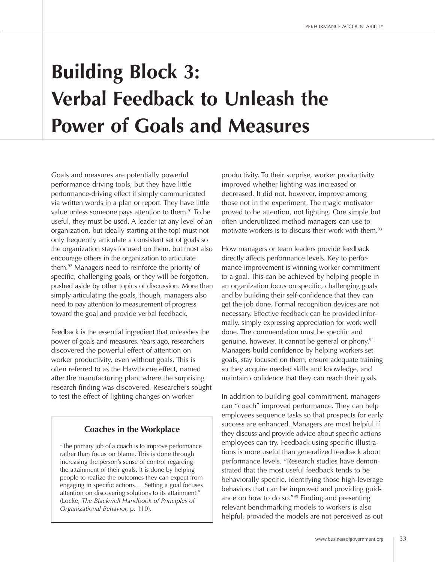# **Building Block 3: Verbal Feedback to Unleash the Power of Goals and Measures**

Goals and measures are potentially powerful performance-driving tools, but they have little performance-driving effect if simply communicated via written words in a plan or report. They have little value unless someone pays attention to them.<sup>91</sup> To be useful, they must be used. A leader (at any level of an organization, but ideally starting at the top) must not only frequently articulate a consistent set of goals so the organization stays focused on them, but must also encourage others in the organization to articulate them.92 Managers need to reinforce the priority of specific, challenging goals, or they will be forgotten, pushed aside by other topics of discussion. More than simply articulating the goals, though, managers also need to pay attention to measurement of progress toward the goal and provide verbal feedback.

Feedback is the essential ingredient that unleashes the power of goals and measures. Years ago, researchers discovered the powerful effect of attention on worker productivity, even without goals. This is often referred to as the Hawthorne effect, named after the manufacturing plant where the surprising research finding was discovered. Researchers sought to test the effect of lighting changes on worker

## **Coaches in the Workplace**

"The primary job of a coach is to improve performance rather than focus on blame. This is done through increasing the person's sense of control regarding the attainment of their goals. It is done by helping people to realize the outcomes they can expect from engaging in specific actions…. Setting a goal focuses attention on discovering solutions to its attainment." (Locke, *The Blackwell Handbook of Principles of Organizational Behavior,* p. 110).

productivity. To their surprise, worker productivity improved whether lighting was increased or decreased. It did not, however, improve among those not in the experiment. The magic motivator proved to be attention, not lighting. One simple but often underutilized method managers can use to motivate workers is to discuss their work with them.<sup>93</sup>

How managers or team leaders provide feedback directly affects performance levels. Key to performance improvement is winning worker commitment to a goal. This can be achieved by helping people in an organization focus on specific, challenging goals and by building their self-confidence that they can get the job done. Formal recognition devices are not necessary. Effective feedback can be provided informally, simply expressing appreciation for work well done. The commendation must be specific and genuine, however. It cannot be general or phony.<sup>94</sup> Managers build confidence by helping workers set goals, stay focused on them, ensure adequate training so they acquire needed skills and knowledge, and maintain confidence that they can reach their goals.

In addition to building goal commitment, managers can "coach" improved performance. They can help employees sequence tasks so that prospects for early success are enhanced. Managers are most helpful if they discuss and provide advice about specific actions employees can try. Feedback using specific illustrations is more useful than generalized feedback about performance levels. "Research studies have demonstrated that the most useful feedback tends to be behaviorally specific, identifying those high-leverage behaviors that can be improved and providing guidance on how to do so."95 Finding and presenting relevant benchmarking models to workers is also helpful, provided the models are not perceived as out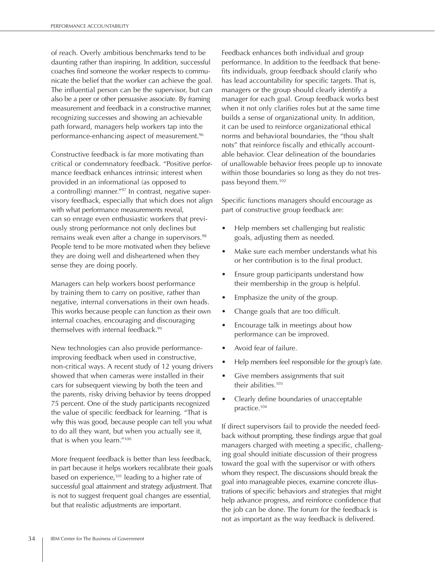of reach. Overly ambitious benchmarks tend to be daunting rather than inspiring. In addition, successful coaches find someone the worker respects to communicate the belief that the worker can achieve the goal. The influential person can be the supervisor, but can also be a peer or other persuasive associate. By framing measurement and feedback in a constructive manner, recognizing successes and showing an achievable path forward, managers help workers tap into the performance-enhancing aspect of measurement.<sup>96</sup>

Constructive feedback is far more motivating than critical or condemnatory feedback. "Positive performance feedback enhances intrinsic interest when provided in an informational (as opposed to a controlling) manner."97 In contrast, negative supervisory feedback, especially that which does not align with what performance measurements reveal, can so enrage even enthusiastic workers that previously strong performance not only declines but remains weak even after a change in supervisors.<sup>98</sup> People tend to be more motivated when they believe they are doing well and disheartened when they sense they are doing poorly.

Managers can help workers boost performance by training them to carry on positive, rather than negative, internal conversations in their own heads. This works because people can function as their own internal coaches, encouraging and discouraging themselves with internal feedback.99

New technologies can also provide performanceimproving feedback when used in constructive, non-critical ways. A recent study of 12 young drivers showed that when cameras were installed in their cars for subsequent viewing by both the teen and the parents, risky driving behavior by teens dropped 75 percent. One of the study participants recognized the value of specific feedback for learning. "That is why this was good, because people can tell you what to do all they want, but when you actually see it, that is when you learn."100

More frequent feedback is better than less feedback, in part because it helps workers recalibrate their goals based on experience,<sup>101</sup> leading to a higher rate of successful goal attainment and strategy adjustment. That is not to suggest frequent goal changes are essential, but that realistic adjustments are important.

Feedback enhances both individual and group performance. In addition to the feedback that benefits individuals, group feedback should clarify who has lead accountability for specific targets. That is, managers or the group should clearly identify a manager for each goal. Group feedback works best when it not only clarifies roles but at the same time builds a sense of organizational unity. In addition, it can be used to reinforce organizational ethical norms and behavioral boundaries, the "thou shalt nots" that reinforce fiscally and ethically accountable behavior. Clear delineation of the boundaries of unallowable behavior frees people up to innovate within those boundaries so long as they do not trespass beyond them.102

Specific functions managers should encourage as part of constructive group feedback are:

- Help members set challenging but realistic goals, adjusting them as needed.
- Make sure each member understands what his or her contribution is to the final product.
- Ensure group participants understand how their membership in the group is helpful.
- Emphasize the unity of the group.
- Change goals that are too difficult.
- Encourage talk in meetings about how performance can be improved.
- Avoid fear of failure.
- Help members feel responsible for the group's fate.
- Give members assignments that suit their abilities.<sup>103</sup>
- Clearly define boundaries of unacceptable practice.104

If direct supervisors fail to provide the needed feedback without prompting, these findings argue that goal managers charged with meeting a specific, challenging goal should initiate discussion of their progress toward the goal with the supervisor or with others whom they respect. The discussions should break the goal into manageable pieces, examine concrete illustrations of specific behaviors and strategies that might help advance progress, and reinforce confidence that the job can be done. The forum for the feedback is not as important as the way feedback is delivered.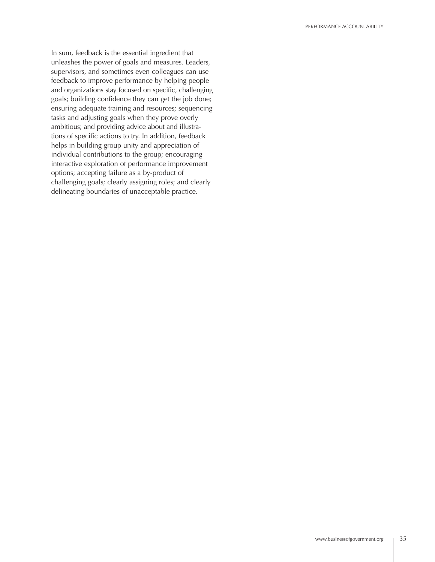In sum, feedback is the essential ingredient that unleashes the power of goals and measures. Leaders, supervisors, and sometimes even colleagues can use feedback to improve performance by helping people and organizations stay focused on specific, challenging goals; building confidence they can get the job done; ensuring adequate training and resources; sequencing tasks and adjusting goals when they prove overly ambitious; and providing advice about and illustrations of specific actions to try. In addition, feedback helps in building group unity and appreciation of individual contributions to the group; encouraging interactive exploration of performance improvement options; accepting failure as a by-product of challenging goals; clearly assigning roles; and clearly delineating boundaries of unacceptable practice.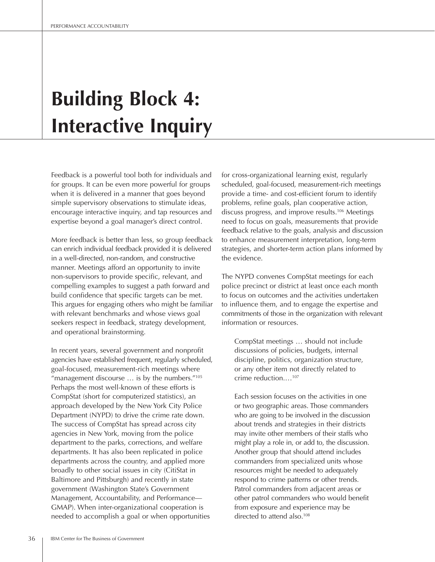# **Building Block 4: Interactive Inquiry**

Feedback is a powerful tool both for individuals and for groups. It can be even more powerful for groups when it is delivered in a manner that goes beyond simple supervisory observations to stimulate ideas, encourage interactive inquiry, and tap resources and expertise beyond a goal manager's direct control.

More feedback is better than less, so group feedback can enrich individual feedback provided it is delivered in a well-directed, non-random, and constructive manner. Meetings afford an opportunity to invite non-supervisors to provide specific, relevant, and compelling examples to suggest a path forward and build confidence that specific targets can be met. This argues for engaging others who might be familiar with relevant benchmarks and whose views goal seekers respect in feedback, strategy development, and operational brainstorming.

In recent years, several government and nonprofit agencies have established frequent, regularly scheduled, goal-focused, measurement-rich meetings where "management discourse  $\ldots$  is by the numbers."<sup>105</sup> Perhaps the most well-known of these efforts is CompStat (short for computerized statistics), an approach developed by the New York City Police Department (NYPD) to drive the crime rate down. The success of CompStat has spread across city agencies in New York, moving from the police department to the parks, corrections, and welfare departments. It has also been replicated in police departments across the country, and applied more broadly to other social issues in city (CitiStat in Baltimore and Pittsburgh) and recently in state government (Washington State's Government Management, Accountability, and Performance— GMAP). When inter-organizational cooperation is needed to accomplish a goal or when opportunities

for cross-organizational learning exist, regularly scheduled, goal-focused, measurement-rich meetings provide a time- and cost-efficient forum to identify problems, refine goals, plan cooperative action, discuss progress, and improve results.106 Meetings need to focus on goals, measurements that provide feedback relative to the goals, analysis and discussion to enhance measurement interpretation, long-term strategies, and shorter-term action plans informed by the evidence.

The NYPD convenes CompStat meetings for each police precinct or district at least once each month to focus on outcomes and the activities undertaken to influence them, and to engage the expertise and commitments of those in the organization with relevant information or resources.

CompStat meetings … should not include discussions of policies, budgets, internal discipline, politics, organization structure, or any other item not directly related to crime reduction.…107

Each session focuses on the activities in one or two geographic areas. Those commanders who are going to be involved in the discussion about trends and strategies in their districts may invite other members of their staffs who might play a role in, or add to, the discussion. Another group that should attend includes commanders from specialized units whose resources might be needed to adequately respond to crime patterns or other trends. Patrol commanders from adjacent areas or other patrol commanders who would benefit from exposure and experience may be directed to attend also.<sup>108</sup>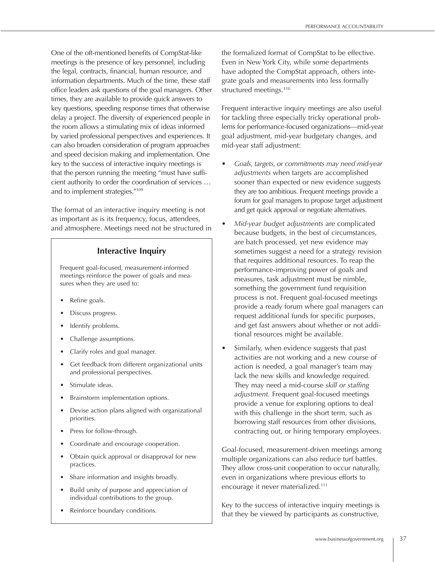One of the oft-mentioned benefits of CompStat-like meetings is the presence of key personnel, including the legal, contracts, financial, human resource, and information departments. Much of the time, these staff office leaders ask questions of the goal managers. Other times, they are available to provide quick answers to key questions, speeding response times that otherwise delay a project. The diversity of experienced people in the room allows a stimulating mix of ideas informed by varied professional perspectives and experiences. It can also broaden consideration of program approaches and speed decision making and implementation. One key to the success of interactive inquiry meetings is that the person running the meeting "must have sufficient authority to order the coordination of services … and to implement strategies."109

The format of an interactive inquiry meeting is not as important as is its frequency, focus, attendees, and atmosphere. Meetings need not be structured in

## **Interactive Inquiry**

Frequent goal-focused, measurement-informed meetings reinforce the power of goals and measures when they are used to:

- Refine goals.
- Discuss progress.
- Identify problems.
- Challenge assumptions.
- Clarify roles and goal manager.
- Get feedback from different organizational units and professional perspectives.
- Stimulate ideas.
- Brainstorm implementation options.
- Devise action plans aligned with organizational priorities.
- Press for follow-through.
- Coordinate and encourage cooperation.
- Obtain quick approval or disapproval for new practices.
- Share information and insights broadly.
- Build unity of purpose and appreciation of individual contributions to the group.
- Reinforce boundary conditions.

the formalized format of CompStat to be effective. Even in New York City, while some departments have adopted the CompStat approach, others integrate goals and measurements into less formally structured meetings.<sup>110</sup>

Frequent interactive inquiry meetings are also useful for tackling three especially tricky operational problems for performance-focused organizations—mid-year goal adjustment, mid-year budgetary changes, and mid-year staff adjustment:

- *Goals, targets, or commitments may need mid-year adjustments* when targets are accomplished sooner than expected or new evidence suggests they are too ambitious. Frequent meetings provide a forum for goal managers to propose target adjustment and get quick approval or negotiate alternatives.
- *Mid-year budget adjustments* are complicated because budgets, in the best of circumstances, are batch processed, yet new evidence may sometimes suggest a need for a strategy revision that requires additional resources. To reap the performance-improving power of goals and measures, task adjustment must be nimble, something the government fund requisition process is not. Frequent goal-focused meetings provide a ready forum where goal managers can request additional funds for specific purposes, and get fast answers about whether or not additional resources might be available.
- Similarly, when evidence suggests that past activities are not working and a new course of action is needed, a goal manager's team may lack the new skills and knowledge required. They may need a mid-course *skill or staffing adjustment.* Frequent goal-focused meetings provide a venue for exploring options to deal with this challenge in the short term, such as borrowing staff resources from other divisions, contracting out, or hiring temporary employees.

Goal-focused, measurement-driven meetings among multiple organizations can also reduce turf battles. They allow cross-unit cooperation to occur naturally, even in organizations where previous efforts to encourage it never materialized.111

Key to the success of interactive inquiry meetings is that they be viewed by participants as constructive,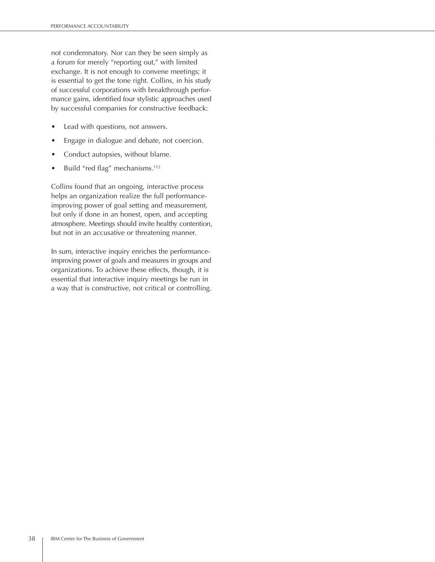not condemnatory. Nor can they be seen simply as a forum for merely "reporting out," with limited exchange. It is not enough to convene meetings; it is essential to get the tone right. Collins, in his study of successful corporations with breakthrough performance gains, identified four stylistic approaches used by successful companies for constructive feedback:

- Lead with questions, not answers.
- Engage in dialogue and debate, not coercion.
- Conduct autopsies, without blame.
- Build "red flag" mechanisms.<sup>112</sup>

Collins found that an ongoing, interactive process helps an organization realize the full performanceimproving power of goal setting and measurement, but only if done in an honest, open, and accepting atmosphere. Meetings should invite healthy contention, but not in an accusative or threatening manner.

In sum, interactive inquiry enriches the performanceimproving power of goals and measures in groups and organizations. To achieve these effects, though, it is essential that interactive inquiry meetings be run in a way that is constructive, not critical or controlling.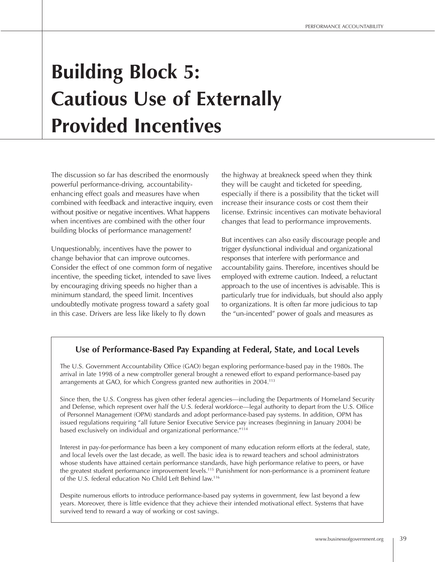# **Building Block 5: Cautious Use of Externally Provided Incentives**

The discussion so far has described the enormously powerful performance-driving, accountabilityenhancing effect goals and measures have when combined with feedback and interactive inquiry, even without positive or negative incentives. What happens when incentives are combined with the other four building blocks of performance management?

Unquestionably, incentives have the power to change behavior that can improve outcomes. Consider the effect of one common form of negative incentive, the speeding ticket, intended to save lives by encouraging driving speeds no higher than a minimum standard, the speed limit. Incentives undoubtedly motivate progress toward a safety goal in this case. Drivers are less like likely to fly down

the highway at breakneck speed when they think they will be caught and ticketed for speeding, especially if there is a possibility that the ticket will increase their insurance costs or cost them their license. Extrinsic incentives can motivate behavioral changes that lead to performance improvements.

But incentives can also easily discourage people and trigger dysfunctional individual and organizational responses that interfere with performance and accountability gains. Therefore, incentives should be employed with extreme caution. Indeed, a reluctant approach to the use of incentives is advisable. This is particularly true for individuals, but should also apply to organizations. It is often far more judicious to tap the "un-incented" power of goals and measures as

## **Use of Performance-Based Pay Expanding at Federal, State, and Local Levels**

The U.S. Government Accountability Office (GAO) began exploring performance-based pay in the 1980s. The arrival in late 1998 of a new comptroller general brought a renewed effort to expand performance-based pay arrangements at GAO, for which Congress granted new authorities in 2004.113

Since then, the U.S. Congress has given other federal agencies—including the Departments of Homeland Security and Defense, which represent over half the U.S. federal workforce—legal authority to depart from the U.S. Office of Personnel Management (OPM) standards and adopt performance-based pay systems. In addition, OPM has issued regulations requiring "all future Senior Executive Service pay increases (beginning in January 2004) be based exclusively on individual and organizational performance."114

Interest in pay-for-performance has been a key component of many education reform efforts at the federal, state, and local levels over the last decade, as well. The basic idea is to reward teachers and school administrators whose students have attained certain performance standards, have high performance relative to peers, or have the greatest student performance improvement levels.115 Punishment for non-performance is a prominent feature of the U.S. federal education No Child Left Behind law.116

Despite numerous efforts to introduce performance-based pay systems in government, few last beyond a few years. Moreover, there is little evidence that they achieve their intended motivational effect. Systems that have survived tend to reward a way of working or cost savings.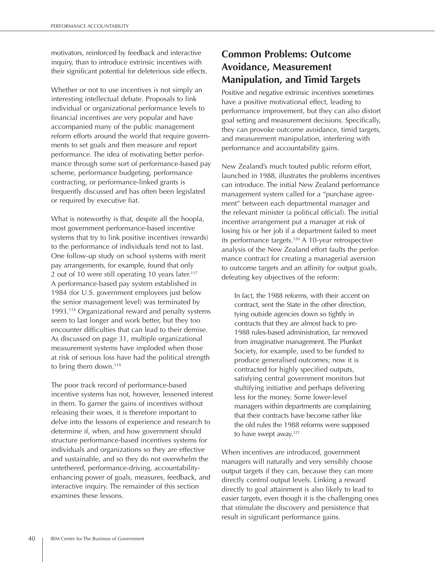motivators, reinforced by feedback and interactive inquiry, than to introduce extrinsic incentives with their significant potential for deleterious side effects.

Whether or not to use incentives is not simply an interesting intellectual debate. Proposals to link individual or organizational performance levels to financial incentives are very popular and have accompanied many of the public management reform efforts around the world that require governments to set goals and then measure and report performance. The idea of motivating better performance through some sort of performance-based pay scheme, performance budgeting, performance contracting, or performance-linked grants is frequently discussed and has often been legislated or required by executive fiat.

What is noteworthy is that, despite all the hoopla, most government performance-based incentive systems that try to link positive incentives (rewards) to the performance of individuals tend not to last. One follow-up study on school systems with merit pay arrangements, for example, found that only 2 out of 10 were still operating 10 years later.<sup>117</sup> A performance-based pay system established in 1984 (for U.S. government employees just below the senior management level) was terminated by 1993.<sup>118</sup> Organizational reward and penalty systems seem to last longer and work better, but they too encounter difficulties that can lead to their demise. As discussed on page 31, multiple organizational measurement systems have imploded when those at risk of serious loss have had the political strength to bring them down.<sup>119</sup>

The poor track record of performance-based incentive systems has not, however, lessened interest in them. To garner the gains of incentives without releasing their woes, it is therefore important to delve into the lessons of experience and research to determine if, when, and how government should structure performance-based incentives systems for individuals and organizations so they are effective and sustainable, and so they do not overwhelm the untethered, performance-driving, accountabilityenhancing power of goals, measures, feedback, and interactive inquiry. The remainder of this section examines these lessons.

## **Common Problems: Outcome Avoidance, Measurement Manipulation, and Timid Targets**

Positive and negative extrinsic incentives sometimes have a positive motivational effect, leading to performance improvement, but they can also distort goal setting and measurement decisions. Specifically, they can provoke outcome avoidance, timid targets, and measurement manipulation, interfering with performance and accountability gains.

New Zealand's much touted public reform effort, launched in 1988, illustrates the problems incentives can introduce. The initial New Zealand performance management system called for a "purchase agreement" between each departmental manager and the relevant minister (a political official). The initial incentive arrangement put a manager at risk of losing his or her job if a department failed to meet its performance targets.<sup>120</sup> A 10-year retrospective analysis of the New Zealand effort faults the performance contract for creating a managerial aversion to outcome targets and an affinity for output goals, defeating key objectives of the reform:

In fact, the 1988 reforms, with their accent on contract, sent the State in the other direction, tying outside agencies down so tightly in contracts that they are almost back to pre-1988 rules-based administration, far removed from imaginative management. The Plunket Society, for example, used to be funded to produce generalised outcomes; now it is contracted for highly specified outputs, satisfying central government monitors but stultifying initiative and perhaps delivering less for the money. Some lower-level managers within departments are complaining that their contracts have become rather like the old rules the 1988 reforms were supposed to have swept away.<sup>121</sup>

When incentives are introduced, government managers will naturally and very sensibly choose output targets if they can, because they can more directly control output levels. Linking a reward directly to goal attainment is also likely to lead to easier targets, even though it is the challenging ones that stimulate the discovery and persistence that result in significant performance gains.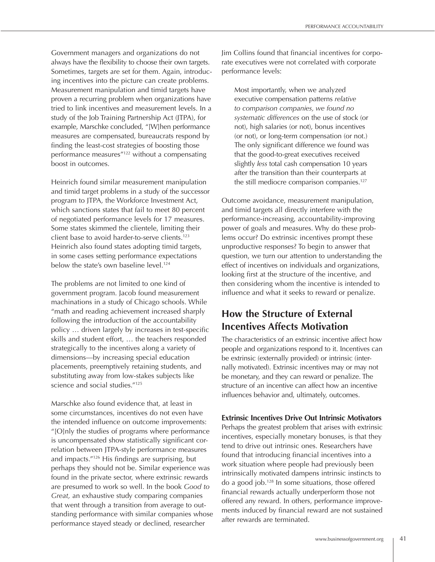Government managers and organizations do not always have the flexibility to choose their own targets. Sometimes, targets are set for them. Again, introducing incentives into the picture can create problems. Measurement manipulation and timid targets have proven a recurring problem when organizations have tried to link incentives and measurement levels. In a study of the Job Training Partnership Act (JTPA), for example, Marschke concluded, "[W]hen performance measures are compensated, bureaucrats respond by finding the least-cost strategies of boosting those performance measures"122 without a compensating boost in outcomes.

Heinrich found similar measurement manipulation and timid target problems in a study of the successor program to JTPA, the Workforce Investment Act, which sanctions states that fail to meet 80 percent of negotiated performance levels for 17 measures. Some states skimmed the clientele, limiting their client base to avoid harder-to-serve clients.123 Heinrich also found states adopting timid targets, in some cases setting performance expectations below the state's own baseline level.<sup>124</sup>

The problems are not limited to one kind of government program. Jacob found measurement machinations in a study of Chicago schools. While "math and reading achievement increased sharply following the introduction of the accountability policy … driven largely by increases in test-specific skills and student effort, … the teachers responded strategically to the incentives along a variety of dimensions—by increasing special education placements, preemptively retaining students, and substituting away from low-stakes subjects like science and social studies."125

Marschke also found evidence that, at least in some circumstances, incentives do not even have the intended influence on outcome improvements: "[O]nly the studies of programs where performance is uncompensated show statistically significant correlation between JTPA-style performance measures and impacts."126 His findings are surprising, but perhaps they should not be. Similar experience was found in the private sector, where extrinsic rewards are presumed to work so well. In the book *Good to Great,* an exhaustive study comparing companies that went through a transition from average to outstanding performance with similar companies whose performance stayed steady or declined, researcher

Jim Collins found that financial incentives for corporate executives were not correlated with corporate performance levels:

Most importantly, when we analyzed executive compensation patterns *relative to comparison companies, we found no systematic differences* on the use of stock (or not), high salaries (or not), bonus incentives (or not), or long-term compensation (or not.) The only significant difference we found was that the good-to-great executives received slightly *less* total cash compensation 10 years after the transition than their counterparts at the still mediocre comparison companies.<sup>127</sup>

Outcome avoidance, measurement manipulation, and timid targets all directly interfere with the performance-increasing, accountability-improving power of goals and measures. Why do these problems occur? Do extrinsic incentives prompt these unproductive responses? To begin to answer that question, we turn our attention to understanding the effect of incentives on individuals and organizations, looking first at the structure of the incentive, and then considering whom the incentive is intended to influence and what it seeks to reward or penalize.

## **How the Structure of External Incentives Affects Motivation**

The characteristics of an extrinsic incentive affect how people and organizations respond to it. Incentives can be extrinsic (externally provided) or intrinsic (internally motivated). Extrinsic incentives may or may not be monetary, and they can reward or penalize. The structure of an incentive can affect how an incentive influences behavior and, ultimately, outcomes.

## **Extrinsic Incentives Drive Out Intrinsic Motivators**

Perhaps the greatest problem that arises with extrinsic incentives, especially monetary bonuses, is that they tend to drive out intrinsic ones. Researchers have found that introducing financial incentives into a work situation where people had previously been intrinsically motivated dampens intrinsic instincts to do a good job.128 In some situations, those offered financial rewards actually underperform those not offered any reward. In others, performance improvements induced by financial reward are not sustained after rewards are terminated.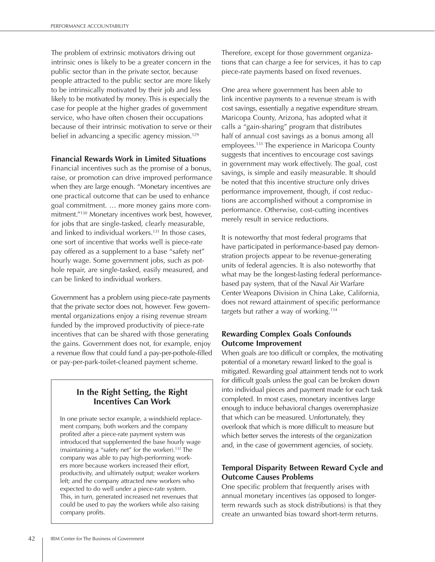The problem of extrinsic motivators driving out intrinsic ones is likely to be a greater concern in the public sector than in the private sector, because people attracted to the public sector are more likely to be intrinsically motivated by their job and less likely to be motivated by money. This is especially the case for people at the higher grades of government service, who have often chosen their occupations because of their intrinsic motivation to serve or their belief in advancing a specific agency mission.<sup>129</sup>

#### **Financial Rewards Work in Limited Situations**

Financial incentives such as the promise of a bonus, raise, or promotion can drive improved performance when they are large enough. "Monetary incentives are one practical outcome that can be used to enhance goal commitment. … more money gains more commitment."130 Monetary incentives work best, however, for jobs that are single-tasked, clearly measurable, and linked to individual workers.131 In those cases, one sort of incentive that works well is piece-rate pay offered as a supplement to a base "safety net" hourly wage. Some government jobs, such as pothole repair, are single-tasked, easily measured, and can be linked to individual workers.

Government has a problem using piece-rate payments that the private sector does not, however. Few governmental organizations enjoy a rising revenue stream funded by the improved productivity of piece-rate incentives that can be shared with those generating the gains. Government does not, for example, enjoy a revenue flow that could fund a pay-per-pothole-filled or pay-per-park-toilet-cleaned payment scheme.

## **In the Right Setting, the Right Incentives Can Work**

In one private sector example, a windshield replacement company, both workers and the company profited after a piece-rate payment system was introduced that supplemented the base hourly wage (maintaining a "safety net" for the worker).132 The company was able to pay high-performing workers more because workers increased their effort, productivity, and ultimately output; weaker workers left; and the company attracted new workers who expected to do well under a piece-rate system. This, in turn, generated increased net revenues that could be used to pay the workers while also raising company profits.

Therefore, except for those government organizations that can charge a fee for services, it has to cap piece-rate payments based on fixed revenues.

One area where government has been able to link incentive payments to a revenue stream is with cost savings, essentially a negative expenditure stream. Maricopa County, Arizona, has adopted what it calls a "gain-sharing" program that distributes half of annual cost savings as a bonus among all employees.<sup>133</sup> The experience in Maricopa County suggests that incentives to encourage cost savings in government may work effectively. The goal, cost savings, is simple and easily measurable. It should be noted that this incentive structure only drives performance improvement, though, if cost reductions are accomplished without a compromise in performance. Otherwise, cost-cutting incentives merely result in service reductions.

It is noteworthy that most federal programs that have participated in performance-based pay demonstration projects appear to be revenue-generating units of federal agencies. It is also noteworthy that what may be the longest-lasting federal performancebased pay system, that of the Naval Air Warfare Center Weapons Division in China Lake, California, does not reward attainment of specific performance targets but rather a way of working.134

## **Rewarding Complex Goals Confounds Outcome Improvement**

When goals are too difficult or complex, the motivating potential of a monetary reward linked to the goal is mitigated. Rewarding goal attainment tends not to work for difficult goals unless the goal can be broken down into individual pieces and payment made for each task completed. In most cases, monetary incentives large enough to induce behavioral changes overemphasize that which can be measured. Unfortunately, they overlook that which is more difficult to measure but which better serves the interests of the organization and, in the case of government agencies, of society.

### **Temporal Disparity Between Reward Cycle and Outcome Causes Problems**

One specific problem that frequently arises with annual monetary incentives (as opposed to longerterm rewards such as stock distributions) is that they create an unwanted bias toward short-term returns.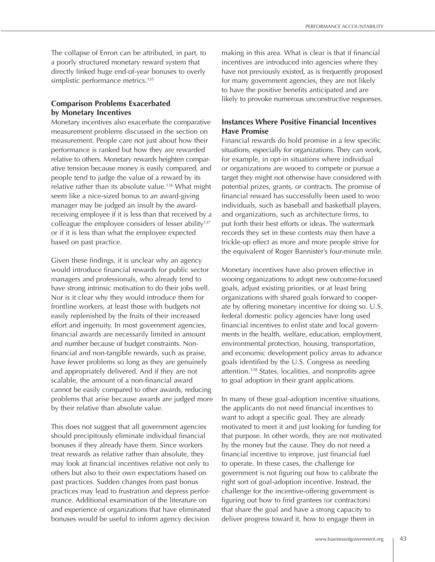The collapse of Enron can be attributed, in part, to a poorly structured monetary reward system that directly linked huge end-of-year bonuses to overly simplistic performance metrics.<sup>135</sup>

## **Comparison Problems Exacerbated by Monetary Incentives**

Monetary incentives also exacerbate the comparative measurement problems discussed in the section on measurement. People care not just about how their performance is ranked but how they are rewarded relative to others. Monetary rewards heighten comparative tension because money is easily compared, and people tend to judge the value of a reward by its relative rather than its absolute value.136 What might seem like a nice-sized bonus to an award-giving manager may be judged an insult by the awardreceiving employee if it is less than that received by a colleague the employee considers of lesser ability<sup>137</sup> or if it is less than what the employee expected based on past practice.

Given these findings, it is unclear why an agency would introduce financial rewards for public sector managers and professionals, who already tend to have strong intrinsic motivation to do their jobs well. Nor is it clear why they would introduce them for frontline workers, at least those with budgets not easily replenished by the fruits of their increased effort and ingenuity. In most government agencies, financial awards are necessarily limited in amount and number because of budget constraints. Nonfinancial and non-tangible rewards, such as praise, have fewer problems so long as they are genuinely and appropriately delivered. And if they are not scalable, the amount of a non-financial award cannot be easily compared to other awards, reducing problems that arise because awards are judged more by their relative than absolute value.

This does not suggest that all government agencies should precipitously eliminate individual financial bonuses if they already have them. Since workers treat rewards as relative rather than absolute, they may look at financial incentives relative not only to others but also to their own expectations based on past practices. Sudden changes from past bonus practices may lead to frustration and depress performance. Additional examination of the literature on and experience of organizations that have eliminated bonuses would be useful to inform agency decision

making in this area. What is clear is that if financial incentives are introduced into agencies where they have not previously existed, as is frequently proposed for many government agencies, they are not likely to have the positive benefits anticipated and are likely to provoke numerous unconstructive responses.

## **Instances Where Positive Financial Incentives Have Promise**

Financial rewards do hold promise in a few specific situations, especially for organizations. They can work, for example, in opt-in situations where individual or organizations are wooed to compete or pursue a target they might not otherwise have considered with potential prizes, grants, or contracts. The promise of financial reward has successfully been used to woo individuals, such as baseball and basketball players, and organizations, such as architecture firms, to put forth their best efforts or ideas. The watermark records they set in these contests may then have a trickle-up effect as more and more people strive for the equivalent of Roger Bannister's four-minute mile.

Monetary incentives have also proven effective in wooing organizations to adopt new outcome-focused goals, adjust existing priorities, or at least bring organizations with shared goals forward to cooperate by offering monetary incentive for doing so. U.S. federal domestic policy agencies have long used financial incentives to enlist state and local governments in the health, welfare, education, employment, environmental protection, housing, transportation, and economic development policy areas to advance goals identified by the U.S. Congress as needing attention.138 States, localities, and nonprofits agree to goal adoption in their grant applications.

In many of these goal-adoption incentive situations, the applicants do not need financial incentives to want to adopt a specific goal. They are already motivated to meet it and just looking for funding for that purpose. In other words, they are not motivated by the money but the cause. They do not need a financial incentive to improve, just financial fuel to operate. In these cases, the challenge for government is not figuring out how to calibrate the right sort of goal-adoption incentive. Instead, the challenge for the incentive-offering government is figuring out how to find grantees (or contractors) that share the goal and have a strong capacity to deliver progress toward it, how to engage them in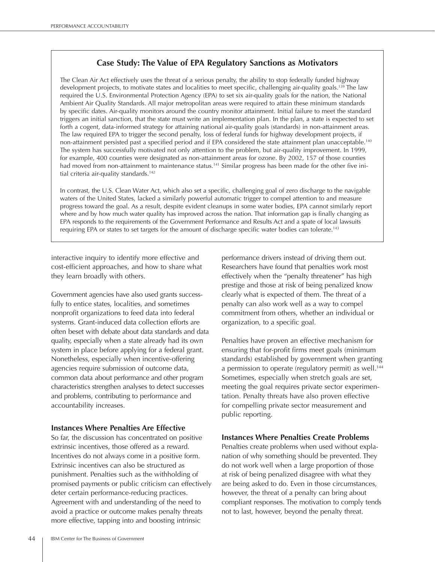## **Case Study: The Value of EPA Regulatory Sanctions as Motivators**

The Clean Air Act effectively uses the threat of a serious penalty, the ability to stop federally funded highway development projects, to motivate states and localities to meet specific, challenging air-quality goals.<sup>139</sup> The law required the U.S. Environmental Protection Agency (EPA) to set six air-quality goals for the nation, the National Ambient Air Quality Standards. All major metropolitan areas were required to attain these minimum standards by specific dates. Air-quality monitors around the country monitor attainment. Initial failure to meet the standard triggers an initial sanction, that the state must write an implementation plan. In the plan, a state is expected to set forth a cogent, data-informed strategy for attaining national air-quality goals (standards) in non-attainment areas. The law required EPA to trigger the second penalty, loss of federal funds for highway development projects, if non-attainment persisted past a specified period and if EPA considered the state attainment plan unacceptable.140 The system has successfully motivated not only attention to the problem, but air-quality improvement. In 1999, for example, 400 counties were designated as non-attainment areas for ozone. By 2002, 157 of those counties had moved from non-attainment to maintenance status.<sup>141</sup> Similar progress has been made for the other five initial criteria air-quality standards.<sup>142</sup>

In contrast, the U.S. Clean Water Act, which also set a specific, challenging goal of zero discharge to the navigable waters of the United States, lacked a similarly powerful automatic trigger to compel attention to and measure progress toward the goal. As a result, despite evident cleanups in some water bodies, EPA cannot similarly report where and by how much water quality has improved across the nation. That information gap is finally changing as EPA responds to the requirements of the Government Performance and Results Act and a spate of local lawsuits requiring EPA or states to set targets for the amount of discharge specific water bodies can tolerate.<sup>143</sup>

interactive inquiry to identify more effective and cost-efficient approaches, and how to share what they learn broadly with others.

Government agencies have also used grants successfully to entice states, localities, and sometimes nonprofit organizations to feed data into federal systems. Grant-induced data collection efforts are often beset with debate about data standards and data quality, especially when a state already had its own system in place before applying for a federal grant. Nonetheless, especially when incentive-offering agencies require submission of outcome data, common data about performance and other program characteristics strengthen analyses to detect successes and problems, contributing to performance and accountability increases.

## **Instances Where Penalties Are Effective**

So far, the discussion has concentrated on positive extrinsic incentives, those offered as a reward. Incentives do not always come in a positive form. Extrinsic incentives can also be structured as punishment. Penalties such as the withholding of promised payments or public criticism can effectively deter certain performance-reducing practices. Agreement with and understanding of the need to avoid a practice or outcome makes penalty threats more effective, tapping into and boosting intrinsic

performance drivers instead of driving them out. Researchers have found that penalties work most effectively when the "penalty threatener" has high prestige and those at risk of being penalized know clearly what is expected of them. The threat of a penalty can also work well as a way to compel commitment from others, whether an individual or organization, to a specific goal.

Penalties have proven an effective mechanism for ensuring that for-profit firms meet goals (minimum standards) established by government when granting a permission to operate (regulatory permit) as well.<sup>144</sup> Sometimes, especially when stretch goals are set, meeting the goal requires private sector experimentation. Penalty threats have also proven effective for compelling private sector measurement and public reporting.

## **Instances Where Penalties Create Problems**

Penalties create problems when used without explanation of why something should be prevented. They do not work well when a large proportion of those at risk of being penalized disagree with what they are being asked to do. Even in those circumstances, however, the threat of a penalty can bring about compliant responses. The motivation to comply tends not to last, however, beyond the penalty threat.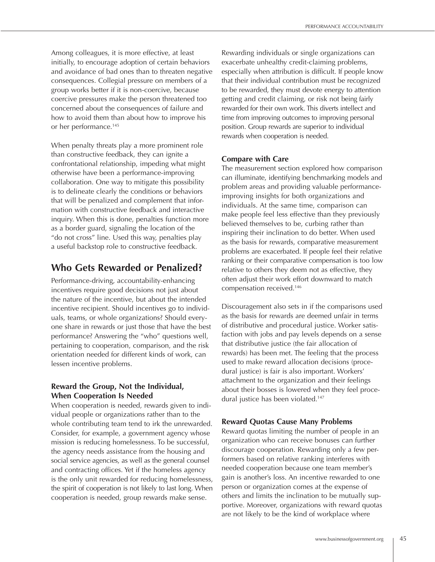Among colleagues, it is more effective, at least initially, to encourage adoption of certain behaviors and avoidance of bad ones than to threaten negative consequences. Collegial pressure on members of a group works better if it is non-coercive, because coercive pressures make the person threatened too concerned about the consequences of failure and how to avoid them than about how to improve his or her performance.145

When penalty threats play a more prominent role than constructive feedback, they can ignite a confrontational relationship, impeding what might otherwise have been a performance-improving collaboration. One way to mitigate this possibility is to delineate clearly the conditions or behaviors that will be penalized and complement that information with constructive feedback and interactive inquiry. When this is done, penalties function more as a border guard, signaling the location of the "do not cross" line. Used this way, penalties play a useful backstop role to constructive feedback.

## **Who Gets Rewarded or Penalized?**

Performance-driving, accountability-enhancing incentives require good decisions not just about the nature of the incentive, but about the intended incentive recipient. Should incentives go to individuals, teams, or whole organizations? Should everyone share in rewards or just those that have the best performance? Answering the "who" questions well, pertaining to cooperation, comparison, and the risk orientation needed for different kinds of work, can lessen incentive problems.

## **Reward the Group, Not the Individual, When Cooperation Is Needed**

When cooperation is needed, rewards given to individual people or organizations rather than to the whole contributing team tend to irk the unrewarded. Consider, for example, a government agency whose mission is reducing homelessness. To be successful, the agency needs assistance from the housing and social service agencies, as well as the general counsel and contracting offices. Yet if the homeless agency is the only unit rewarded for reducing homelessness, the spirit of cooperation is not likely to last long. When cooperation is needed, group rewards make sense.

Rewarding individuals or single organizations can exacerbate unhealthy credit-claiming problems, especially when attribution is difficult. If people know that their individual contribution must be recognized to be rewarded, they must devote energy to attention getting and credit claiming, or risk not being fairly rewarded for their own work. This diverts intellect and time from improving outcomes to improving personal position. Group rewards are superior to individual rewards when cooperation is needed.

## **Compare with Care**

The measurement section explored how comparison can illuminate, identifying benchmarking models and problem areas and providing valuable performanceimproving insights for both organizations and individuals. At the same time, comparison can make people feel less effective than they previously believed themselves to be, curbing rather than inspiring their inclination to do better. When used as the basis for rewards, comparative measurement problems are exacerbated. If people feel their relative ranking or their comparative compensation is too low relative to others they deem not as effective, they often adjust their work effort downward to match compensation received.146

Discouragement also sets in if the comparisons used as the basis for rewards are deemed unfair in terms of distributive and procedural justice. Worker satisfaction with jobs and pay levels depends on a sense that distributive justice (the fair allocation of rewards) has been met. The feeling that the process used to make reward allocation decisions (procedural justice) is fair is also important. Workers' attachment to the organization and their feelings about their bosses is lowered when they feel procedural justice has been violated.<sup>147</sup>

## **Reward Quotas Cause Many Problems**

Reward quotas limiting the number of people in an organization who can receive bonuses can further discourage cooperation. Rewarding only a few performers based on relative ranking interferes with needed cooperation because one team member's gain is another's loss. An incentive rewarded to one person or organization comes at the expense of others and limits the inclination to be mutually supportive. Moreover, organizations with reward quotas are not likely to be the kind of workplace where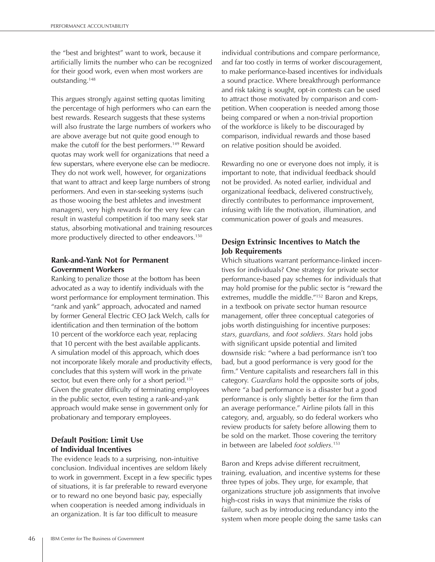the "best and brightest" want to work, because it artificially limits the number who can be recognized for their good work, even when most workers are outstanding.148

This argues strongly against setting quotas limiting the percentage of high performers who can earn the best rewards. Research suggests that these systems will also frustrate the large numbers of workers who are above average but not quite good enough to make the cutoff for the best performers.<sup>149</sup> Reward quotas may work well for organizations that need a few superstars, where everyone else can be mediocre. They do not work well, however, for organizations that want to attract and keep large numbers of strong performers. And even in star-seeking systems (such as those wooing the best athletes and investment managers), very high rewards for the very few can result in wasteful competition if too many seek star status, absorbing motivational and training resources more productively directed to other endeavors.150

### **Rank-and-Yank Not for Permanent Government Workers**

Ranking to penalize those at the bottom has been advocated as a way to identify individuals with the worst performance for employment termination. This "rank and yank" approach, advocated and named by former General Electric CEO Jack Welch, calls for identification and then termination of the bottom 10 percent of the workforce each year, replacing that 10 percent with the best available applicants. A simulation model of this approach, which does not incorporate likely morale and productivity effects, concludes that this system will work in the private sector, but even there only for a short period.<sup>151</sup> Given the greater difficulty of terminating employees in the public sector, even testing a rank-and-yank approach would make sense in government only for probationary and temporary employees.

## **Default Position: Limit Use of Individual Incentives**

The evidence leads to a surprising, non-intuitive conclusion. Individual incentives are seldom likely to work in government. Except in a few specific types of situations, it is far preferable to reward everyone or to reward no one beyond basic pay, especially when cooperation is needed among individuals in an organization. It is far too difficult to measure

individual contributions and compare performance, and far too costly in terms of worker discouragement, to make performance-based incentives for individuals a sound practice. Where breakthrough performance and risk taking is sought, opt-in contests can be used to attract those motivated by comparison and competition. When cooperation is needed among those being compared or when a non-trivial proportion of the workforce is likely to be discouraged by comparison, individual rewards and those based on relative position should be avoided.

Rewarding no one or everyone does not imply, it is important to note, that individual feedback should not be provided. As noted earlier, individual and organizational feedback, delivered constructively, directly contributes to performance improvement, infusing with life the motivation, illumination, and communication power of goals and measures.

## **Design Extrinsic Incentives to Match the Job Requirements**

Which situations warrant performance-linked incentives for individuals? One strategy for private sector performance-based pay schemes for individuals that may hold promise for the public sector is "reward the extremes, muddle the middle."152 Baron and Kreps, in a textbook on private sector human resource management, offer three conceptual categories of jobs worth distinguishing for incentive purposes: *stars, guardians,* and *foot soldiers. Stars* hold jobs with significant upside potential and limited downside risk: "where a bad performance isn't too bad, but a good performance is very good for the firm." Venture capitalists and researchers fall in this category. *Guardians* hold the opposite sorts of jobs, where "a bad performance is a disaster but a good performance is only slightly better for the firm than an average performance." Airline pilots fall in this category, and, arguably, so do federal workers who review products for safety before allowing them to be sold on the market. Those covering the territory in between are labeled *foot soldiers.*<sup>153</sup>

Baron and Kreps advise different recruitment, training, evaluation, and incentive systems for these three types of jobs. They urge, for example, that organizations structure job assignments that involve high-cost risks in ways that minimize the risks of failure, such as by introducing redundancy into the system when more people doing the same tasks can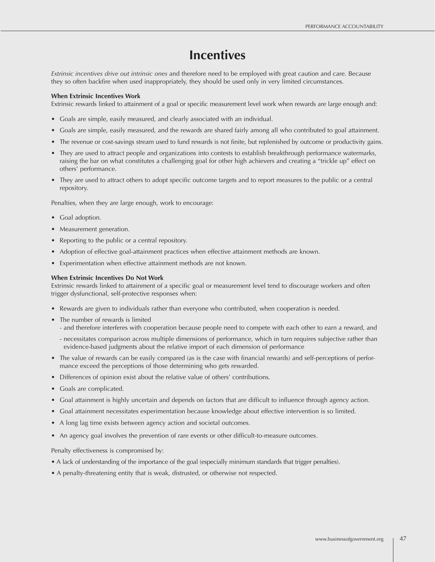## **Incentives**

*Extrinsic incentives drive out intrinsic ones* and therefore need to be employed with great caution and care. Because they so often backfire when used inappropriately, they should be used only in very limited circumstances.

#### **When Extrinsic Incentives Work**

Extrinsic rewards linked to attainment of a goal or specific measurement level work when rewards are large enough and:

- Goals are simple, easily measured, and clearly associated with an individual.
- Goals are simple, easily measured, and the rewards are shared fairly among all who contributed to goal attainment.
- The revenue or cost-savings stream used to fund rewards is not finite, but replenished by outcome or productivity gains.
- They are used to attract people and organizations into contests to establish breakthrough performance watermarks, raising the bar on what constitutes a challenging goal for other high achievers and creating a "trickle up" effect on others' performance.
- They are used to attract others to adopt specific outcome targets and to report measures to the public or a central repository.

Penalties, when they are large enough, work to encourage:

- Goal adoption.
- Measurement generation.
- Reporting to the public or a central repository.
- Adoption of effective goal-attainment practices when effective attainment methods are known.
- Experimentation when effective attainment methods are not known.

#### **When Extrinsic Incentives Do Not Work**

Extrinsic rewards linked to attainment of a specific goal or measurement level tend to discourage workers and often trigger dysfunctional, self-protective responses when:

- Rewards are given to individuals rather than everyone who contributed, when cooperation is needed.
- The number of rewards is limited
	- and therefore interferes with cooperation because people need to compete with each other to earn a reward, and
	- necessitates comparison across multiple dimensions of performance, which in turn requires subjective rather than evidence-based judgments about the relative import of each dimension of performance
- The value of rewards can be easily compared (as is the case with financial rewards) and self-perceptions of performance exceed the perceptions of those determining who gets rewarded.
- Differences of opinion exist about the relative value of others' contributions.
- Goals are complicated.
- Goal attainment is highly uncertain and depends on factors that are difficult to influence through agency action.
- Goal attainment necessitates experimentation because knowledge about effective intervention is so limited.
- A long lag time exists between agency action and societal outcomes.
- An agency goal involves the prevention of rare events or other difficult-to-measure outcomes.

Penalty effectiveness is compromised by:

- A lack of understanding of the importance of the goal (especially minimum standards that trigger penalties).
- A penalty-threatening entity that is weak, distrusted, or otherwise not respected.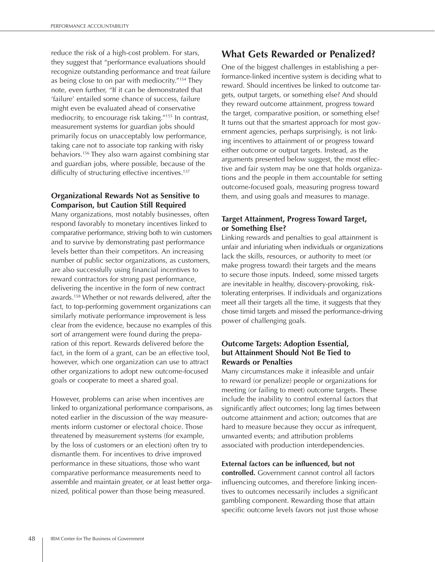reduce the risk of a high-cost problem. For stars, they suggest that "performance evaluations should recognize outstanding performance and treat failure as being close to on par with mediocrity."154 They note, even further, "If it can be demonstrated that 'failure' entailed some chance of success, failure might even be evaluated ahead of conservative mediocrity, to encourage risk taking."155 In contrast, measurement systems for guardian jobs should primarily focus on unacceptably low performance, taking care not to associate top ranking with risky behaviors.156 They also warn against combining star and guardian jobs, where possible, because of the difficulty of structuring effective incentives.<sup>157</sup>

## **Organizational Rewards Not as Sensitive to Comparison, but Caution Still Required**

Many organizations, most notably businesses, often respond favorably to monetary incentives linked to comparative performance, striving both to win customers and to survive by demonstrating past performance levels better than their competitors. An increasing number of public sector organizations, as customers, are also successfully using financial incentives to reward contractors for strong past performance, delivering the incentive in the form of new contract awards.158 Whether or not rewards delivered, after the fact, to top-performing government organizations can similarly motivate performance improvement is less clear from the evidence, because no examples of this sort of arrangement were found during the preparation of this report. Rewards delivered before the fact, in the form of a grant, can be an effective tool, however, which one organization can use to attract other organizations to adopt new outcome-focused goals or cooperate to meet a shared goal.

However, problems can arise when incentives are linked to organizational performance comparisons, as noted earlier in the discussion of the way measurements inform customer or electoral choice. Those threatened by measurement systems (for example, by the loss of customers or an election) often try to dismantle them. For incentives to drive improved performance in these situations, those who want comparative performance measurements need to assemble and maintain greater, or at least better organized, political power than those being measured.

## **What Gets Rewarded or Penalized?**

One of the biggest challenges in establishing a performance-linked incentive system is deciding what to reward. Should incentives be linked to outcome targets, output targets, or something else? And should they reward outcome attainment, progress toward the target, comparative position, or something else? It turns out that the smartest approach for most government agencies, perhaps surprisingly, is not linking incentives to attainment of or progress toward either outcome or output targets. Instead, as the arguments presented below suggest, the most effective and fair system may be one that holds organizations and the people in them accountable for setting outcome-focused goals, measuring progress toward them, and using goals and measures to manage.

## **Target Attainment, Progress Toward Target, or Something Else?**

Linking rewards and penalties to goal attainment is unfair and infuriating when individuals or organizations lack the skills, resources, or authority to meet (or make progress toward) their targets and the means to secure those inputs. Indeed, some missed targets are inevitable in healthy, discovery-provoking, risktolerating enterprises. If individuals and organizations meet all their targets all the time, it suggests that they chose timid targets and missed the performance-driving power of challenging goals.

## **Outcome Targets: Adoption Essential, but Attainment Should Not Be Tied to Rewards or Penalties**

Many circumstances make it infeasible and unfair to reward (or penalize) people or organizations for meeting (or failing to meet) outcome targets. These include the inability to control external factors that significantly affect outcomes; long lag times between outcome attainment and action; outcomes that are hard to measure because they occur as infrequent, unwanted events; and attribution problems associated with production interdependencies.

**External factors can be influenced, but not controlled.** Government cannot control all factors influencing outcomes, and therefore linking incentives to outcomes necessarily includes a significant gambling component. Rewarding those that attain specific outcome levels favors not just those whose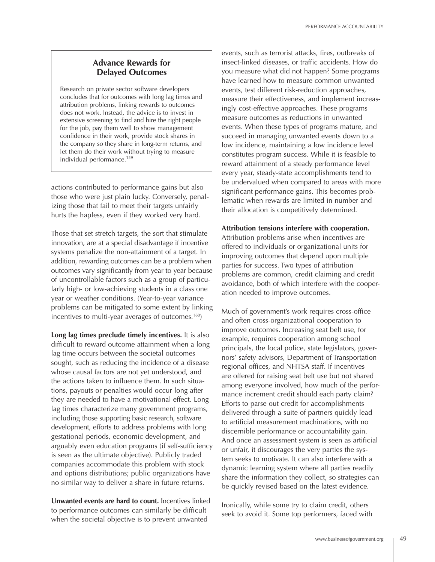## **Advance Rewards for Delayed Outcomes**

Research on private sector software developers concludes that for outcomes with long lag times and attribution problems, linking rewards to outcomes does not work. Instead, the advice is to invest in extensive screening to find and hire the right people for the job, pay them well to show management confidence in their work, provide stock shares in the company so they share in long-term returns, and let them do their work without trying to measure individual performance.159

actions contributed to performance gains but also those who were just plain lucky. Conversely, penalizing those that fail to meet their targets unfairly hurts the hapless, even if they worked very hard.

Those that set stretch targets, the sort that stimulate innovation, are at a special disadvantage if incentive systems penalize the non-attainment of a target. In addition, rewarding outcomes can be a problem when outcomes vary significantly from year to year because of uncontrollable factors such as a group of particularly high- or low-achieving students in a class one year or weather conditions. (Year-to-year variance problems can be mitigated to some extent by linking incentives to multi-year averages of outcomes. $160$ )

**Long lag times preclude timely incentives.** It is also difficult to reward outcome attainment when a long lag time occurs between the societal outcomes sought, such as reducing the incidence of a disease whose causal factors are not yet understood, and the actions taken to influence them. In such situations, payouts or penalties would occur long after they are needed to have a motivational effect. Long lag times characterize many government programs, including those supporting basic research, software development, efforts to address problems with long gestational periods, economic development, and arguably even education programs (if self-sufficiency is seen as the ultimate objective). Publicly traded companies accommodate this problem with stock and options distributions; public organizations have no similar way to deliver a share in future returns.

**Unwanted events are hard to count.** Incentives linked to performance outcomes can similarly be difficult when the societal objective is to prevent unwanted

events, such as terrorist attacks, fires, outbreaks of insect-linked diseases, or traffic accidents. How do you measure what did not happen? Some programs have learned how to measure common unwanted events, test different risk-reduction approaches, measure their effectiveness, and implement increasingly cost-effective approaches. These programs measure outcomes as reductions in unwanted events. When these types of programs mature, and succeed in managing unwanted events down to a low incidence, maintaining a low incidence level constitutes program success. While it is feasible to reward attainment of a steady performance level every year, steady-state accomplishments tend to be undervalued when compared to areas with more significant performance gains. This becomes problematic when rewards are limited in number and their allocation is competitively determined.

## **Attribution tensions interfere with cooperation.**

Attribution problems arise when incentives are offered to individuals or organizational units for improving outcomes that depend upon multiple parties for success. Two types of attribution problems are common, credit claiming and credit avoidance, both of which interfere with the cooperation needed to improve outcomes.

Much of government's work requires cross-office and often cross-organizational cooperation to improve outcomes. Increasing seat belt use, for example, requires cooperation among school principals, the local police, state legislators, governors' safety advisors, Department of Transportation regional offices, and NHTSA staff. If incentives are offered for raising seat belt use but not shared among everyone involved, how much of the performance increment credit should each party claim? Efforts to parse out credit for accomplishments delivered through a suite of partners quickly lead to artificial measurement machinations, with no discernible performance or accountability gain. And once an assessment system is seen as artificial or unfair, it discourages the very parties the system seeks to motivate. It can also interfere with a dynamic learning system where all parties readily share the information they collect, so strategies can be quickly revised based on the latest evidence.

Ironically, while some try to claim credit, others seek to avoid it. Some top performers, faced with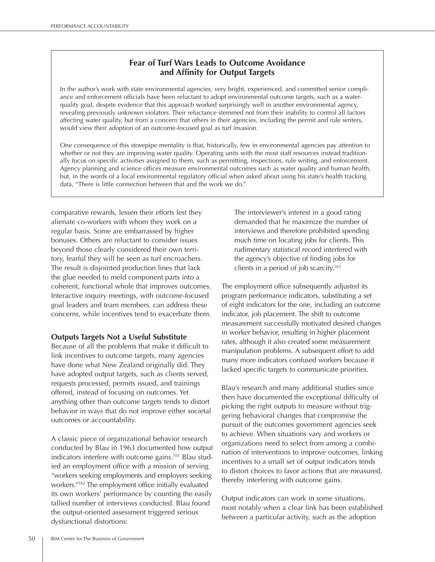## **Fear of Turf Wars Leads to Outcome Avoidance and Affinity for Output Targets**

In the author's work with state environmental agencies, very bright, experienced, and committed senior compliance and enforcement officials have been reluctant to adopt environmental outcome targets, such as a waterquality goal, despite evidence that this approach worked surprisingly well in another environmental agency, revealing previously unknown violators. Their reluctance stemmed not from their inability to control all factors affecting water quality, but from a concern that others in their agencies, including the permit and rule writers, would view their adoption of an outcome-focused goal as turf invasion.

One consequence of this stovepipe mentality is that, historically, few in environmental agencies pay attention to whether or not they are improving water quality. Operating units with the most staff resources instead traditionally focus on specific activities assigned to them, such as permitting, inspections, rule writing, and enforcement. Agency planning and science offices measure environmental outcomes such as water quality and human health, but, in the words of a local environmental regulatory official when asked about using his state's health tracking data, "There is little connection between that and the work we do."

comparative rewards, lessen their efforts lest they alienate co-workers with whom they work on a regular basis. Some are embarrassed by higher bonuses. Others are reluctant to consider issues beyond those clearly considered their own territory, fearful they will be seen as turf encroachers. The result is disjointed production lines that lack the glue needed to meld component parts into a coherent, functional whole that improves outcomes. Interactive inquiry meetings, with outcome-focused goal leaders and team members, can address these concerns, while incentives tend to exacerbate them.

## **Outputs Targets Not a Useful Substitute**

Because of all the problems that make it difficult to link incentives to outcome targets, many agencies have done what New Zealand originally did. They have adopted output targets, such as clients served, requests processed, permits issued, and trainings offered, instead of focusing on outcomes. Yet anything other than outcome targets tends to distort behavior in ways that do not improve either societal outcomes or accountability.

A classic piece of organizational behavior research conducted by Blau in 1963 documented how output indicators interfere with outcome gains.<sup>161</sup> Blau studied an employment office with a mission of serving "workers seeking employments and employers seeking workers."162 The employment office initially evaluated its own workers' performance by counting the easily tallied number of interviews conducted. Blau found the output-oriented assessment triggered serious dysfunctional distortions:

The interviewer's interest in a good rating demanded that he maximize the number of interviews and therefore prohibited spending much time on locating jobs for clients. This rudimentary statistical record interfered with the agency's objective of finding jobs for clients in a period of job scarcity.163

The employment office subsequently adjusted its program performance indicators, substituting a set of eight indicators for the one, including an outcome indicator, job placement. The shift to outcome measurement successfully motivated desired changes in worker behavior, resulting in higher placement rates, although it also created some measurement manipulation problems. A subsequent effort to add many more indicators confused workers because it lacked specific targets to communicate priorities.

Blau's research and many additional studies since then have documented the exceptional difficulty of picking the right outputs to measure without triggering behavioral changes that compromise the pursuit of the outcomes government agencies seek to achieve. When situations vary and workers or organizations need to select from among a combination of interventions to improve outcomes, linking incentives to a small set of output indicators tends to distort choices to favor actions that are measured, thereby interfering with outcome gains.

Output indicators can work in some situations, most notably when a clear link has been established between a particular activity, such as the adoption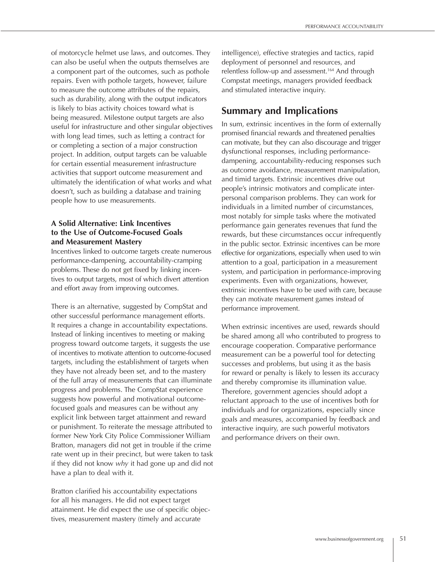of motorcycle helmet use laws, and outcomes. They can also be useful when the outputs themselves are a component part of the outcomes, such as pothole repairs. Even with pothole targets, however, failure to measure the outcome attributes of the repairs, such as durability, along with the output indicators is likely to bias activity choices toward what is being measured. Milestone output targets are also useful for infrastructure and other singular objectives with long lead times, such as letting a contract for or completing a section of a major construction project. In addition, output targets can be valuable for certain essential measurement infrastructure activities that support outcome measurement and ultimately the identification of what works and what doesn't, such as building a database and training people how to use measurements.

## **A Solid Alternative: Link Incentives to the Use of Outcome-Focused Goals and Measurement Mastery**

Incentives linked to outcome targets create numerous performance-dampening, accountability-cramping problems. These do not get fixed by linking incentives to output targets, most of which divert attention and effort away from improving outcomes.

There is an alternative, suggested by CompStat and other successful performance management efforts. It requires a change in accountability expectations. Instead of linking incentives to meeting or making progress toward outcome targets, it suggests the use of incentives to motivate attention to outcome-focused targets, including the establishment of targets when they have not already been set, and to the mastery of the full array of measurements that can illuminate progress and problems. The CompStat experience suggests how powerful and motivational outcomefocused goals and measures can be without any explicit link between target attainment and reward or punishment. To reiterate the message attributed to former New York City Police Commissioner William Bratton, managers did not get in trouble if the crime rate went up in their precinct, but were taken to task if they did not know *why* it had gone up and did not have a plan to deal with it.

Bratton clarified his accountability expectations for all his managers. He did not expect target attainment. He did expect the use of specific objectives, measurement mastery (timely and accurate

intelligence), effective strategies and tactics, rapid deployment of personnel and resources, and relentless follow-up and assessment.<sup>164</sup> And through Compstat meetings, managers provided feedback and stimulated interactive inquiry.

## **Summary and Implications**

In sum, extrinsic incentives in the form of externally promised financial rewards and threatened penalties can motivate, but they can also discourage and trigger dysfunctional responses, including performancedampening, accountability-reducing responses such as outcome avoidance, measurement manipulation, and timid targets. Extrinsic incentives drive out people's intrinsic motivators and complicate interpersonal comparison problems. They can work for individuals in a limited number of circumstances, most notably for simple tasks where the motivated performance gain generates revenues that fund the rewards, but these circumstances occur infrequently in the public sector. Extrinsic incentives can be more effective for organizations, especially when used to win attention to a goal, participation in a measurement system, and participation in performance-improving experiments. Even with organizations, however, extrinsic incentives have to be used with care, because they can motivate measurement games instead of performance improvement.

When extrinsic incentives are used, rewards should be shared among all who contributed to progress to encourage cooperation. Comparative performance measurement can be a powerful tool for detecting successes and problems, but using it as the basis for reward or penalty is likely to lessen its accuracy and thereby compromise its illumination value. Therefore, government agencies should adopt a reluctant approach to the use of incentives both for individuals and for organizations, especially since goals and measures, accompanied by feedback and interactive inquiry, are such powerful motivators and performance drivers on their own.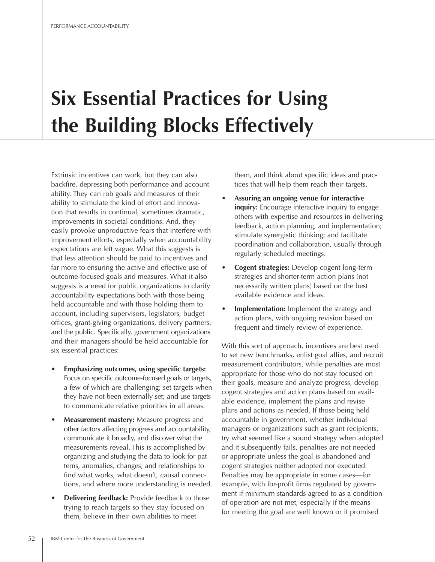# **Six Essential Practices for Using the Building Blocks Effectively**

Extrinsic incentives can work, but they can also backfire, depressing both performance and accountability. They can rob goals and measures of their ability to stimulate the kind of effort and innovation that results in continual, sometimes dramatic, improvements in societal conditions. And, they easily provoke unproductive fears that interfere with improvement efforts, especially when accountability expectations are left vague. What this suggests is that less attention should be paid to incentives and far more to ensuring the active and effective use of outcome-focused goals and measures. What it also suggests is a need for public organizations to clarify accountability expectations both with those being held accountable and with those holding them to account, including supervisors, legislators, budget offices, grant-giving organizations, delivery partners, and the public. Specifically, government organizations and their managers should be held accountable for six essential practices:

- **Emphasizing outcomes, using specific targets:** Focus on specific outcome-focused goals or targets, a few of which are challenging; set targets when they have not been externally set; and use targets to communicate relative priorities in all areas.
- **Measurement mastery:** Measure progress and other factors affecting progress and accountability, communicate it broadly, and discover what the measurements reveal. This is accomplished by organizing and studying the data to look for patterns, anomalies, changes, and relationships to find what works, what doesn't, causal connections, and where more understanding is needed.
- **Delivering feedback:** Provide feedback to those trying to reach targets so they stay focused on them, believe in their own abilities to meet

them, and think about specific ideas and practices that will help them reach their targets.

- **Assuring an ongoing venue for interactive inquiry:** Encourage interactive inquiry to engage others with expertise and resources in delivering feedback, action planning, and implementation; stimulate synergistic thinking; and facilitate coordination and collaboration, usually through regularly scheduled meetings.
- **Cogent strategies:** Develop cogent long-term strategies and shorter-term action plans (not necessarily written plans) based on the best available evidence and ideas.
- **Implementation:** Implement the strategy and action plans, with ongoing revision based on frequent and timely review of experience.

With this sort of approach, incentives are best used to set new benchmarks, enlist goal allies, and recruit measurement contributors, while penalties are most appropriate for those who do not stay focused on their goals, measure and analyze progress, develop cogent strategies and action plans based on available evidence, implement the plans and revise plans and actions as needed. If those being held accountable in government, whether individual managers or organizations such as grant recipients, try what seemed like a sound strategy when adopted and it subsequently fails, penalties are not needed or appropriate unless the goal is abandoned and cogent strategies neither adopted nor executed. Penalties may be appropriate in some cases—for example, with for-profit firms regulated by government if minimum standards agreed to as a condition of operation are not met, especially if the means for meeting the goal are well known or if promised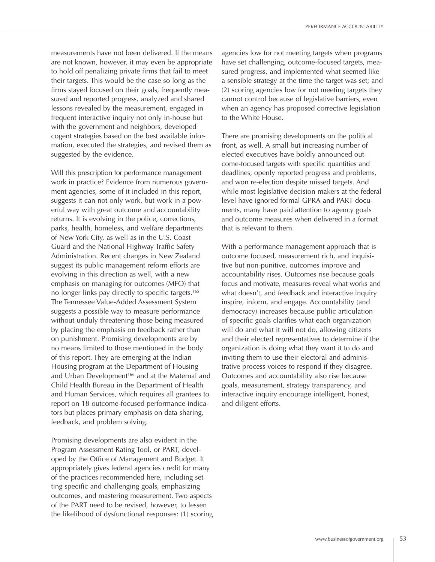measurements have not been delivered. If the means are not known, however, it may even be appropriate to hold off penalizing private firms that fail to meet their targets. This would be the case so long as the firms stayed focused on their goals, frequently measured and reported progress, analyzed and shared lessons revealed by the measurement, engaged in frequent interactive inquiry not only in-house but with the government and neighbors, developed cogent strategies based on the best available information, executed the strategies, and revised them as suggested by the evidence.

Will this prescription for performance management work in practice? Evidence from numerous government agencies, some of it included in this report, suggests it can not only work, but work in a powerful way with great outcome and accountability returns. It is evolving in the police, corrections, parks, health, homeless, and welfare departments of New York City, as well as in the U.S. Coast Guard and the National Highway Traffic Safety Administration. Recent changes in New Zealand suggest its public management reform efforts are evolving in this direction as well, with a new emphasis on managing for outcomes (MFO) that no longer links pay directly to specific targets.165 The Tennessee Value-Added Assessment System suggests a possible way to measure performance without unduly threatening those being measured by placing the emphasis on feedback rather than on punishment. Promising developments are by no means limited to those mentioned in the body of this report. They are emerging at the Indian Housing program at the Department of Housing and Urban Development<sup>166</sup> and at the Maternal and Child Health Bureau in the Department of Health and Human Services, which requires all grantees to report on 18 outcome-focused performance indicators but places primary emphasis on data sharing, feedback, and problem solving.

Promising developments are also evident in the Program Assessment Rating Tool, or PART, developed by the Office of Management and Budget. It appropriately gives federal agencies credit for many of the practices recommended here, including setting specific and challenging goals, emphasizing outcomes, and mastering measurement. Two aspects of the PART need to be revised, however, to lessen the likelihood of dysfunctional responses: (1) scoring agencies low for not meeting targets when programs have set challenging, outcome-focused targets, measured progress, and implemented what seemed like a sensible strategy at the time the target was set; and (2) scoring agencies low for not meeting targets they cannot control because of legislative barriers, even when an agency has proposed corrective legislation to the White House.

There are promising developments on the political front, as well. A small but increasing number of elected executives have boldly announced outcome-focused targets with specific quantities and deadlines, openly reported progress and problems, and won re-election despite missed targets. And while most legislative decision makers at the federal level have ignored formal GPRA and PART documents, many have paid attention to agency goals and outcome measures when delivered in a format that is relevant to them.

With a performance management approach that is outcome focused, measurement rich, and inquisitive but non-punitive, outcomes improve and accountability rises. Outcomes rise because goals focus and motivate, measures reveal what works and what doesn't, and feedback and interactive inquiry inspire, inform, and engage. Accountability (and democracy) increases because public articulation of specific goals clarifies what each organization will do and what it will not do, allowing citizens and their elected representatives to determine if the organization is doing what they want it to do and inviting them to use their electoral and administrative process voices to respond if they disagree. Outcomes and accountability also rise because goals, measurement, strategy transparency, and interactive inquiry encourage intelligent, honest, and diligent efforts.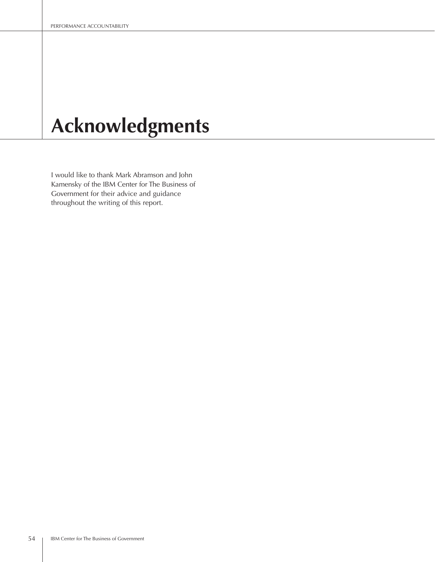# **Acknowledgments**

I would like to thank Mark Abramson and John Kamensky of the IBM Center for The Business of Government for their advice and guidance throughout the writing of this report.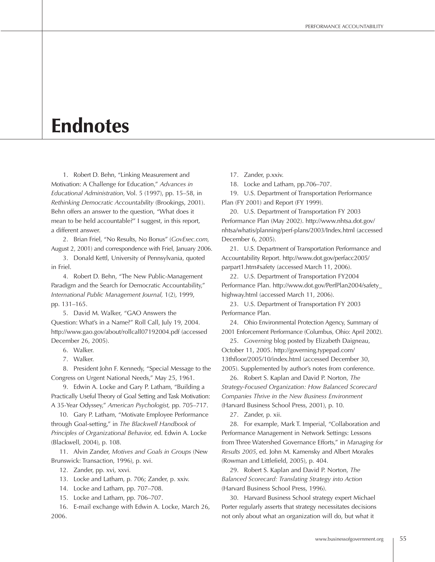## **Endnotes**

1. Robert D. Behn, "Linking Measurement and Motivation: A Challenge for Education," *Advances in Educational Administration,* Vol. 5 (1997), pp. 15–58, in *Rethinking Democratic Accountability* (Brookings, 2001). Behn offers an answer to the question, "What does it mean to be held accountable?" I suggest, in this report, a different answer.

2. Brian Friel, "No Results, No Bonus" (*GovExec.com,* August 2, 2001) and correspondence with Friel, January 2006.

 3. Donald Kettl, University of Pennsylvania, quoted in Friel.

4. Robert D. Behn, "The New Public-Management Paradigm and the Search for Democratic Accountability," *International Public Management Journal,* 1(2), 1999, pp. 131–165.

5. David M. Walker, "GAO Answers the Question: What's in a Name?" Roll Call, July 19, 2004. http://www.gao.gov/about/rollcall07192004.pdf (accessed December 26, 2005).

6. Walker.

7. Walker.

8. President John F. Kennedy, "Special Message to the Congress on Urgent National Needs," May 25, 1961.

9. Edwin A. Locke and Gary P. Latham, "Building a Practically Useful Theory of Goal Setting and Task Motivation: A 35-Year Odyssey," *American Psychologist,* pp. 705–717.

10. Gary P. Latham, "Motivate Employee Performance through Goal-setting," in *The Blackwell Handbook of Principles of Organizational Behavior,* ed. Edwin A. Locke (Blackwell, 2004), p. 108.

11. Alvin Zander, *Motives and Goals in Groups* (New Brunswick: Transaction, 1996), p. xvi.

12. Zander, pp. xvi, xxvi.

- 13. Locke and Latham, p. 706; Zander, p. xxiv.
- 14. Locke and Latham, pp. 707–708.
- 15. Locke and Latham, pp. 706–707.

16. E-mail exchange with Edwin A. Locke, March 26, 2006.

17. Zander, p.xxiv.

18. Locke and Latham, pp.706–707.

19. U.S. Department of Transportation Performance Plan (FY 2001) and Report (FY 1999).

20. U.S. Department of Transportation FY 2003 Performance Plan (May 2002). http://www.nhtsa.dot.gov/ nhtsa/whatis/planning/perf-plans/2003/Index.html (accessed December 6, 2005).

21. U.S. Department of Transportation Performance and Accountability Report. http://www.dot.gov/perfacc2005/ parpart1.htm#safety (accessed March 11, 2006).

22. U.S. Department of Transportation FY2004 Performance Plan. http://www.dot.gov/PerfPlan2004/safety\_ highway.html (accessed March 11, 2006).

23. U.S. Department of Transportation FY 2003 Performance Plan.

24. Ohio Environmental Protection Agency, Summary of 2001 Enforcement Performance (Columbus, Ohio: April 2002).

25. *Governing* blog posted by Elizabeth Daigneau, October 11, 2005. http://governing.typepad.com/ 13thfloor/2005/10/index.html (accessed December 30, 2005). Supplemented by author's notes from conference.

26. Robert S. Kaplan and David P. Norton, *The Strategy-Focused Organization: How Balanced Scorecard Companies Thrive in the New Business Environment* (Harvard Business School Press, 2001), p. 10.

27. Zander, p. xii.

28. For example, Mark T. Imperial, "Collaboration and Performance Management in Network Settings: Lessons from Three Watershed Governance Efforts," in *Managing for Results 2005,* ed. John M. Kamensky and Albert Morales (Rowman and Littlefield, 2005), p. 404.

29. Robert S. Kaplan and David P. Norton, *The Balanced Scorecard: Translating Strategy into Action* (Harvard Business School Press, 1996).

 30. Harvard Business School strategy expert Michael Porter regularly asserts that strategy necessitates decisions not only about what an organization will do, but what it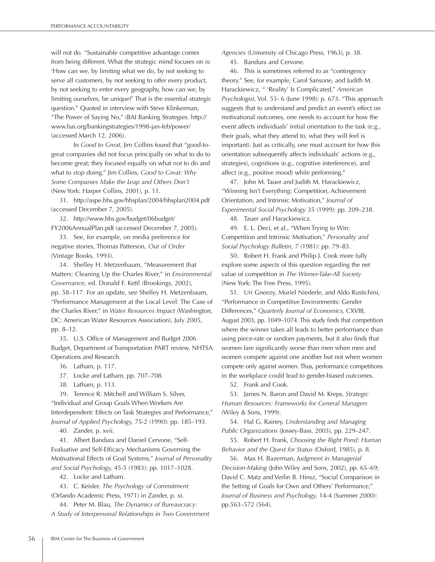will not do. "Sustainable competitive advantage comes from being different. What the strategic mind focuses on is: 'How can we, by limiting what we do, by not seeking to serve all customers, by not seeking to offer every product, by not seeking to enter every geography, how can we, by limiting ourselves, be unique?' That is the essential strategic question." Quoted in interview with Steve Klinkerman, "The Power of Saying No," (BAI Banking Strategies. http:// www.bai.org/bankingstrategies/1998-jan-feb/power/ (accessed March 12, 2006).

 In *Good to Great,* Jim Collins found that "good-togreat companies did not focus principally on what to do to become great; they focused equally on what *not* to do and what to *stop* doing." Jim Collins, *Good to Great: Why Some Companies Make the Leap and Others Don't* (New York: Harper Collins, 2001), p. 11.

 31. http://aspe.hhs.gov/hhsplan/2004/hhsplan2004.pdf (accessed December 7, 2005).

 32. http://www.hhs.gov/budget/06budget/ FY2006AnnualPlan.pdf (accessed December 7, 2005).

 33. See, for example, on media preference for negative stories, Thomas Patterson, *Out of Order*  (Vintage Books, 1993).

 34. Shelley H. Metzenbaum, "Measurement that Matters: Cleaning Up the Charles River," in *Environmental Governance,* ed. Donald F. Kettl (Brookings, 2002), pp. 58–117. For an update, see Shelley H. Metzenbaum, "Performance Management at the Local Level: The Case of the Charles River," in *Water Resources Impact* (Washington, DC: American Water Resources Association), July 2005, pp. 8–12.

 35. U.S. Office of Management and Budget 2006 Budget, Department of Transportation PART review, NHTSA Operations and Research.

36. Latham, p. 117.

37. Locke and Latham, pp. 707–708.

38. Latham, p. 113.

 39. Terence R. Mitchell and William S. Silver, "Individual and Group Goals When Workers Are Interdependent: Effects on Task Strategies and Performance," *Journal of Applied Psychology,* 75-2 (1990): pp. 185–193.

40. Zander, p. xvii.

41. Albert Bandura and Daniel Cervone, "Self-Evaluative and Self-Efficacy Mechanisms Governing the Motivational Effects of Goal Systems," *Journal of Personality and Social Psychology,* 45-5 (1983): pp. 1017–1028.

42. Locke and Latham.

43. C. Keisler. *The Psychology of Commitment*  (Orlando Academic Press, 1971) in Zander, p. xi.

44. Peter M. Blau, *The Dynamics of Bureaucracy: A Study of Interpersonal Relationships in Two Government*  *Agencies* (University of Chicago Press, 1963), p. 38.

45. Bandura and Cervone.

46. This is sometimes referred to as "contingency theory." See, for example, Carol Sansone, and Judith M. Harackiewicz, " 'Reality' Is Complicated," *American Psychologist,* Vol. 53- 6 (June 1998): p. 673. "This approach suggests that to understand and predict an event's effect on motivational outcomes, one needs to account for how the event affects individuals' initial orientation to the task (e.g., their goals, what they attend to, what they will feel is important). Just as critically, one must account for how this orientation subsequently affects individuals' actions (e.g., strategies), cognitions (e.g., cognitive interference), and affect (e.g., positive mood) while performing."

47. John M. Tauer and Judith M. Harackiewicz, "Winning Isn't Everything: Competition, Achievement Orientation, and Intrinsic Motivation," *Journal of Experimental Social Psychology* 35 (1999): pp. 209–238.

48. Tauer and Harackiewicz.

49. E. L. Deci, et al., "When Trying to Win: Competition and Intrinsic Motivation," *Personality and Social Psychology Bulletin,* 7 (1981): pp. 79–83.

50. Robert H. Frank and Philip J. Cook more fully explore some aspects of this question regarding the net value of competition in *The Winner-Take-All Society* (New York: The Free Press, 1995).

51. Uri Gneezy, Muriel Niederle, and Aldo Rustichini, "Performance in Competitive Environments: Gender Differences," *Quarterly Journal of Economics,* CXVIII, August 2003, pp. 1049–1074. This study finds that competition where the winner takes all leads to better performance than using piece-rate or random payments, but it also finds that women fare significantly worse than men when men and women compete against one another but not when women compete only against women. Thus, performance competitions in the workplace could lead to gender-biased outcomes.

52. Frank and Cook.

53. James N. Baron and David M. Kreps, *Strategic Human Resources: Frameworks for General Managers* (Wiley & Sons, 1999).

54. Hal G. Rainey, *Understanding and Managing Public Organizations* (Jossey-Bass, 2003), pp. 229–247.

55. Robert H. Frank, *Choosing the Right Pond: Human Behavior and the Quest for Status* (Oxford, 1985), p. 8.

56. Max H. Bazerman, *Judgment in Managerial Decision-Making* (John Wiley and Sons, 2002), pp. 65–69; David C. Matz and Verlin B. Hinsz, "Social Comparison in the Setting of Goals for Own and Others' Performance," *Journal of Business and Psychology,* 14-4 (Summer 2000): pp.563–572 (564).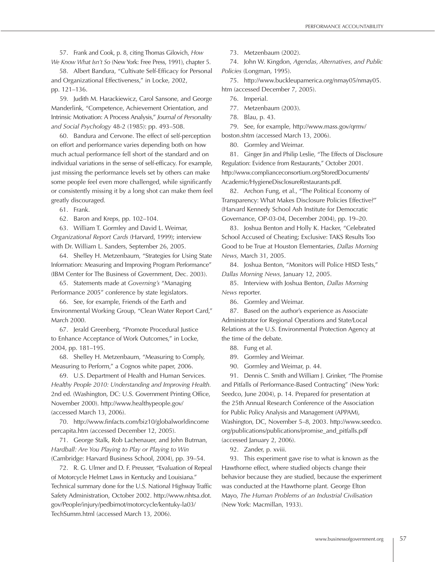57. Frank and Cook, p. 8, citing Thomas Gilovich, *How We Know What Isn't So* (New York: Free Press, 1991), chapter 5.

58. Albert Bandura, "Cultivate Self-Efficacy for Personal and Organizational Effectiveness," in Locke, 2002, pp. 121–136.

59. Judith M. Harackiewicz, Carol Sansone, and George Manderlink, "Competence, Achievement Orientation, and Intrinsic Motivation: A Process Analysis," *Journal of Personality and Social Psychology* 48-2 (1985): pp. 493–508.

60. Bandura and Cervone. The effect of self-perception on effort and performance varies depending both on how much actual performance fell short of the standard and on individual variations in the sense of self-efficacy. For example, just missing the performance levels set by others can make some people feel even more challenged, while significantly or consistently missing it by a long shot can make them feel greatly discouraged.

61. Frank.

62. Baron and Kreps, pp. 102–104.

63. William T. Gormley and David L. Weimar, *Organizational Report Cards* (Harvard, 1999); interview

with Dr. William L. Sanders, September 26, 2005.

64. Shelley H. Metzenbaum, "Strategies for Using State Information: Measuring and Improving Program Performance" (IBM Center for The Business of Government, Dec. 2003).

65. Statements made at *Governing's* "Managing Performance 2005" conference by state legislators.

66. See, for example, Friends of the Earth and Environmental Working Group, "Clean Water Report Card," March 2000.

67. Jerald Greenberg, "Promote Procedural Justice to Enhance Acceptance of Work Outcomes," in Locke, 2004, pp. 181–195.

68. Shelley H. Metzenbaum, "Measuring to Comply, Measuring to Perform," a Cognos white paper, 2006.

69. U.S. Department of Health and Human Services. *Healthy People 2010: Understanding and Improving Health.* 2nd ed. (Washington, DC: U.S. Government Printing Office, November 2000). http://www.healthypeople.gov/ (accessed March 13, 2006).

70. http://www.finfacts.com/biz10/globalworldincome percapita.htm (accessed December 12, 2005).

71. George Stalk, Rob Lachenauer, and John Butman, *Hardball: Are You Playing to Play or Playing to Win* (Cambridge: Harvard Business School, 2004), pp. 39–54.

72. R. G. Ulmer and D. F. Preusser, "Evaluation of Repeal of Motorcycle Helmet Laws in Kentucky and Louisiana." Technical summary done for the U.S. National Highway Traffic Safety Administration, October 2002. http://www.nhtsa.dot. gov/People/injury/pedbimot/motorcycle/kentuky-la03/ TechSumm.html (accessed March 13, 2006).

73. Metzenbaum (2002).

74. John W. Kingdon, *Agendas, Alternatives, and Public Policies* (Longman, 1995).

75. http://www.buckleupamerica.org/nmay05/nmay05. htm (accessed December 7, 2005).

76. Imperial.

77. Metzenbaum (2003).

78. Blau, p. 43.

79. See, for example, http://www.mass.gov/qrmv/ boston.shtm (accessed March 13, 2006).

80. Gormley and Weimar.

81. Ginger Jin and Philip Leslie, "The Effects of Disclosure Regulation: Evidence from Restaurants," October 2001. http://www.complianceconsortium.org/StoredDocuments/ Academic/HygieneDisclosureRestaurants.pdf.

82. Archon Fung, et al., "The Political Economy of Transparency: What Makes Disclosure Policies Effective?" (Harvard Kennedy School Ash Institute for Democratic Governance, OP-03-04, December 2004), pp. 19–20.

83. Joshua Benton and Holly K. Hacker, "Celebrated School Accused of Cheating; Exclusive: TAKS Results Too Good to be True at Houston Elementaries, *Dallas Morning News,* March 31, 2005.

84. Joshua Benton, "Monitors will Police HISD Tests," *Dallas Morning News,* January 12, 2005.

85. Interview with Joshua Benton, *Dallas Morning News* reporter.

86. Gormley and Weimar.

87. Based on the author's experience as Associate Administrator for Regional Operations and State/Local Relations at the U.S. Environmental Protection Agency at the time of the debate.

88. Fung et al.

89. Gormley and Weimar.

90. Gormley and Weimar, p. 44.

91. Dennis C. Smith and William J. Grinker, "The Promise and Pitfalls of Performance-Based Contracting" (New York: Seedco, June 2004), p. 14. Prepared for presentation at the 25th Annual Research Conference of the Association for Public Policy Analysis and Management (APPAM), Washington, DC, November 5–8, 2003. http://www.seedco. org/publications/publications/promise\_and\_pitfalls.pdf (accessed January 2, 2006).

92. Zander, p. xviii.

93. This experiment gave rise to what is known as the Hawthorne effect, where studied objects change their behavior because they are studied, because the experiment was conducted at the Hawthorne plant. George Elton Mayo, *The Human Problems of an Industrial Civilisation* (New York: Macmillan, 1933).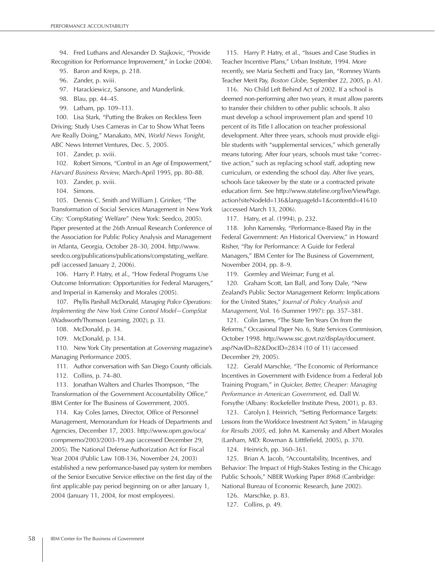94. Fred Luthans and Alexander D. Stajkovic, "Provide Recognition for Performance Improvement," in Locke (2004).

- 95. Baron and Kreps, p. 218.
- 96. Zander, p. xviii.
- 97. Harackiewicz, Sansone, and Manderlink.
- 98. Blau, pp. 44–45.
- 99. Latham, pp. 109–113.

100. Lisa Stark, "Putting the Brakes on Reckless Teen Driving; Study Uses Cameras in Car to Show What Teens Are Really Doing," Manakato, MN, *World News Tonight,* ABC News Internet Ventures, Dec. 5, 2005.

101. Zander, p. xviii.

102. Robert Simons, "Control in an Age of Empowerment," *Harvard Business Review,* March-April 1995, pp. 80–88.

- 103. Zander, p. xviii.
- 104. Simons.

105. Dennis C. Smith and William J. Grinker, "The Transformation of Social Services Management in New York City: 'CompStating' Welfare" (New York: Seedco, 2005). Paper presented at the 26th Annual Research Conference of the Association for Public Policy Analysis and Management in Atlanta, Georgia, October 28–30, 2004. http://www. seedco.org/publications/publications/compstating\_welfare. pdf (accessed January 2, 2006).

106. Harry P. Hatry, et al., "How Federal Programs Use Outcome Information: Opportunities for Federal Managers," and Imperial in Kamensky and Morales (2005).

107. Phyllis Parshall McDonald, *Managing Police Operations: Implementing the New York Crime Control Model—CompStat* (Wadsworth/Thomson Learning, 2002), p. 33.

- 108. McDonald, p. 34.
- 109. McDonald, p. 134.

110. New York City presentation at *Governing* magazine's Managing Performance 2005.

111. Author conversation with San Diego County officials.

112. Collins, p. 74–80.

113. Jonathan Walters and Charles Thompson, "The Transformation of the Government Accountability Office," IBM Center for The Business of Government, 2005.

114. Kay Coles James, Director, Office of Personnel Management, Memorandum for Heads of Departments and Agencies, December 17, 2003. http://www.opm.gov/oca/ compmemo/2003/2003-19.asp (accessed December 29, 2005). The National Defense Authorization Act for Fiscal Year 2004 (Public Law 108-136, November 24, 2003) established a new performance-based pay system for members of the Senior Executive Service effective on the first day of the first applicable pay period beginning on or after January 1, 2004 (January 11, 2004, for most employees).

115. Harry P. Hatry, et al., "Issues and Case Studies in Teacher Incentive Plans," Urban Institute, 1994. More recently, see Maria Sechetti and Tracy Jan, "Romney Wants Teacher Merit Pay, *Boston Globe,* September 22, 2005, p. A1.

116. No Child Left Behind Act of 2002. If a school is deemed non-performing after two years, it must allow parents to transfer their children to other public schools. It also must develop a school improvement plan and spend 10 percent of its Title I allocation on teacher professional development. After three years, schools must provide eligible students with "supplemental services," which generally means tutoring. After four years, schools must take "corrective action," such as replacing school staff, adopting new curriculum, or extending the school day. After five years, schools face takeover by the state or a contracted private education firm. See http://www.stateline.org/live/ViewPage. action?siteNodeId=136&languageId=1&contentId=41610 (accessed March 13, 2006).

117. Hatry, et al. (1994), p. 232.

118. John Kamensky, "Performance-Based Pay in the Federal Government: An Historical Overview," in Howard Risher, "Pay for Performance: A Guide for Federal Managers," IBM Center for The Business of Government, November 2004, pp. 8–9.

119. Gormley and Weimar; Fung et al.

120. Graham Scott, Ian Ball, and Tony Dale, "New Zealand's Public Sector Management Reform: Implications for the United States," *Journal of Policy Analysis and Management,* Vol. 16 (Summer 1997): pp. 357–381.

121. Colin James, "The State Ten Years On from the Reforms," Occasional Paper No. 6, State Services Commission, October 1998. http://www.ssc.govt.nz/display/document. asp?NavID=82&DocID=2834 (10 of 11) (accessed December 29, 2005).

122. Gerald Marschke, "The Economic of Performance Incentives in Government with Evidence from a Federal Job Training Program," in *Quicker, Better, Cheaper: Managing Performance in American Government,* ed. Dall W. Forsythe (Albany: Rockefeller Institute Press, 2001), p. 83.

123. Carolyn J. Heinrich, "Setting Performance Targets: Lessons from the Workforce Investment Act System," in *Managing for Results 2005,* ed. John M. Kamensky and Albert Morales (Lanham, MD: Rowman & Litttlefield, 2005), p. 370.

124. Heinrich, pp. 360–361.

125. Brian A. Jacob, "Accountability, Incentives, and Behavior: The Impact of High-Stakes Testing in the Chicago Public Schools," NBER Working Paper 8968 (Cambridge: National Bureau of Economic Research, June 2002).

126. Marschke, p. 83.

127. Collins, p. 49.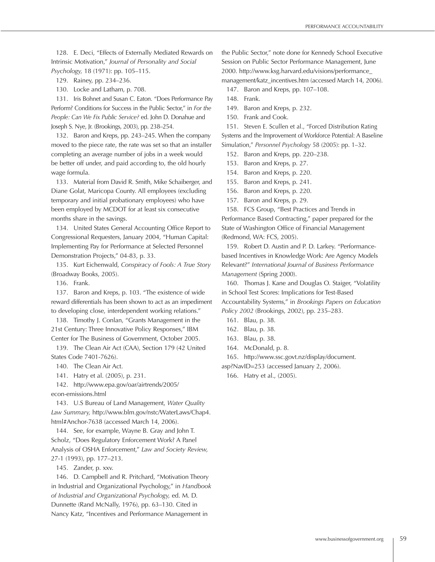128. E. Deci, "Effects of Externally Mediated Rewards on Intrinsic Motivation," *Journal of Personality and Social Psychology,* 18 (1971): pp. 105–115.

- 129. Rainey, pp. 234–236.
- 130. Locke and Latham, p. 708.

131. Iris Bohnet and Susan C. Eaton. "Does Performance Pay Perform? Conditions for Success in the Public Sector," in *For the People: Can We Fix Public Service?* ed. John D. Donahue and Joseph S. Nye, Jr. (Brookings, 2003), pp. 238–254.

132. Baron and Kreps, pp. 243–245. When the company moved to the piece rate, the rate was set so that an installer completing an average number of jobs in a week would be better off under, and paid according to, the old hourly wage formula.

133. Material from David R. Smith, Mike Schaiberger, and Diane Golat, Maricopa County. All employees (excluding temporary and initial probationary employees) who have been employed by MCDOT for at least six consecutive months share in the savings.

134. United States General Accounting Office Report to Congressional Requesters, January 2004, "Human Capital: Implementing Pay for Performance at Selected Personnel Demonstration Projects," 04-83, p. 33.

135. Kurt Eichenwald, *Conspiracy of Fools: A True Story* (Broadway Books, 2005).

136. Frank.

137. Baron and Kreps, p. 103. "The existence of wide reward differentials has been shown to act as an impediment to developing close, interdependent working relations."

138. Timothy J. Conlan, "Grants Management in the 21st Century: Three Innovative Policy Responses," IBM Center for The Business of Government, October 2005.

139. The Clean Air Act (CAA), Section 179 (42 United States Code 7401-7626).

140. The Clean Air Act.

141. Hatry et al. (2005), p. 231.

142. http://www.epa.gov/oar/airtrends/2005/ econ-emissions.html

143. U.S Bureau of Land Management, *Water Quality Law Summary,* http://www.blm.gov/nstc/WaterLaws/Chap4. html#Anchor-7638 (accessed March 14, 2006).

144. See, for example, Wayne B. Gray and John T. Scholz, "Does Regulatory Enforcement Work? A Panel Analysis of OSHA Enforcement," *Law and Society Review,* 27-1 (1993), pp. 177–213.

145. Zander, p. xxv.

146. D. Campbell and R. Pritchard, "Motivation Theory in Industrial and Organizational Psychology," in *Handbook of Industrial and Organizational Psychology,* ed. M. D. Dunnette (Rand McNally, 1976), pp. 63–130. Cited in Nancy Katz, "Incentives and Performance Management in

the Public Sector," note done for Kennedy School Executive Session on Public Sector Performance Management, June 2000. http://www.ksg.harvard.edu/visions/performance\_ management/katz\_incentives.htm (accessed March 14, 2006).

147. Baron and Kreps, pp. 107–108.

- 148. Frank.
- 149. Baron and Kreps, p. 232.
- 150. Frank and Cook.

151. Steven E. Scullen et al., "Forced Distribution Rating Systems and the Improvement of Workforce Potential: A Baseline Simulation," *Personnel Psychology* 58 (2005): pp. 1–32.

152. Baron and Kreps, pp. 220–238.

- 153. Baron and Kreps, p. 27.
- 154. Baron and Kreps, p. 220.
- 155. Baron and Kreps, p. 241.
- 156. Baron and Kreps, p. 220.
- 157. Baron and Kreps, p. 29.

158. FCS Group, "Best Practices and Trends in Performance Based Contracting," paper prepared for the State of Washington Office of Financial Management (Redmond, WA: FCS, 2005).

159. Robert D. Austin and P. D. Larkey. "Performancebased Incentives in Knowledge Work: Are Agency Models Relevant?" *International Journal of Business Performance Management* (Spring 2000).

160. Thomas J. Kane and Douglas O. Staiger, "Volatility in School Test Scores: Implications for Test-Based Accountability Systems," in *Brookings Papers on Education Policy 2002* (Brookings, 2002), pp. 235–283.

- 161. Blau, p. 38.
- 162. Blau, p. 38.
- 163. Blau, p. 38.
- 164. McDonald, p. 8.
- 165. http://www.ssc.govt.nz/display/document.

asp?NavID=253 (accessed January 2, 2006).

166. Hatry et al., (2005).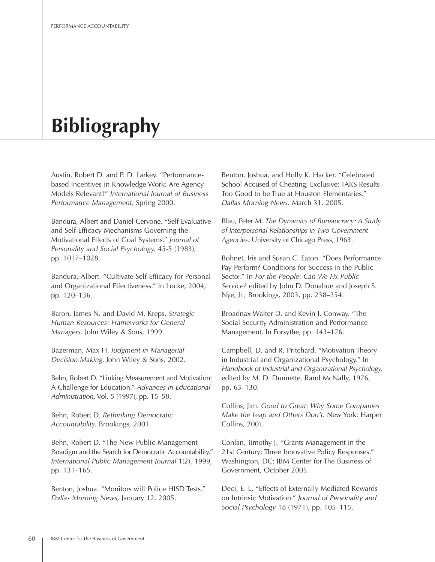# **Bibliography**

Austin, Robert D. and P. D. Larkey. "Performancebased Incentives in Knowledge Work: Are Agency Models Relevant?" *International Journal of Business Performance Management,* Spring 2000.

Bandura, Albert and Daniel Cervone. "Self-Evaluative and Self-Efficacy Mechanisms Governing the Motivational Effects of Goal Systems." *Journal of Personality and Social Psychology,* 45-5 (1983), pp. 1017–1028.

Bandura, Albert. "Cultivate Self-Efficacy for Personal and Organizational Effectiveness." In Locke, 2004, pp. 120–136.

Baron, James N. and David M. Kreps. *Strategic Human Resources: Frameworks for General Managers.* John Wiley & Sons, 1999.

Bazerman, Max H. *Judgment in Managerial Decision-Making.* John Wiley & Sons, 2002.

Behn, Robert D. "Linking Measurement and Motivation: A Challenge for Education." *Advances in Educational Administration,* Vol. 5 (1997), pp. 15–58.

Behn, Robert D. *Rethinking Democratic Accountability.* Brookings, 2001.

Behn, Robert D. "The New Public-Management Paradigm and the Search for Democratic Accountability." *International Public Management Journal* 1(2), 1999, pp. 131–165.

Benton, Joshua. "Monitors will Police HISD Tests." *Dallas Morning News,* January 12, 2005.

Benton, Joshua, and Holly K. Hacker. "Celebrated School Accused of Cheating; Exclusive: TAKS Results Too Good to be True at Houston Elementaries." *Dallas Morning News,* March 31, 2005.

Blau, Peter M. *The Dynamics of Bureaucracy: A Study of Interpersonal Relationships in Two Government Agencies.* University of Chicago Press, 1963.

Bohnet, Iris and Susan C. Eaton. "Does Performance Pay Perform? Conditions for Success in the Public Sector." In *For the People: Can We Fix Public Service?* edited by John D. Donahue and Joseph S. Nye, Jr., Brookings, 2003, pp. 238–254.

Broadnax Walter D. and Kevin J. Conway. "The Social Security Administration and Performance Management. In Forsythe, pp. 143–176.

Campbell, D. and R. Pritchard. "Motivation Theory in Industrial and Organizational Psychology." In *Handbook of Industrial and Organizational Psychology,* edited by M. D. Dunnette. Rand McNally, 1976, pp. 63–130.

Collins, Jim. *Good to Great: Why Some Companies Make the Leap and Others Don't.* New York: Harper Collins, 2001.

Conlan, Timothy J. *"*Grants Management in the 21st Century: Three Innovative Policy Responses." Washington, DC: IBM Center for The Business of Government, October 2005.

Deci, E. L. "Effects of Externally Mediated Rewards on Intrinsic Motivation." *Journal of Personality and Social Psychology* 18 (1971), pp. 105–115.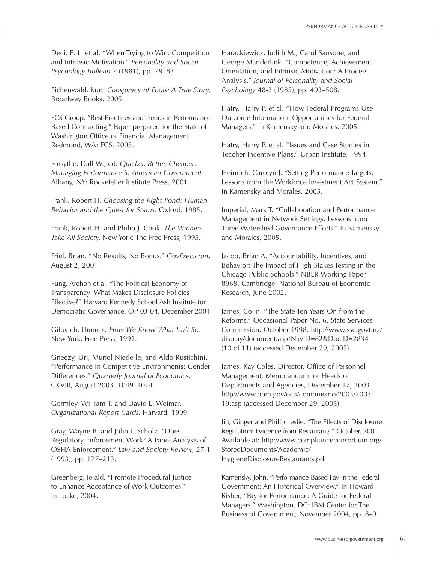Deci, E. L. et al. "When Trying to Win: Competition and Intrinsic Motivation." *Personality and Social Psychology Bulletin* 7 (1981), pp. 79–83.

Eichenwald, Kurt. *Conspiracy of Fools: A True Story.* Broadway Books, 2005.

FCS Group. "Best Practices and Trends in Performance Based Contracting." Paper prepared for the State of Washington Office of Financial Management. Redmond, WA: FCS, 2005.

Forsythe, Dall W., ed. *Quicker, Better, Cheaper: Managing Performance in American Government.*  Albany, NY: Rockefeller Institute Press, 2001.

Frank, Robert H. *Choosing the Right Pond: Human Behavior and the Quest for Status.* Oxford, 1985.

Frank, Robert H. and Philip J. Cook. *The Winner-Take-All Society.* New York: The Free Press, 1995.

Friel, Brian. "No Results, No Bonus." *GovExec.com,*  August 2, 2001.

Fung, Archon et al. "The Political Economy of Transparency: What Makes Disclosure Policies Effective?" Harvard Kennedy School Ash Institute for Democratic Governance, OP-03-04, December 2004.

Gilovich, Thomas. *How We Know What Isn't So.* New York: Free Press, 1991.

Gneezy, Uri, Muriel Niederle, and Aldo Rustichini. "Performance in Competitive Environments: Gender Differences." *Quarterly Journal of Economics*, CXVIII, August 2003, 1049–1074.

Gormley, William T. and David L. Weimar. *Organizational Report Cards.* Harvard, 1999.

Gray, Wayne B. and John T. Scholz. "Does Regulatory Enforcement Work? A Panel Analysis of OSHA Enforcement." *Law and Society Review*, 27-1 (1993), pp. 177–213.

Greenberg, Jerald. "Promote Procedural Justice to Enhance Acceptance of Work Outcomes." In Locke, 2004.

Harackiewicz, Judith M., Carol Sansone, and George Manderlink. "Competence, Achievement Orientation, and Intrinsic Motivation: A Process Analysis." *Journal of Personality and Social Psychology* 48-2 (1985), pp. 493–508.

Hatry, Harry P. et al. "How Federal Programs Use Outcome Information: Opportunities for Federal Managers." In Kamensky and Morales, 2005.

Hatry, Harry P. et al. "Issues and Case Studies in Teacher Incentive Plans." Urban Institute, 1994.

Heinrich, Carolyn J. "Setting Performance Targets: Lessons from the Workforce Investment Act System." In Kamensky and Morales, 2005.

Imperial, Mark T. "Collaboration and Performance Management in Network Settings: Lessons from Three Watershed Governance Efforts." In Kamensky and Morales, 2005.

Jacob, Brian A. "Accountability, Incentives, and Behavior: The Impact of High-Stakes Testing in the Chicago Public Schools." NBER Working Paper 8968. Cambridge: National Bureau of Economic Research, June 2002.

James, Colin. "The State Ten Years On from the Reforms." Occasional Paper No. 6. State Services Commission, October 1998. http://www.ssc.govt.nz/ display/document.asp?NavID=82&DocID=2834 (10 of 11) (accessed December 29, 2005).

James, Kay Coles. Director, Office of Personnel Management, Memorandum for Heads of Departments and Agencies, December 17, 2003. http://www.opm.gov/oca/compmemo/2003/2003- 19.asp (accessed December 29, 2005).

Jin, Ginger and Philip Leslie. "The Effects of Disclosure Regulation: Evidence from Restaurants." October, 2001. Available at: http://www.complianceconsortium.org/ StoredDocuments/Academic/ HygieneDisclosureRestaurants.pdf

Kamensky, John. "Performance-Based Pay in the Federal Government: An Historical Overview." In Howard Risher, "Pay for Performance: A Guide for Federal Managers." Washington, DC: IBM Center for The Business of Government, November 2004, pp. 8–9.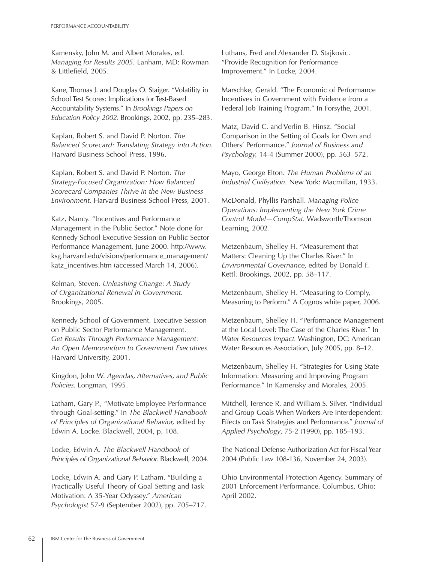Kamensky, John M. and Albert Morales, ed. *Managing for Results 2005.* Lanham, MD: Rowman & Littlefield, 2005.

Kane, Thomas J. and Douglas O. Staiger. "Volatility in School Test Scores: Implications for Test-Based Accountability Systems." In *Brookings Papers on Education Policy 2002.* Brookings, 2002, pp. 235–283.

Kaplan, Robert S. and David P. Norton. *The Balanced Scorecard: Translating Strategy into Action.* Harvard Business School Press, 1996.

Kaplan, Robert S. and David P. Norton. *The Strategy-Focused Organization: How Balanced Scorecard Companies Thrive in the New Business Environment.* Harvard Business School Press, 2001.

Katz, Nancy. "Incentives and Performance Management in the Public Sector." Note done for Kennedy School Executive Session on Public Sector Performance Management, June 2000. http://www. ksg.harvard.edu/visions/performance\_management/ katz\_incentives.htm (accessed March 14, 2006).

Kelman, Steven. *Unleashing Change: A Study of Organizational Renewal in Government.* Brookings, 2005.

Kennedy School of Government. Executive Session on Public Sector Performance Management. *Get Results Through Performance Management: An Open Memorandum to Government Executives.* Harvard University, 2001.

Kingdon, John W. *Agendas, Alternatives, and Public Policies.* Longman, 1995.

Latham, Gary P., "Motivate Employee Performance through Goal-setting." In *The Blackwell Handbook of Principles of Organizational Behavior,* edited by Edwin A. Locke. Blackwell, 2004, p. 108.

Locke, Edwin A. *The Blackwell Handbook of Principles of Organizational Behavior.* Blackwell, 2004.

Locke, Edwin A. and Gary P. Latham. "Building a Practically Useful Theory of Goal Setting and Task Motivation: A 35-Year Odyssey." *American Psychologist* 57-9 (September 2002), pp. 705–717. Luthans, Fred and Alexander D. Stajkovic. "Provide Recognition for Performance Improvement." In Locke, 2004.

Marschke, Gerald. "The Economic of Performance Incentives in Government with Evidence from a Federal Job Training Program." In Forsythe, 2001.

Matz, David C. and Verlin B. Hinsz. "Social Comparison in the Setting of Goals for Own and Others' Performance." *Journal of Business and Psychology,* 14-4 (Summer 2000), pp. 563–572.

Mayo, George Elton. *The Human Problems of an Industrial Civilisation.* New York: Macmillan, 1933.

McDonald, Phyllis Parshall. *Managing Police Operations: Implementing the New York Crime Control Model—CompStat.* Wadsworth/Thomson Learning, 2002.

Metzenbaum, Shelley H. "Measurement that Matters: Cleaning Up the Charles River." In *Environmental Governance,* edited by Donald F. Kettl. Brookings, 2002, pp. 58–117.

Metzenbaum, Shelley H. "Measuring to Comply, Measuring to Perform." A Cognos white paper, 2006.

Metzenbaum, Shelley H. "Performance Management at the Local Level: The Case of the Charles River." In *Water Resources Impact.* Washington, DC: American Water Resources Association, July 2005, pp. 8–12.

Metzenbaum, Shelley H. "Strategies for Using State Information: Measuring and Improving Program Performance." In Kamensky and Morales, 2005.

Mitchell, Terence R. and William S. Silver. "Individual and Group Goals When Workers Are Interdependent: Effects on Task Strategies and Performance." *Journal of Applied Psychology*, 75-2 (1990), pp. 185–193.

The National Defense Authorization Act for Fiscal Year 2004 (Public Law 108-136, November 24, 2003).

Ohio Environmental Protection Agency. Summary of 2001 Enforcement Performance. Columbus, Ohio: April 2002.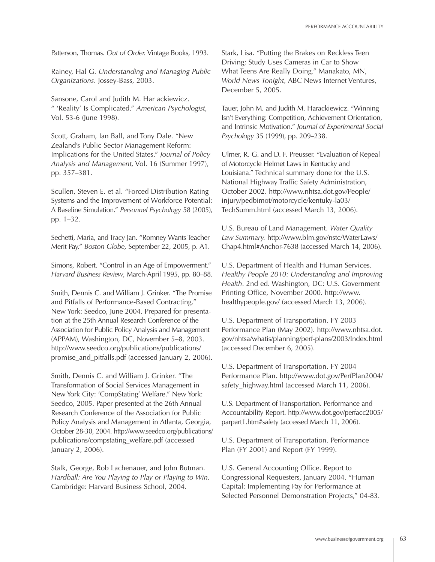Patterson, Thomas. *Out of Order.* Vintage Books, 1993.

Rainey, Hal G. *Understanding and Managing Public Organizations.* Jossey-Bass, 2003.

Sansone, Carol and Judith M. Har ackiewicz. " 'Reality' Is Complicated." *American Psychologist*, Vol. 53-6 (June 1998).

Scott, Graham, Ian Ball, and Tony Dale. "New Zealand's Public Sector Management Reform: Implications for the United States." *Journal of Policy Analysis and Management,* Vol. 16 (Summer 1997), pp. 357–381.

Scullen, Steven E. et al. "Forced Distribution Rating Systems and the Improvement of Workforce Potential: A Baseline Simulation." *Personnel Psychology* 58 (2005), pp. 1–32.

Sechetti, Maria, and Tracy Jan. "Romney Wants Teacher Merit Pay." *Boston Globe,* September 22, 2005, p. A1.

Simons, Robert. "Control in an Age of Empowerment." *Harvard Business Review*, March-April 1995, pp. 80–88.

Smith, Dennis C. and William J. Grinker. "The Promise and Pitfalls of Performance-Based Contracting." New York: Seedco, June 2004. Prepared for presentation at the 25th Annual Research Conference of the Association for Public Policy Analysis and Management (APPAM), Washington, DC, November 5–8, 2003. http://www.seedco.org/publications/publications/ promise\_and\_pitfalls.pdf (accessed January 2, 2006).

Smith, Dennis C. and William J. Grinker. "The Transformation of Social Services Management in New York City: 'CompStating' Welfare." New York: Seedco, 2005. Paper presented at the 26th Annual Research Conference of the Association for Public Policy Analysis and Management in Atlanta, Georgia, October 28-30, 2004. http://www.seedco.org/publications/ publications/compstating\_welfare.pdf (accessed January 2, 2006).

Stalk, George, Rob Lachenauer, and John Butman. *Hardball: Are You Playing to Play or Playing to Win.* Cambridge: Harvard Business School, 2004.

Stark, Lisa. "Putting the Brakes on Reckless Teen Driving; Study Uses Cameras in Car to Show What Teens Are Really Doing." Manakato, MN, *World News Tonight,* ABC News Internet Ventures, December 5, 2005.

Tauer, John M. and Judith M. Harackiewicz. "Winning Isn't Everything: Competition, Achievement Orientation, and Intrinsic Motivation." *Journal of Experimental Social Psychology* 35 (1999), pp. 209–238.

Ulmer, R. G. and D. F. Preusser. "Evaluation of Repeal of Motorcycle Helmet Laws in Kentucky and Louisiana." Technical summary done for the U.S. National Highway Traffic Safety Administration, October 2002. http://www.nhtsa.dot.gov/People/ injury/pedbimot/motorcycle/kentuky-la03/ TechSumm.html (accessed March 13, 2006).

U.S. Bureau of Land Management. *Water Quality Law Summary.* http://www.blm.gov/nstc/WaterLaws/ Chap4.html#Anchor-7638 (accessed March 14, 2006).

U.S. Department of Health and Human Services. *Healthy People 2010: Understanding and Improving Health*. 2nd ed. Washington, DC: U.S. Government Printing Office, November 2000. http://www. healthypeople.gov/ (accessed March 13, 2006).

U.S. Department of Transportation. FY 2003 Performance Plan (May 2002). http://www.nhtsa.dot. gov/nhtsa/whatis/planning/perf-plans/2003/Index.html (accessed December 6, 2005).

U.S. Department of Transportation. FY 2004 Performance Plan. http://www.dot.gov/PerfPlan2004/ safety\_highway.html (accessed March 11, 2006).

U.S. Department of Transportation. Performance and Accountability Report. http://www.dot.gov/perfacc2005/ parpart1.htm#safety (accessed March 11, 2006).

U.S. Department of Transportation. Performance Plan (FY 2001) and Report (FY 1999).

U.S. General Accounting Office. Report to Congressional Requesters, January 2004. "Human Capital: Implementing Pay for Performance at Selected Personnel Demonstration Projects," 04-83.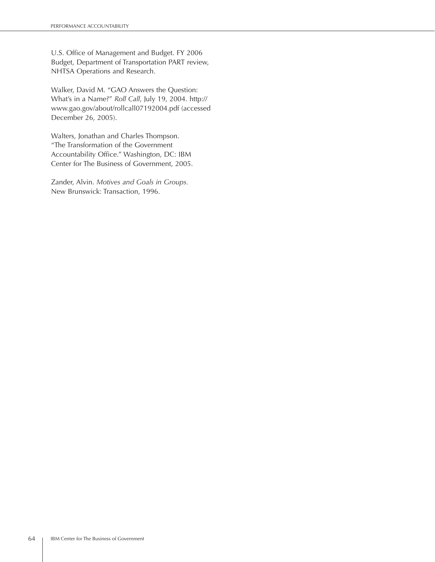U.S. Office of Management and Budget. FY 2006 Budget, Department of Transportation PART review, NHTSA Operations and Research.

Walker, David M. "GAO Answers the Question: What's in a Name?" *Roll Call*, July 19, 2004. http:// www.gao.gov/about/rollcall07192004.pdf (accessed December 26, 2005).

Walters, Jonathan and Charles Thompson. "The Transformation of the Government Accountability Office." Washington, DC: IBM Center for The Business of Government, 2005.

Zander, Alvin. *Motives and Goals in Groups.*  New Brunswick: Transaction, 1996.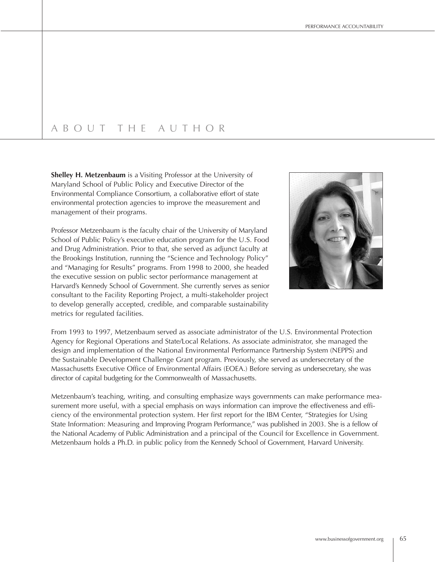## Ab o ut the a uth o r

**Shelley H. Metzenbaum** is a Visiting Professor at the University of Maryland School of Public Policy and Executive Director of the Environmental Compliance Consortium, a collaborative effort of state environmental protection agencies to improve the measurement and management of their programs.

Professor Metzenbaum is the faculty chair of the University of Maryland School of Public Policy's executive education program for the U.S. Food and Drug Administration. Prior to that, she served as adjunct faculty at the Brookings Institution, running the "Science and Technology Policy" and "Managing for Results" programs. From 1998 to 2000, she headed the executive session on public sector performance management at Harvard's Kennedy School of Government. She currently serves as senior consultant to the Facility Reporting Project, a multi-stakeholder project to develop generally accepted, credible, and comparable sustainability metrics for regulated facilities.



From 1993 to 1997, Metzenbaum served as associate administrator of the U.S. Environmental Protection Agency for Regional Operations and State/Local Relations. As associate administrator, she managed the design and implementation of the National Environmental Performance Partnership System (NEPPS) and the Sustainable Development Challenge Grant program. Previously, she served as undersecretary of the Massachusetts Executive Office of Environmental Affairs (EOEA.) Before serving as undersecretary, she was director of capital budgeting for the Commonwealth of Massachusetts.

Metzenbaum's teaching, writing, and consulting emphasize ways governments can make performance measurement more useful, with a special emphasis on ways information can improve the effectiveness and efficiency of the environmental protection system. Her first report for the IBM Center, "Strategies for Using State Information: Measuring and Improving Program Performance," was published in 2003. She is a fellow of the National Academy of Public Administration and a principal of the Council for Excellence in Government. Metzenbaum holds a Ph.D. in public policy from the Kennedy School of Government, Harvard University.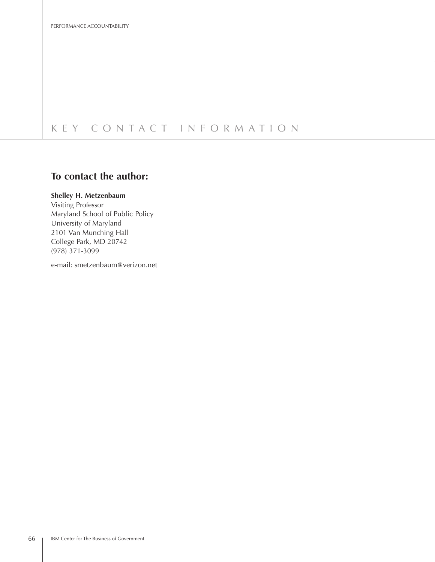## K e y c o n t a c t I n f o r m a t i o n

## **To contact the author:**

## **Shelley H. Metzenbaum**

Visiting Professor Maryland School of Public Policy University of Maryland 2101 Van Munching Hall College Park, MD 20742 (978) 371-3099

e-mail: smetzenbaum@verizon.net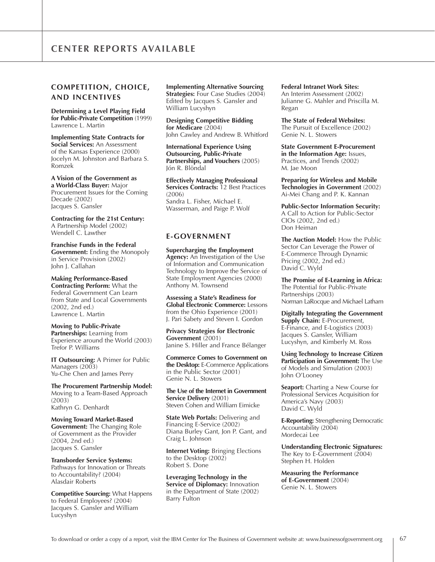## **competition, choice, and incentives**

**Determining a Level Playing Field for Public-Private Competition** (1999) Lawrence L. Martin

**Implementing State Contracts for Social Services:** An Assessment of the Kansas Experience (2000) Jocelyn M. Johnston and Barbara S. Romzek

**A Vision of the Government as a World-Class Buyer:** Major Procurement Issues for the Coming Decade (2002) Jacques S. Gansler

**Contracting for the 21st Century:**  A Partnership Model (2002) Wendell C. Lawther

**Franchise Funds in the Federal Government:** Ending the Monopoly in Service Provision (2002) John J. Callahan

**Making Performance-Based Contracting Perform:** What the Federal Government Can Learn from State and Local Governments (2002, 2nd ed.) Lawrence L. Martin

**Moving to Public-Private Partnerships:** Learning from Experience around the World (2003) Trefor P. Williams

**IT Outsourcing:** A Primer for Public Managers (2003) Yu-Che Chen and James Perry

**The Procurement Partnership Model:** Moving to a Team-Based Approach (2003) Kathryn G. Denhardt

**Moving Toward Market-Based Government:** The Changing Role of Government as the Provider (2004, 2nd ed.) Jacques S. Gansler

**Transborder Service Systems:** Pathways for Innovation or Threats to Accountability? (2004) Alasdair Roberts

**Competitive Sourcing:** What Happens to Federal Employees? (2004) Jacques S. Gansler and William Lucyshyn

#### **Implementing Alternative Sourcing Strategies:** Four Case Studies (2004) Edited by Jacques S. Gansler and William Lucyshyn

**Designing Competitive Bidding for Medicare** (2004) John Cawley and Andrew B. Whitford

**International Experience Using Outsourcing, Public-Private Partnerships, and Vouchers** (2005) Jón R. Blöndal

**Effectively Managing Professional Services Contracts:** 12 Best Practices (2006) Sandra L. Fisher, Michael E. Wasserman, and Paige P. Wolf

### **E-Government**

**Supercharging the Employment Agency:** An Investigation of the Use of Information and Communication Technology to Improve the Service of State Employment Agencies (2000) Anthony M. Townsend

**Assessing a State's Readiness for Global Electronic Commerce:** Lessons from the Ohio Experience (2001) J. Pari Sabety and Steven I. Gordon

**Privacy Strategies for Electronic Government** (2001) Janine S. Hiller and France Bélanger

**Commerce Comes to Government on the Desktop:** E-Commerce Applications in the Public Sector (2001) Genie N. L. Stowers

**The Use of the Internet in Government Service Delivery** (2001) Steven Cohen and William Eimicke

**State Web Portals:** Delivering and Financing E-Service (2002) Diana Burley Gant, Jon P. Gant, and Craig L. Johnson

**Internet Voting:** Bringing Elections to the Desktop (2002) Robert S. Done

**Leveraging Technology in the Service of Diplomacy:** Innovation in the Department of State (2002) Barry Fulton

#### **Federal Intranet Work Sites:**

An Interim Assessment (2002) Julianne G. Mahler and Priscilla M. Regan

**The State of Federal Websites:** The Pursuit of Excellence (2002) Genie N. L. Stowers

**State Government E-Procurement in the Information Age:** Issues, Practices, and Trends (2002) M. Jae Moon

**Preparing for Wireless and Mobile Technologies in Government** (2002) Ai-Mei Chang and P. K. Kannan

**Public-Sector Information Security:**  A Call to Action for Public-Sector CIOs (2002, 2nd ed.) Don Heiman

**The Auction Model:** How the Public Sector Can Leverage the Power of E-Commerce Through Dynamic Pricing (2002, 2nd ed.) David C. Wyld

**The Promise of E-Learning in Africa:** The Potential for Public-Private Partnerships (2003) Norman LaRocque and Michael Latham

**Digitally Integrating the Government Supply Chain:** E-Procurement, E-Finance, and E-Logistics (2003) Jacques S. Gansler, William Lucyshyn, and Kimberly M. Ross

**Using Technology to Increase Citizen Participation in Government:** The Use of Models and Simulation (2003) John O'Looney

**Seaport:** Charting a New Course for Professional Services Acquisition for America's Navy (2003) David C. Wyld

**E-Reporting:** Strengthening Democratic Accountability (2004) Mordecai Lee

**Understanding Electronic Signatures:** The Key to E- $\bar{G}$ overnment (2004) Stephen H. Holden

**Measuring the Performance of E-Government** (2004) Genie N. L. Stowers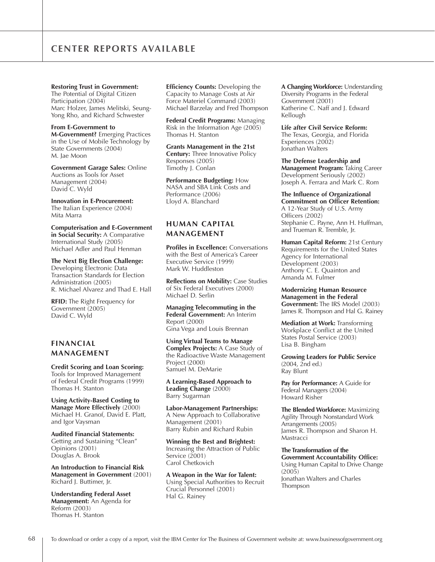**Restoring Trust in Government:** The Potential of Digital Citizen Participation (2004) Marc Holzer, James Melitski, Seung-Yong Rho, and Richard Schwester

**From E-Government to M-Government?** Emerging Practices in the Use of Mobile Technology by State Governments (2004) M. Jae Moon

**Government Garage Sales:** Online Auctions as Tools for Asset Management (2004) David C. Wyld

**Innovation in E-Procurement:** The Italian Experience (2004) Mita Marra

**Computerisation and E-Government in Social Security:** A Comparative International Study (2005) Michael Adler and Paul Henman

**The Next Big Election Challenge:** Developing Electronic Data Transaction Standards for Election Administration (2005) R. Michael Alvarez and Thad E. Hall

**RFID:** The Right Frequency for Government (2005) David C. Wyld

## **Financial Management**

**Credit Scoring and Loan Scoring:** Tools for Improved Management of Federal Credit Programs (1999) Thomas H. Stanton

**Using Activity-Based Costing to Manage More Effectively** (2000) Michael H. Granof, David E. Platt, and Igor Vaysman

**Audited Financial Statements:** Getting and Sustaining "Clean" Opinions (2001) Douglas A. Brook

**An Introduction to Financial Risk Management in Government** (2001) Richard J. Buttimer, Jr.

**Understanding Federal Asset Management:** An Agenda for Reform (2003) Thomas H. Stanton

**Efficiency Counts: Developing the** Capacity to Manage Costs at Air Force Materiel Command (2003) Michael Barzelay and Fred Thompson

**Federal Credit Programs:** Managing Risk in the Information Age (2005) Thomas H. Stanton

**Grants Management in the 21st Century:** Three Innovative Policy Responses (2005) Timothy J. Conlan

**Performance Budgeting:** How NASA and SBA Link Costs and Performance (2006) Lloyd A. Blanchard

### **Human Capital Management**

**Profiles in Excellence:** Conversations with the Best of America's Career Executive Service (1999) Mark W. Huddleston

**Reflections on Mobility:** Case Studies of Six Federal Executives (2000) Michael D. Serlin

**Managing Telecommuting in the Federal Government:** An Interim Report (2000) Gina Vega and Louis Brennan

**Using Virtual Teams to Manage Complex Projects:** A Case Study of the Radioactive Waste Management Project (2000) Samuel M. DeMarie

**A Learning-Based Approach to Leading Change** (2000) Barry Sugarman

**Labor-Management Partnerships:** A New Approach to Collaborative Management (2001) Barry Rubin and Richard Rubin

**Winning the Best and Brightest:**  Increasing the Attraction of Public Service (2001) Carol Chetkovich

**A Weapon in the War for Talent:**  Using Special Authorities to Recruit Crucial Personnel (2001) Hal G. Rainey

**A Changing Workforce:** Understanding Diversity Programs in the Federal Government (2001) Katherine C. Naff and J. Edward Kellough

**Life after Civil Service Reform:**  The Texas, Georgia, and Florida Experiences (2002) Jonathan Walters

**The Defense Leadership and Management Program:** Taking Career Development Seriously (2002) Joseph A. Ferrara and Mark C. Rom

**The Influence of Organizational Commitment on Officer Retention:**  A 12-Year Study of U.S. Army Officers (2002) Stephanie C. Payne, Ann H. Huffman, and Trueman R. Tremble, Jr.

**Human Capital Reform:** 21st Century Requirements for the United States Agency for International Development (2003) Anthony C. E. Quainton and Amanda M. Fulmer

**Modernizing Human Resource Management in the Federal Government:** The IRS Model (2003) James R. Thompson and Hal G. Rainey

**Mediation at Work:** Transforming Workplace Conflict at the United States Postal Service (2003) Lisa B. Bingham

**Growing Leaders for Public Service** (2004, 2nd ed.) Ray Blunt

**Pay for Performance:** A Guide for Federal Managers (2004) Howard Risher

**The Blended Workforce:** Maximizing Agility Through Nonstandard Work Arrangements (2005) James R. Thompson and Sharon H. Mastracci

**The Transformation of the Government Accountability Office:** Using Human Capital to Drive Change  $(2005)$ Jonathan Walters and Charles Thompson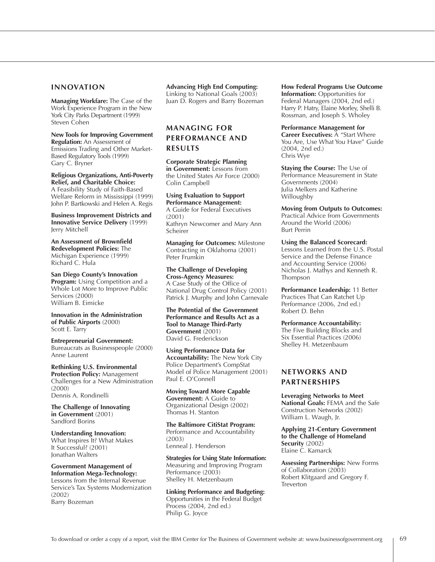#### **Innovation**

**Managing Workfare:** The Case of the Work Experience Program in the New York City Parks Department (1999) Steven Cohen

**New Tools for Improving Government Regulation:** An Assessment of Emissions Trading and Other Market-Based Regulatory Tools (1999) Gary C. Bryner

**Religious Organizations, Anti-Poverty Relief, and Charitable Choice:**  A Feasibility Study of Faith-Based Welfare Reform in Mississippi (1999) John P. Bartkowski and Helen A. Regis

**Business Improvement Districts and Innovative Service Delivery** (1999) Jerry Mitchell

**An Assessment of Brownfield Redevelopment Policies:** The Michigan Experience (1999) Richard C. Hula

**San Diego County's Innovation Program:** Using Competition and a Whole Lot More to Improve Public Services (2000) William B. Eimicke

**Innovation in the Administration of Public Airports** (2000) Scott E. Tarry

**Entrepreneurial Government:** Bureaucrats as Businesspeople (2000) Anne Laurent

**Rethinking U.S. Environmental Protection Policy:** Management Challenges for a New Administration (2000) Dennis A. Rondinelli

**The Challenge of Innovating in Government** (2001) Sandford Borins

**Understanding Innovation:**  What Inspires It? What Makes It Successful? (2001) Jonathan Walters

**Government Management of Information Mega-Technology:**  Lessons from the Internal Revenue Service's Tax Systems Modernization (2002) Barry Bozeman

**Advancing High End Computing:** Linking to National Goals (2003) Juan D. Rogers and Barry Bozeman

## **Managing for Performance and Results**

**Corporate Strategic Planning in Government:** Lessons from the United States Air Force (2000) Colin Campbell

**Using Evaluation to Support Performance Management:** A Guide for Federal Executives (2001) Kathryn Newcomer and Mary Ann Scheirer

**Managing for Outcomes:** Milestone Contracting in Oklahoma (2001) Peter Frumkin

**The Challenge of Developing Cross-Agency Measures:**  A Case Study of the Office of National Drug Control Policy (2001) Patrick J. Murphy and John Carnevale

**The Potential of the Government Performance and Results Act as a Tool to Manage Third-Party Government** (2001) David G. Frederickson

**Using Performance Data for Accountability:** The New York City Police Department's CompStat Model of Police Management (2001) Paul E. O'Connell

**Moving Toward More Capable Government:** A Guide to Organizational Design (2002) Thomas H. Stanton

**The Baltimore CitiStat Program:** Performance and Accountability (2003) Lenneal J. Henderson

**Strategies for Using State Information:** Measuring and Improving Program Performance (2003) Shelley H. Metzenbaum

**Linking Performance and Budgeting:**  Opportunities in the Federal Budget Process (2004, 2nd ed.) Philip G. Joyce

**How Federal Programs Use Outcome Information:** Opportunities for Federal Managers (2004, 2nd ed.) Harry P. Hatry, Elaine Morley, Shelli B. Rossman, and Joseph S. Wholey

**Performance Management for Career Executives:** A "Start Where You Are, Use What You Have" Guide (2004, 2nd ed.) Chris Wye

**Staying the Course:** The Use of Performance Measurement in State Governments (2004) Julia Melkers and Katherine **Willoughby** 

**Moving from Outputs to Outcomes:**  Practical Advice from Governments Around the World (2006) Burt Perrin

**Using the Balanced Scorecard:**  Lessons Learned from the U.S. Postal Service and the Defense Finance and Accounting Service (2006) Nicholas J. Mathys and Kenneth R. Thompson

**Performance Leadership:** 11 Better Practices That Can Ratchet Up Performance (2006, 2nd ed.) Robert D. Behn

**Performance Accountability:**  The Five Building Blocks and Six Essential Practices (2006) Shelley H. Metzenbaum

## **networks and partnerships**

**Leveraging Networks to Meet National Goals:** FEMA and the Safe Construction Networks (2002) William L. Waugh, Jr.

**Applying 21-Century Government to the Challenge of Homeland Security** (2002) Elaine C. Kamarck

**Assessing Partnerships:** New Forms of Collaboration (2003) Robert Klitgaard and Gregory F. Treverton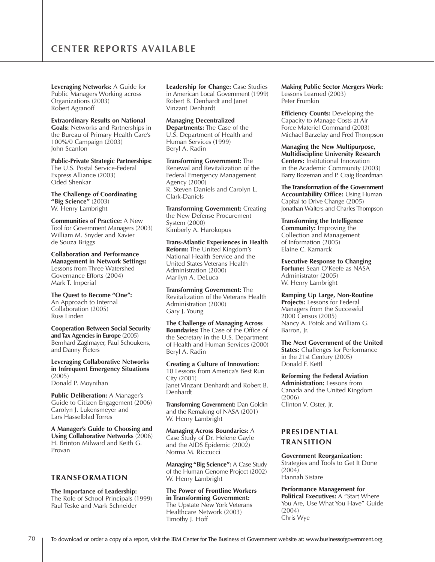**Leveraging Networks:** A Guide for Public Managers Working across Organizations (2003) Robert Agranoff

**Extraordinary Results on National Goals:** Networks and Partnerships in the Bureau of Primary Health Care's 100%/0 Campaign (2003) John Scanlon

**Public-Private Strategic Partnerships:**  The U.S. Postal Service-Federal Express Alliance (2003) Oded Shenkar

**The Challenge of Coordinating "Big Science"** (2003) W. Henry Lambright

**Communities of Practice:** A New Tool for Government Managers (2003) William M. Snyder and Xavier de Souza Briggs

**Collaboration and Performance Management in Network Settings:** Lessons from Three Watershed Governance Efforts (2004) Mark T. Imperial

**The Quest to Become "One":**  An Approach to Internal Collaboration (2005) Russ Linden

**Cooperation Between Social Security and Tax Agencies in Europe** (2005) Bernhard Zaglmayer, Paul Schoukens, and Danny Pieters

**Leveraging Collaborative Networks in Infrequent Emergency Situations** (2005) Donald P. Moynihan

**Public Deliberation:** A Manager's Guide to Citizen Engagement (2006) Carolyn J. Lukensmeyer and Lars Hasselblad Torres

**A Manager's Guide to Choosing and Using Collaborative Networks** (2006) H. Brinton Milward and Keith G. Provan

#### **Transformation**

**The Importance of Leadership:** The Role of School Principals (1999) Paul Teske and Mark Schneider

**Leadership for Change:** Case Studies in American Local Government (1999) Robert B. Denhardt and Janet Vinzant Denhardt

**Managing Decentralized Departments:** The Case of the U.S. Department of Health and Human Services (1999) Beryl A. Radin

**Transforming Government:** The Renewal and Revitalization of the Federal Emergency Management Agency (2000) R. Steven Daniels and Carolyn L. Clark-Daniels

**Transforming Government:** Creating the New Defense Procurement System (2000) Kimberly A. Harokopus

**Trans-Atlantic Experiences in Health Reform:** The United Kingdom's National Health Service and the United States Veterans Health Administration (2000) Marilyn A. DeLuca

**Transforming Government:** The Revitalization of the Veterans Health Administration (2000) Gary J. Young

**The Challenge of Managing Across Boundaries:** The Case of the Office of the Secretary in the U.S. Department of Health and Human Services (2000) Beryl A. Radin

**Creating a Culture of Innovation:** 10 Lessons from America's Best Run City (2001) Janet Vinzant Denhardt and Robert B. Denhardt

**Transforming Government:** Dan Goldin and the Remaking of NASA (2001) W. Henry Lambright

**Managing Across Boundaries:** A Case Study of Dr. Helene Gayle and the AIDS Epidemic (2002) Norma M. Riccucci

**Managing "Big Science":** A Case Study of the Human Genome Project (2002) W. Henry Lambright

**The Power of Frontline Workers in Transforming Government:**  The Upstate New York Veterans Healthcare Network (2003) Timothy J. Hoff

**Making Public Sector Mergers Work:** Lessons Learned (2003) Peter Frumkin

**Efficiency Counts:** Developing the Capacity to Manage Costs at Air Force Materiel Command (2003) Michael Barzelay and Fred Thompson

**Managing the New Multipurpose, Multidiscipline University Research Centers:** Institutional Innovation in the Academic Community (2003) Barry Bozeman and P. Craig Boardman

**The Transformation of the Government Accountability Office:** Using Human Capital to Drive Change (2005) Jonathan Walters and Charles Thompson

**Transforming the Intelligence Community:** Improving the Collection and Management of Information (2005) Elaine C. Kamarck

**Executive Response to Changing Fortune:** Sean O'Keefe as NASA Administrator (2005) W. Henry Lambright

**Ramping Up Large, Non-Routine Projects:** Lessons for Federal Managers from the Successful 2000 Census (2005) Nancy A. Potok and William G. Barron, Jr.

**The** *Next* **Government of the United States:** Challenges for Performance in the 21st Century (2005) Donald F. Kettl

**Reforming the Federal Aviation** 

**Administration:** Lessons from Canada and the United Kingdom (2006) Clinton V. Oster, Jr.

## **presidential transition**

#### **Government Reorganization:**

Strategies and Tools to Get It Done  $(2004)$ Hannah Sistare

**Performance Management for Political Executives:** A "Start Where You Are, Use What You Have" Guide (2004) Chris Wye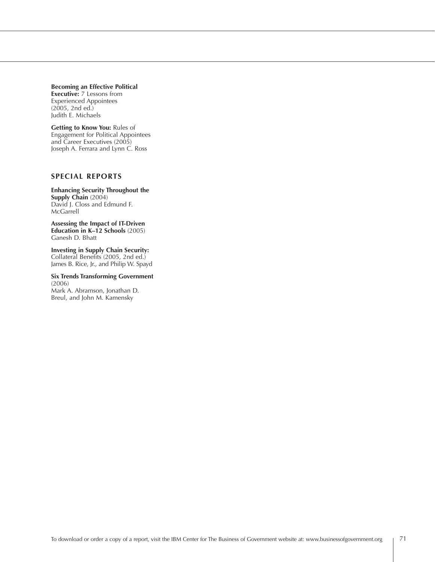**Becoming an Effective Political Executive:** 7 Lessons from Experienced Appointees (2005, 2nd ed.) Judith E. Michaels

**Getting to Know You:** Rules of Engagement for Political Appointees and Career Executives (2005) Joseph A. Ferrara and Lynn C. Ross

# **Special ReportS**

#### **Enhancing Security Throughout the Supply Chain** (2004) David J. Closs and Edmund F. McGarrell

**Assessing the Impact of IT-Driven Education in K–12 Schools** (2005) Ganesh D. Bhatt

**Investing in Supply Chain Security:**  Collateral Benefits (2005, 2nd ed.) James B. Rice, Jr., and Philip W. Spayd

**Six Trends Transforming Government**  (2006) Mark A. Abramson, Jonathan D. Breul, and John M. Kamensky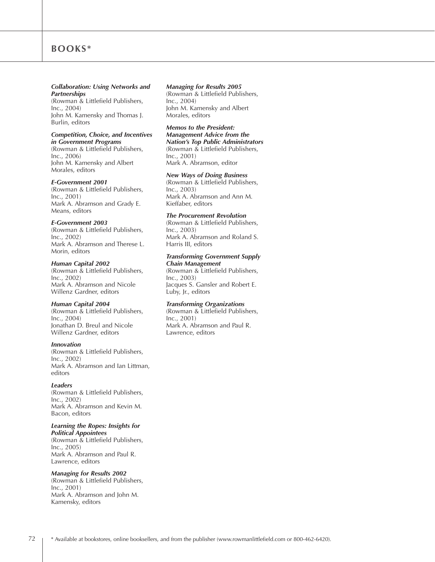# **BOOKS\***

#### *Collaboration: Using Networks and Partnerships*

(Rowman & Littlefield Publishers, Inc., 2004) John M. Kamensky and Thomas J. Burlin, editors

#### *Competition, Choice, and Incentives in Government Programs*

(Rowman & Littlefield Publishers, Inc., 2006) John M. Kamensky and Albert Morales, editors

#### *E-Government 2001*

(Rowman & Littlefield Publishers, Inc., 2001) Mark A. Abramson and Grady E. Means, editors

#### *E-Government 2003*

(Rowman & Littlefield Publishers, Inc., 2002) Mark A. Abramson and Therese L. Morin, editors

#### *Human Capital 2002*

(Rowman & Littlefield Publishers, Inc., 2002) Mark A. Abramson and Nicole Willenz Gardner, editors

#### *Human Capital 2004*

(Rowman & Littlefield Publishers, Inc., 2004) Jonathan D. Breul and Nicole Willenz Gardner, editors

#### *Innovation*

(Rowman & Littlefield Publishers, Inc., 2002) Mark A. Abramson and Ian Littman, editors

#### *Leaders*

(Rowman & Littlefield Publishers, Inc., 2002) Mark A. Abramson and Kevin M. Bacon, editors

# *Learning the Ropes: Insights for*

*Political Appointees*  (Rowman & Littlefield Publishers, Inc., 2005) Mark A. Abramson and Paul R. Lawrence, editors

#### *Managing for Results 2002*

(Rowman & Littlefield Publishers, Inc., 2001) Mark A. Abramson and John M. Kamensky, editors

#### *Managing for Results 2005* (Rowman & Littlefield Publishers, Inc., 2004) John M. Kamensky and Albert Morales, editors

#### *Memos to the President: Management Advice from the Nation's Top Public Administrators*

(Rowman & Littlefield Publishers, Inc., 2001) Mark A. Abramson, editor

#### *New Ways of Doing Business*

(Rowman & Littlefield Publishers, Inc., 2003) Mark A. Abramson and Ann M. Kieffaber, editors

### *The Procurement Revolution*

(Rowman & Littlefield Publishers, Inc., 2003) Mark A. Abramson and Roland S. Harris III, editors

#### *Transforming Government Supply Chain Management*

(Rowman & Littlefield Publishers, Inc., 2003) Jacques S. Gansler and Robert E. Luby, Jr., editors

# *Transforming Organizations*

(Rowman & Littlefield Publishers, Inc., 2001) Mark A. Abramson and Paul R. Lawrence, editors